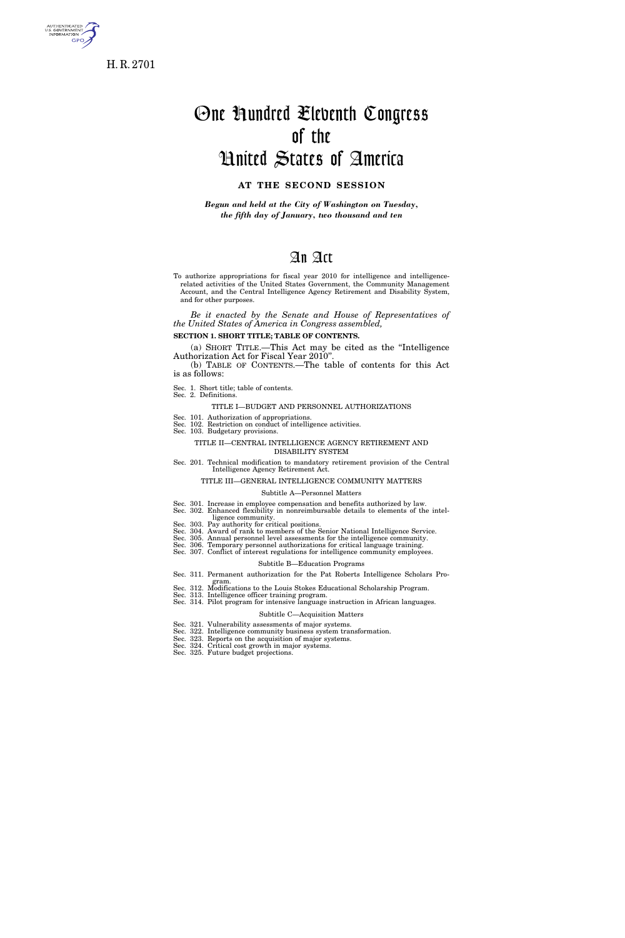

s. GOVERNME<br>INFORMATION **GPO** 

# One Hundred Eleventh Congress of the United States of America

# **AT THE SECOND SESSION**

*Begun and held at the City of Washington on Tuesday, the fifth day of January, two thousand and ten* 

# An Act

To authorize appropriations for fiscal year 2010 for intelligence and intelligencerelated activities of the United States Government, the Community Management Account, and the Central Intelligence Agency Retirement and Disability System, and for other purposes.

*Be it enacted by the Senate and House of Representatives of the United States of America in Congress assembled,* 

**SECTION 1. SHORT TITLE; TABLE OF CONTENTS.** 

(a) SHORT TITLE.—This Act may be cited as the ''Intelligence Authorization Act for Fiscal Year 2010''.

(b) TABLE OF CONTENTS.—The table of contents for this Act is as follows:

Sec. 1. Short title; table of contents. Sec. 2. Definitions.

#### TITLE I—BUDGET AND PERSONNEL AUTHORIZATIONS

Sec. 101. Authorization of appropriations. Sec. 102. Restriction on conduct of intelligence activities.

Sec. 103. Budgetary provisions.

#### TITLE II—CENTRAL INTELLIGENCE AGENCY RETIREMENT AND DISABILITY SYSTEM

Sec. 201. Technical modification to mandatory retirement provision of the Central Intelligence Agency Retirement Act.

#### TITLE III—GENERAL INTELLIGENCE COMMUNITY MATTERS

#### Subtitle A—Personnel Matters

Sec. 301. Increase in employee compensation and benefits authorized by law. Sec. 302. Enhanced flexibility in nonreimbursable details to elements of the intelligence community.

Sec. 303. Pay authority for critical positions. Sec. 304. Award of rank to members of the Senior National Intelligence Service.

Sec. 305. Annual personnel level assessments for the intelligence community. Sec. 306. Temporary personnel authorizations for critical language training.

Sec. 307. Conflict of interest regulations for intelligence community employees.

#### Subtitle B—Education Programs

- Sec. 311. Permanent authorization for the Pat Roberts Intelligence Scholars Pro-
- gram. Sec. 312. Modifications to the Louis Stokes Educational Scholarship Program.
- Sec. 313. Intelligence officer training program.

#### Sec. 314. Pilot program for intensive language instruction in African languages.

#### Subtitle C—Acquisition Matters

- Sec. 321. Vulnerability assessments of major systems. Sec. 322. Intelligence community business system transformation.
- Sec. 323. Reports on the acquisition of major systems.
- Sec. 324. Critical cost growth in major systems.
- Sec. 325. Future budget projections.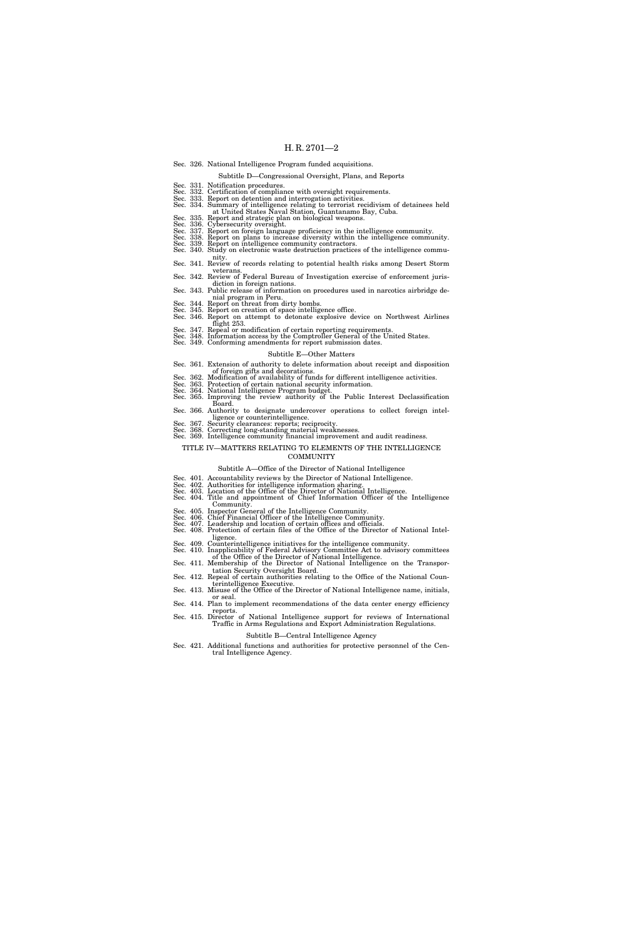|                                                           |  | Sec. 326. National Intelligence Program funded acquisitions.                                                                                                                                                                                                                                                                             |
|-----------------------------------------------------------|--|------------------------------------------------------------------------------------------------------------------------------------------------------------------------------------------------------------------------------------------------------------------------------------------------------------------------------------------|
|                                                           |  | Subtitle D—Congressional Oversight, Plans, and Reports                                                                                                                                                                                                                                                                                   |
|                                                           |  | Sec. 331. Notification procedures.<br>Sec. 332. Certification of compliance with oversight requirements.<br>Sec. 333. Report on detention and interrogation activities.<br>Sec. 334. Summary of intelligence relating to terrorist recidivism of detainees held<br>at United States Naval Station, Guantanamo Bay, Cuba.                 |
|                                                           |  | Sec. 335. Report and strategic plan on biological weapons.                                                                                                                                                                                                                                                                               |
|                                                           |  | Sec. 336. Cybersecurity oversight.<br>Sec. 337. Report on foreign language proficiency in the intelligence community.<br>Sec. 337. Report on plans to increase diversity within the intelligence community.<br>Sec. 339. Report on inte                                                                                                  |
|                                                           |  | nity.                                                                                                                                                                                                                                                                                                                                    |
|                                                           |  | Sec. 341. Review of records relating to potential health risks among Desert Storm<br>veterans.                                                                                                                                                                                                                                           |
|                                                           |  | Sec. 342. Review of Federal Bureau of Investigation exercise of enforcement juris-<br>diction in foreign nations.                                                                                                                                                                                                                        |
|                                                           |  | Sec. 343. Public release of information on procedures used in narcotics airbridge de-<br>nial program in Peru.                                                                                                                                                                                                                           |
|                                                           |  | Sec. 344. Report on threat from dirty bombs.<br>Sec. 345. Report on creation of space intelligence office.<br>Sec. 346. Report on attempt to detonate explosive device on Northwest Airlines<br>flight 253.                                                                                                                              |
|                                                           |  | Sec. 347. Repeal or modification of certain reporting requirements.<br>Sec. 348. Information access by the Comptroller General of the United States.<br>Sec. 349. Conforming amendments for report submission dates.                                                                                                                     |
|                                                           |  | Subtitle E—Other Matters                                                                                                                                                                                                                                                                                                                 |
|                                                           |  | Sec. 361. Extension of authority to delete information about receipt and disposition<br>of foreign gifts and decorations.<br>Sec. 362. Modification of availability of funds for different intelligence activities.<br>Sec. 363. Protection of certain national security information.<br>Sec. 364. National Intelligence Program budget. |
|                                                           |  | Sec. 365. Improving the review authority of the Public Interest Declassification<br>Board.                                                                                                                                                                                                                                               |
|                                                           |  | Sec. 366. Authority to designate undercover operations to collect foreign intel-<br>ligence or counterintelligence.                                                                                                                                                                                                                      |
|                                                           |  | Sec. 367. Security clearances: reports; reciprocity.<br>Sec. 368. Correcting long-standing material weaknesses.<br>Sec. 369. Intelligence community financial improvement and audit readiness.                                                                                                                                           |
| TITLE IV—MATTERS RELATING TO ELEMENTS OF THE INTELLIGENCE |  |                                                                                                                                                                                                                                                                                                                                          |
|                                                           |  | COMMUNITY                                                                                                                                                                                                                                                                                                                                |
|                                                           |  | Subtitle A—Office of the Director of National Intelligence                                                                                                                                                                                                                                                                               |
|                                                           |  | Sec. 401. Accountability reviews by the Director of National Intelligence.<br>Sec. 402. Authorities for intelligence information sharing.<br>Sec. 403. Location of the Office of the Director of National Intelligence.<br>Sec. 404. Title and appointment of Chief Information Officer of the Intelligence<br>Community.                |
|                                                           |  | Sec. 405. Inspector General of the Intelligence Community.<br>Sec. 406. Chief Financial Officer of the Intelligence Community.<br>Sec. 407. Leadership and location of certain offices and officials.<br>Sec. 408. Protection of certain files of the Office of the Director of National Intel-                                          |
|                                                           |  | ligence.<br>Sec. 409. Counterintelligence initiatives for the intelligence community.<br>Sec. 410. Inapplicability of Federal Advisory Committee Act to advisory committees                                                                                                                                                              |

- 
- of the Office of the Director of National Intelligence. Sec. 411. Membership of the Director of National Intelligence on the Transpor-
- tation Security Oversight Board. Sec. 412. Repeal of certain authorities relating to the Office of the National Counterintelligence Executive. Sec. 413. Misuse of the Office of the Director of National Intelligence name, initials,
- 
- or seal. Sec. 414. Plan to implement recommendations of the data center energy efficiency

reports. Sec. 415. Director of National Intelligence support for reviews of International Traffic in Arms Regulations and Export Administration Regulations. Subtitle B—Central Intelligence Agency

- Sec. 421. Additional functions and authorities for protective personnel of the Cen-
- tral Intelligence Agency.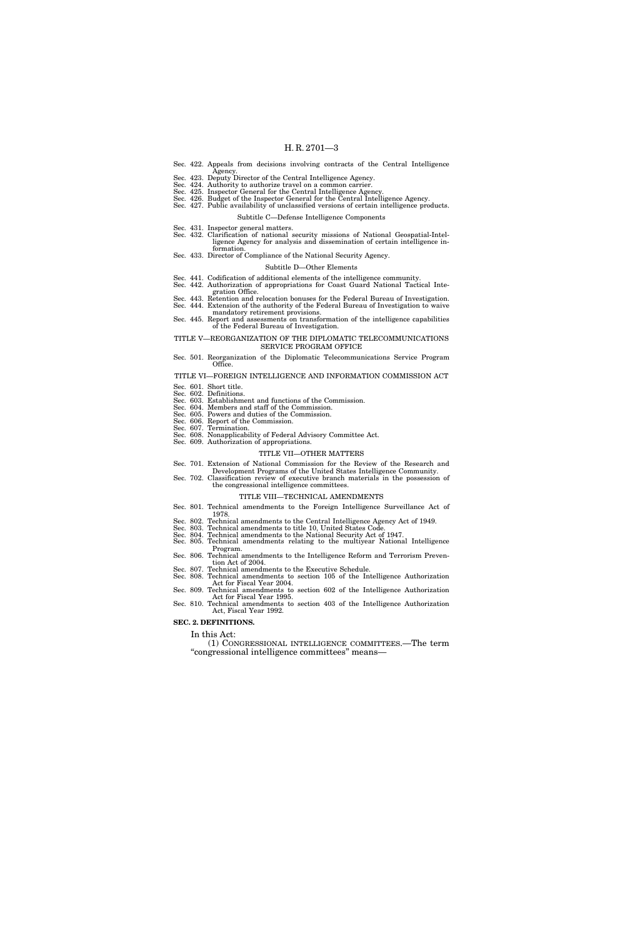- Sec. 422. Appeals from decisions involving contracts of the Central Intelligence
- 
- 
- 
- Agency.<br>Sec. 423. Deputy Director of the Central Intelligence Agency.<br>Sec. 424. Authority to authorize travel on a common carrier.<br>Sec. 425. Inspector General for the Central Intelligence Agency.<br>Sec. 426. Budget of the In
	- Subtitle C—Defense Intelligence Components
	-
- Sec. 431. Inspector general matters. Sec. 432. Clarification of national security missions of National Geospatial-Intelligence Agency for analysis and dissemination of certain intelligence information.
- Sec. 433. Director of Compliance of the National Security Agency.

#### Subtitle D—Other Elements

- Sec. 441. Codification of additional elements of the intelligence community. Sec. 442. Authorization of appropriations for Coast Guard National Tactical Inte-
- gration Office.
- Sec. 443. Retention and relocation bonuses for the Federal Bureau of Investigation.
- Sec. 444. Extension of the authority of the Federal Bureau of Investigation to waive mandatory retirement provisions.
- Sec. 445. Report and assessments on transformation of the intelligence capabilities of the Federal Bureau of Investigation.

#### TITLE V—REORGANIZATION OF THE DIPLOMATIC TELECOMMUNICATIONS SERVICE PROGRAM OFFICE

Sec. 501. Reorganization of the Diplomatic Telecommunications Service Program Office.

#### TITLE VI—FOREIGN INTELLIGENCE AND INFORMATION COMMISSION ACT Sec. 601. Short title.

- Sec. 602. Definitions.
- Sec. 603. Establishment and functions of the Commission. Sec. 604. Members and staff of the Commission.
- Sec. 605. Powers and duties of the Commission.
- Sec. 606. Report of the Commission.
- Sec. 607. Termination.
- Sec. 608. Nonapplicability of Federal Advisory Committee Act.
- Sec. 609. Authorization of appropriations.

#### TITLE VII—OTHER MATTERS

- Sec. 701. Extension of National Commission for the Review of the Research and
- Development Programs of the United States Intelligence Community. Sec. 702. Classification review of executive branch materials in the possession of
- the congressional intelligence committees.

#### TITLE VIII—TECHNICAL AMENDMENTS

- Sec. 801. Technical amendments to the Foreign Intelligence Surveillance Act of 1978.
- Sec. 802. Technical amendments to the Central Intelligence Agency Act of 1949.
- 
- Sec. 803. Technical amendments to title 10, United States Code. Sec. 804. Technical amendments to the National Security Act of 1947. Sec. 805. Technical amendments relating to the multiyear National Intelligence
- Program. Sec. 806. Technical amendments to the Intelligence Reform and Terrorism Preven-
- tion Act of 2004.
- Sec. 807. Technical amendments to the Executive Schedule. Sec. 808. Technical amendments to section 105 of the Intelligence Authorization
- Act for Fiscal Year 2004. Sec. 809. Technical amendments to section 602 of the Intelligence Authorization
- Act for Fiscal Year 1995.
- Sec. 810. Technical amendments to section 403 of the Intelligence Authorization Act, Fiscal Year 1992.

#### **SEC. 2. DEFINITIONS.**

- In this Act:
- (1) CONGRESSIONAL INTELLIGENCE COMMITTEES.—The term ''congressional intelligence committees'' means—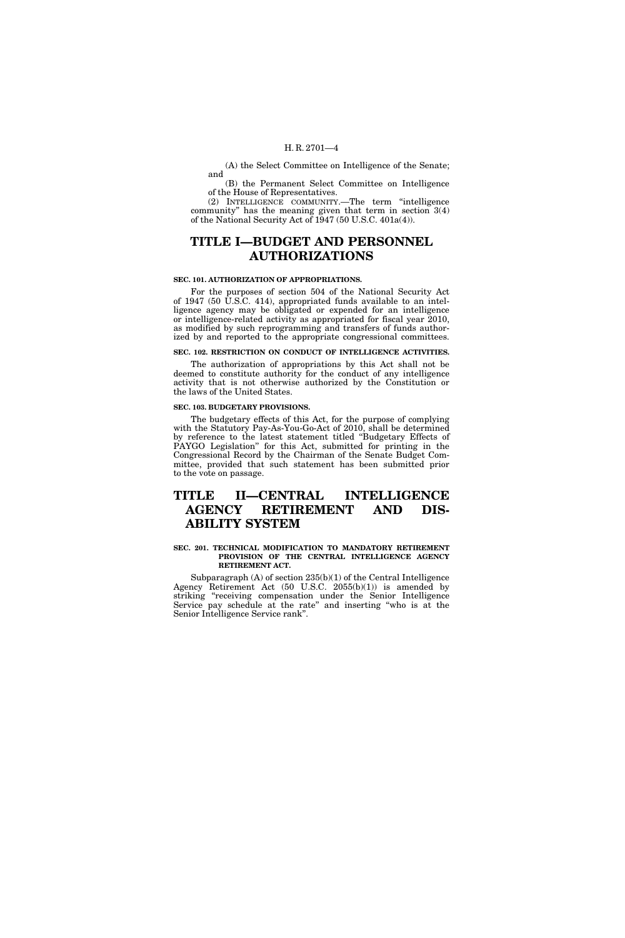(A) the Select Committee on Intelligence of the Senate; and

(B) the Permanent Select Committee on Intelligence of the House of Representatives.

(2) INTELLIGENCE COMMUNITY.—The term ''intelligence community'' has the meaning given that term in section 3(4) of the National Security Act of 1947 (50 U.S.C. 401a(4)).

# **TITLE I—BUDGET AND PERSONNEL AUTHORIZATIONS**

#### **SEC. 101. AUTHORIZATION OF APPROPRIATIONS.**

For the purposes of section 504 of the National Security Act of 1947 (50 U.S.C. 414), appropriated funds available to an intelligence agency may be obligated or expended for an intelligence or intelligence-related activity as appropriated for fiscal year 2010, as modified by such reprogramming and transfers of funds authorized by and reported to the appropriate congressional committees.

#### **SEC. 102. RESTRICTION ON CONDUCT OF INTELLIGENCE ACTIVITIES.**

The authorization of appropriations by this Act shall not be deemed to constitute authority for the conduct of any intelligence activity that is not otherwise authorized by the Constitution or the laws of the United States.

#### **SEC. 103. BUDGETARY PROVISIONS.**

The budgetary effects of this Act, for the purpose of complying with the Statutory Pay-As-You-Go-Act of 2010, shall be determined by reference to the latest statement titled ''Budgetary Effects of PAYGO Legislation'' for this Act, submitted for printing in the Congressional Record by the Chairman of the Senate Budget Committee, provided that such statement has been submitted prior to the vote on passage.

# **TITLE II—CENTRAL INTELLIGENCE AGENCY RETIREMENT AND DIS-ABILITY SYSTEM**

#### **SEC. 201. TECHNICAL MODIFICATION TO MANDATORY RETIREMENT PROVISION OF THE CENTRAL INTELLIGENCE AGENCY RETIREMENT ACT.**

Subparagraph (A) of section 235(b)(1) of the Central Intelligence Agency Retirement Act (50 U.S.C. 2055(b)(1)) is amended by striking "receiving compensation under the Senior Intelligence Service pay schedule at the rate'' and inserting ''who is at the Senior Intelligence Service rank''.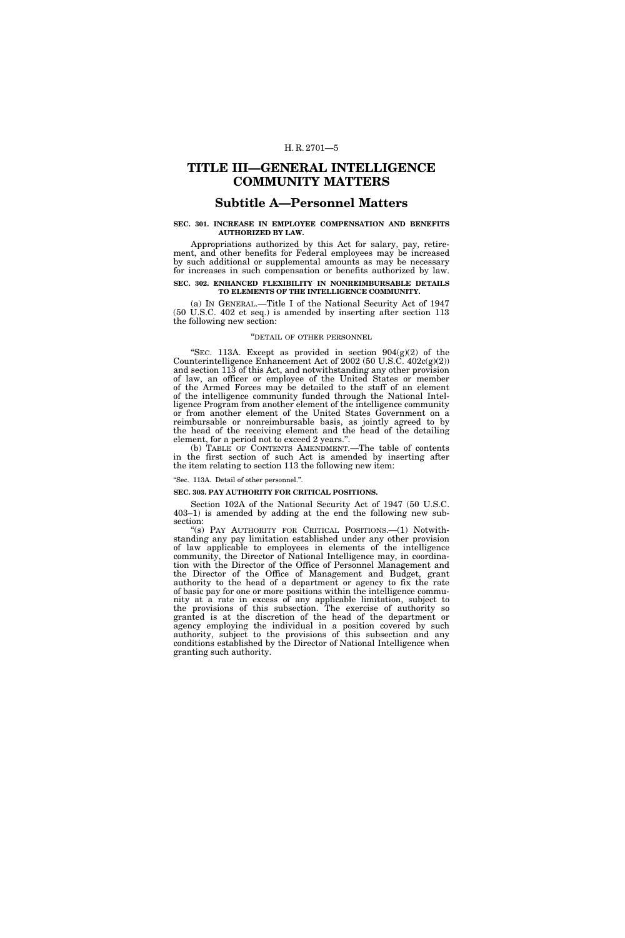## **TITLE III—GENERAL INTELLIGENCE COMMUNITY MATTERS**

### **Subtitle A—Personnel Matters**

#### **SEC. 301. INCREASE IN EMPLOYEE COMPENSATION AND BENEFITS AUTHORIZED BY LAW.**

Appropriations authorized by this Act for salary, pay, retirement, and other benefits for Federal employees may be increased by such additional or supplemental amounts as may be necessary for increases in such compensation or benefits authorized by law. **SEC. 302. ENHANCED FLEXIBILITY IN NONREIMBURSABLE DETAILS** 

# **TO ELEMENTS OF THE INTELLIGENCE COMMUNITY.**

(a) IN GENERAL.—Title I of the National Security Act of 1947 (50 U.S.C. 402 et seq.) is amended by inserting after section 113 the following new section:

#### ''DETAIL OF OTHER PERSONNEL

"SEC. 113A. Except as provided in section  $904(g)(2)$  of the Counterintelligence Enhancement Act of 2002 (50 U.S.C. 402c(g)(2)) and section 113 of this Act, and notwithstanding any other provision of law, an officer or employee of the United States or member of the Armed Forces may be detailed to the staff of an element of the intelligence community funded through the National Intelligence Program from another element of the intelligence community or from another element of the United States Government on a reimbursable or nonreimbursable basis, as jointly agreed to by the head of the receiving element and the head of the detailing element, for a period not to exceed 2 years.''.

(b) TABLE OF CONTENTS AMENDMENT.—The table of contents in the first section of such Act is amended by inserting after the item relating to section 113 the following new item:

#### ''Sec. 113A. Detail of other personnel.''.

#### **SEC. 303. PAY AUTHORITY FOR CRITICAL POSITIONS.**

Section 102A of the National Security Act of 1947 (50 U.S.C. 403–1) is amended by adding at the end the following new subsection:

''(s) PAY AUTHORITY FOR CRITICAL POSITIONS.—(1) Notwithstanding any pay limitation established under any other provision of law applicable to employees in elements of the intelligence community, the Director of National Intelligence may, in coordination with the Director of the Office of Personnel Management and the Director of the Office of Management and Budget, grant authority to the head of a department or agency to fix the rate of basic pay for one or more positions within the intelligence community at a rate in excess of any applicable limitation, subject to the provisions of this subsection. The exercise of authority so granted is at the discretion of the head of the department or agency employing the individual in a position covered by such authority, subject to the provisions of this subsection and any conditions established by the Director of National Intelligence when granting such authority.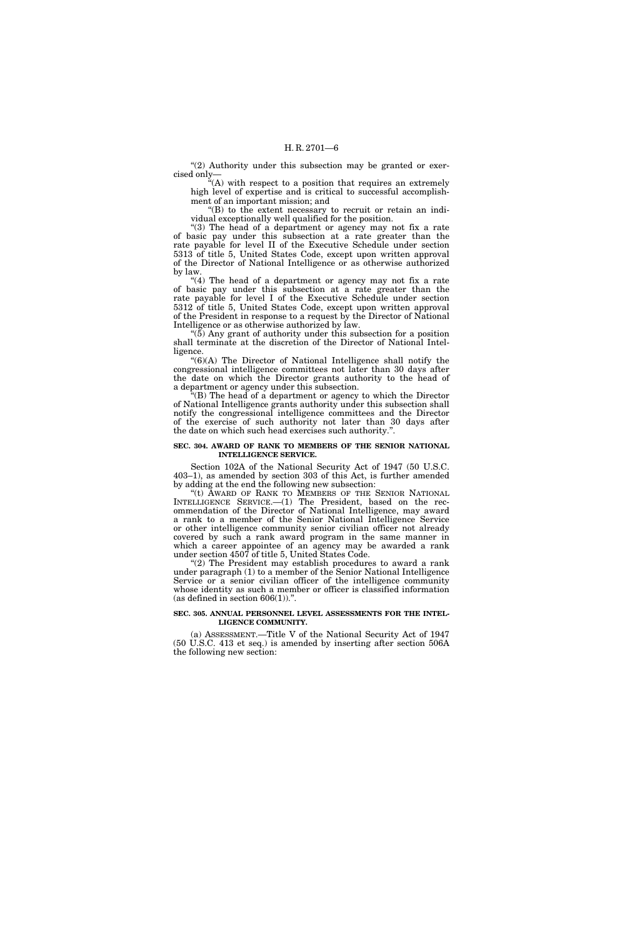" $(2)$  Authority under this subsection may be granted or exercised only—

 $\ddot{H}$ (A) with respect to a position that requires an extremely high level of expertise and is critical to successful accomplishment of an important mission; and

''(B) to the extent necessary to recruit or retain an individual exceptionally well qualified for the position.

"(3) The head of a department or agency may not fix a rate of basic pay under this subsection at a rate greater than the rate payable for level II of the Executive Schedule under section 5313 of title 5, United States Code, except upon written approval of the Director of National Intelligence or as otherwise authorized by law.

"(4) The head of a department or agency may not fix a rate of basic pay under this subsection at a rate greater than the rate payable for level I of the Executive Schedule under section 5312 of title 5, United States Code, except upon written approval of the President in response to a request by the Director of National Intelligence or as otherwise authorized by law.

" $(5)$  Any grant of authority under this subsection for a position shall terminate at the discretion of the Director of National Intelligence.

 $<sup>4</sup>(6)(A)$  The Director of National Intelligence shall notify the</sup> congressional intelligence committees not later than 30 days after the date on which the Director grants authority to the head of a department or agency under this subsection.

(B) The head of a department or agency to which the Director of National Intelligence grants authority under this subsection shall notify the congressional intelligence committees and the Director of the exercise of such authority not later than 30 days after the date on which such head exercises such authority.''.

#### **SEC. 304. AWARD OF RANK TO MEMBERS OF THE SENIOR NATIONAL INTELLIGENCE SERVICE.**

Section 102A of the National Security Act of 1947 (50 U.S.C. 403–1), as amended by section 303 of this Act, is further amended by adding at the end the following new subsection:

''(t) AWARD OF RANK TO MEMBERS OF THE SENIOR NATIONAL INTELLIGENCE SERVICE.—(1) The President, based on the recommendation of the Director of National Intelligence, may award a rank to a member of the Senior National Intelligence Service or other intelligence community senior civilian officer not already covered by such a rank award program in the same manner in which a career appointee of an agency may be awarded a rank under section 4507 of title 5, United States Code.

 $(2)$  The President may establish procedures to award a rank under paragraph (1) to a member of the Senior National Intelligence Service or a senior civilian officer of the intelligence community whose identity as such a member or officer is classified information (as defined in section  $606(1)$ ).".

#### **SEC. 305. ANNUAL PERSONNEL LEVEL ASSESSMENTS FOR THE INTEL-LIGENCE COMMUNITY.**

(a) ASSESSMENT.—Title V of the National Security Act of 1947 (50 U.S.C. 413 et seq.) is amended by inserting after section 506A the following new section: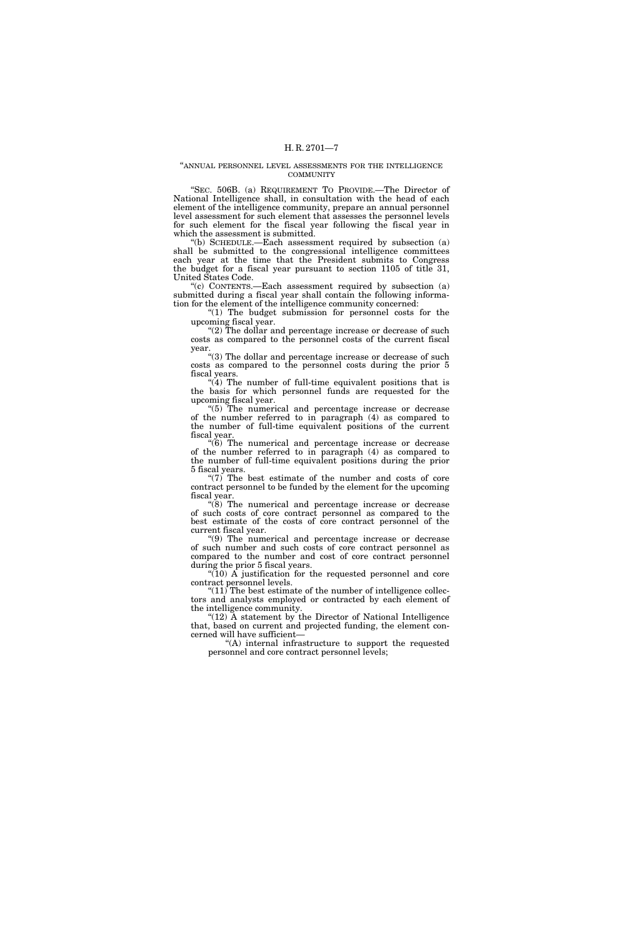#### ''ANNUAL PERSONNEL LEVEL ASSESSMENTS FOR THE INTELLIGENCE **COMMUNITY**

"SEC. 506B. (a) REQUIREMENT TO PROVIDE.—The Director of National Intelligence shall, in consultation with the head of each element of the intelligence community, prepare an annual personnel level assessment for such element that assesses the personnel levels for such element for the fiscal year following the fiscal year in which the assessment is submitted.

''(b) SCHEDULE.—Each assessment required by subsection (a) shall be submitted to the congressional intelligence committees each year at the time that the President submits to Congress the budget for a fiscal year pursuant to section 1105 of title 31, United States Code.

 $(c)$  CONTENTS.—Each assessment required by subsection  $(a)$ submitted during a fiscal year shall contain the following information for the element of the intelligence community concerned:

"(1) The budget submission for personnel costs for the upcoming fiscal year.

"(2) The dollar and percentage increase or decrease of such costs as compared to the personnel costs of the current fiscal year.

"(3) The dollar and percentage increase or decrease of such costs as compared to the personnel costs during the prior 5 fiscal years.

 $(4)$  The number of full-time equivalent positions that is the basis for which personnel funds are requested for the upcoming fiscal year.

''(5) The numerical and percentage increase or decrease of the number referred to in paragraph (4) as compared to the number of full-time equivalent positions of the current fiscal year.

''(6) The numerical and percentage increase or decrease of the number referred to in paragraph (4) as compared to the number of full-time equivalent positions during the prior 5 fiscal years.

" $(7)$  The best estimate of the number and costs of core contract personnel to be funded by the element for the upcoming fiscal year.

''(8) The numerical and percentage increase or decrease of such costs of core contract personnel as compared to the best estimate of the costs of core contract personnel of the current fiscal year.

''(9) The numerical and percentage increase or decrease of such number and such costs of core contract personnel as compared to the number and cost of core contract personnel during the prior 5 fiscal years.

 $\sqrt{\left(10\right)}$  A justification for the requested personnel and core contract personnel levels.

" $(11)$  The best estimate of the number of intelligence collectors and analysts employed or contracted by each element of the intelligence community.

" $(12)$  A statement by the Director of National Intelligence that, based on current and projected funding, the element concerned will have sufficient—

''(A) internal infrastructure to support the requested personnel and core contract personnel levels;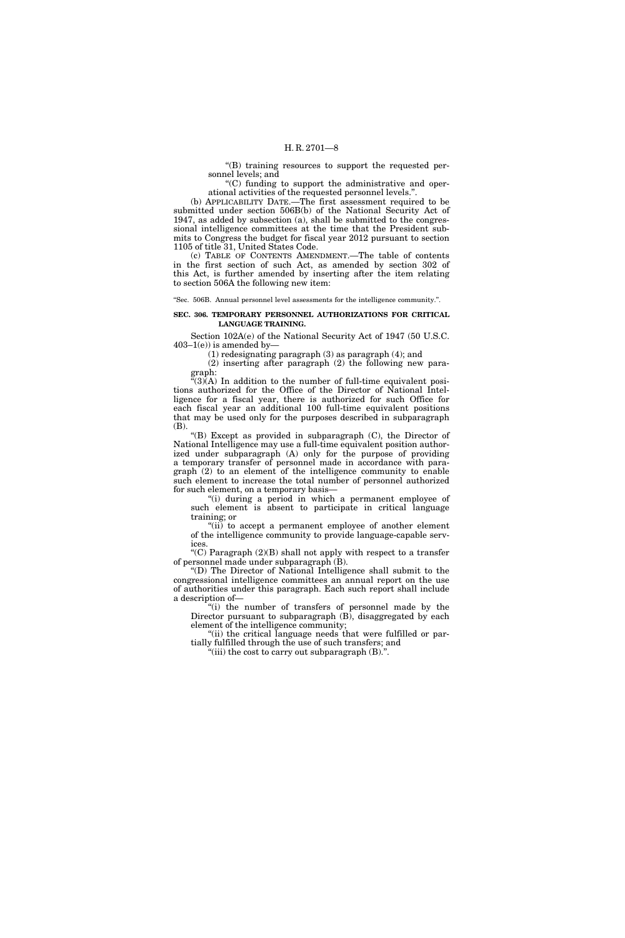''(B) training resources to support the requested personnel levels; and

''(C) funding to support the administrative and operational activities of the requested personnel levels.''.

(b) APPLICABILITY DATE.—The first assessment required to be submitted under section 506B(b) of the National Security Act of 1947, as added by subsection (a), shall be submitted to the congressional intelligence committees at the time that the President submits to Congress the budget for fiscal year 2012 pursuant to section 1105 of title 31, United States Code.

(c) TABLE OF CONTENTS AMENDMENT.—The table of contents in the first section of such Act, as amended by section 302 of this Act, is further amended by inserting after the item relating to section 506A the following new item:

''Sec. 506B. Annual personnel level assessments for the intelligence community.''.

#### **SEC. 306. TEMPORARY PERSONNEL AUTHORIZATIONS FOR CRITICAL LANGUAGE TRAINING.**

Section 102A(e) of the National Security Act of 1947 (50 U.S.C.  $403-1(e)$ ) is amended by-

(1) redesignating paragraph (3) as paragraph (4); and

(2) inserting after paragraph (2) the following new paragraph:

 $\tilde{f}(3)$ (A) In addition to the number of full-time equivalent positions authorized for the Office of the Director of National Intelligence for a fiscal year, there is authorized for such Office for each fiscal year an additional 100 full-time equivalent positions that may be used only for the purposes described in subparagraph (B).

''(B) Except as provided in subparagraph (C), the Director of National Intelligence may use a full-time equivalent position authorized under subparagraph (A) only for the purpose of providing a temporary transfer of personnel made in accordance with paragraph (2) to an element of the intelligence community to enable such element to increase the total number of personnel authorized for such element, on a temporary basis—

"(i) during a period in which a permanent employee of such element is absent to participate in critical language training; or

"(ii) to accept a permanent employee of another element of the intelligence community to provide language-capable services.

"(C) Paragraph  $(2)(B)$  shall not apply with respect to a transfer of personnel made under subparagraph (B).

''(D) The Director of National Intelligence shall submit to the congressional intelligence committees an annual report on the use of authorities under this paragraph. Each such report shall include a description of—

"(i) the number of transfers of personnel made by the Director pursuant to subparagraph (B), disaggregated by each element of the intelligence community;

"(ii) the critical language needs that were fulfilled or partially fulfilled through the use of such transfers; and

"(iii) the cost to carry out subparagraph (B).".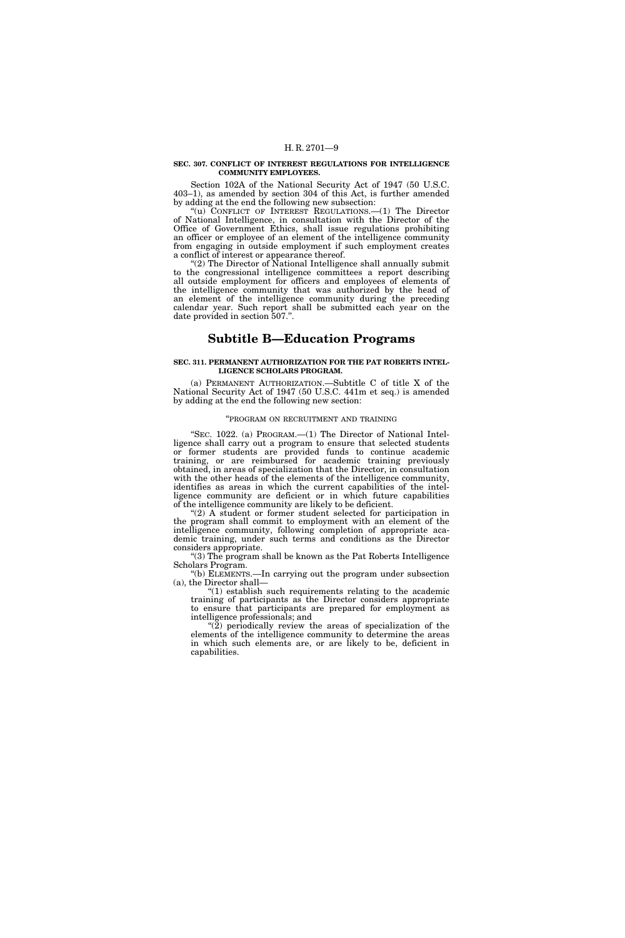#### **SEC. 307. CONFLICT OF INTEREST REGULATIONS FOR INTELLIGENCE COMMUNITY EMPLOYEES.**

Section 102A of the National Security Act of 1947 (50 U.S.C. 403–1), as amended by section 304 of this Act, is further amended by adding at the end the following new subsection:

"(u) CONFLICT OF INTEREST REGULATIONS.—(1) The Director of National Intelligence, in consultation with the Director of the Office of Government Ethics, shall issue regulations prohibiting an officer or employee of an element of the intelligence community from engaging in outside employment if such employment creates a conflict of interest or appearance thereof.

"(2) The Director of National Intelligence shall annually submit to the congressional intelligence committees a report describing all outside employment for officers and employees of elements of the intelligence community that was authorized by the head of an element of the intelligence community during the preceding calendar year. Such report shall be submitted each year on the date provided in section 507.''.

### **Subtitle B—Education Programs**

#### **SEC. 311. PERMANENT AUTHORIZATION FOR THE PAT ROBERTS INTEL-LIGENCE SCHOLARS PROGRAM.**

(a) PERMANENT AUTHORIZATION.—Subtitle C of title X of the National Security Act of 1947 (50 U.S.C. 441m et seq.) is amended by adding at the end the following new section:

#### ''PROGRAM ON RECRUITMENT AND TRAINING

"SEC. 1022. (a) PROGRAM.—(1) The Director of National Intelligence shall carry out a program to ensure that selected students or former students are provided funds to continue academic training, or are reimbursed for academic training previously obtained, in areas of specialization that the Director, in consultation with the other heads of the elements of the intelligence community, identifies as areas in which the current capabilities of the intelligence community are deficient or in which future capabilities of the intelligence community are likely to be deficient.

"(2) A student or former student selected for participation in the program shall commit to employment with an element of the intelligence community, following completion of appropriate academic training, under such terms and conditions as the Director considers appropriate.

''(3) The program shall be known as the Pat Roberts Intelligence Scholars Program.

''(b) ELEMENTS.—In carrying out the program under subsection (a), the Director shall—

 $''(1)$  establish such requirements relating to the academic training of participants as the Director considers appropriate to ensure that participants are prepared for employment as intelligence professionals; and

" $(2)$  periodically review the areas of specialization of the elements of the intelligence community to determine the areas in which such elements are, or are likely to be, deficient in capabilities.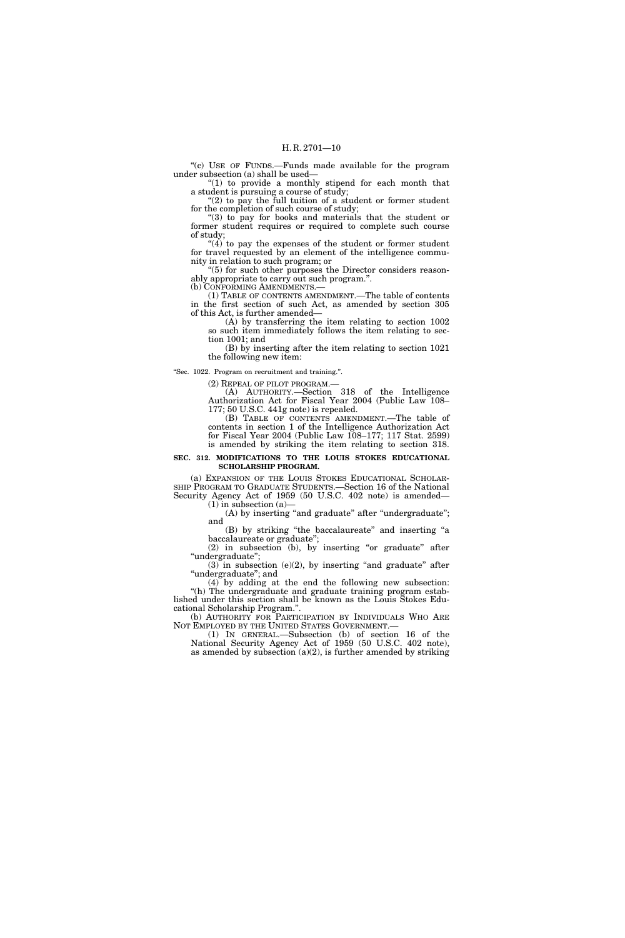"(c) USE OF FUNDS.—Funds made available for the program under subsection (a) shall be used—

" $(1)$  to provide a monthly stipend for each month that a student is pursuing a course of study; " $(2)$  to pay the full tuition of a student or former student

for the completion of such course of study;

"(3) to pay for books and materials that the student or former student requires or required to complete such course of study;

 $(4)$  to pay the expenses of the student or former student for travel requested by an element of the intelligence community in relation to such program; or

"(5) for such other purposes the Director considers reasonably appropriate to carry out such program.''. (b) CONFORMING AMENDMENTS.—

(1) TABLE OF CONTENTS AMENDMENT.—The table of contents in the first section of such Act, as amended by section 305 of this Act, is further amended—

(A) by transferring the item relating to section 1002 so such item immediately follows the item relating to section 1001; and

(B) by inserting after the item relating to section 1021 the following new item:

''Sec. 1022. Program on recruitment and training.''.

(2) REPEAL OF PILOT PROGRAM.—

(A) AUTHORITY.—Section 318 of the Intelligence Authorization Act for Fiscal Year 2004 (Public Law 108– 177; 50 U.S.C. 441g note) is repealed.

(B) TABLE OF CONTENTS AMENDMENT.—The table of contents in section 1 of the Intelligence Authorization Act for Fiscal Year 2004 (Public Law 108–177; 117 Stat. 2599) is amended by striking the item relating to section 318.

#### **SEC. 312. MODIFICATIONS TO THE LOUIS STOKES EDUCATIONAL SCHOLARSHIP PROGRAM.**

(a) EXPANSION OF THE LOUIS STOKES EDUCATIONAL SCHOLAR-SHIP PROGRAM TO GRADUATE STUDENTS.—Section 16 of the National Security Agency Act of 1959 (50 U.S.C. 402 note) is amended—  $(1)$  in subsection  $(a)$ 

(A) by inserting "and graduate" after "undergraduate"; and

(B) by striking ''the baccalaureate'' and inserting ''a baccalaureate or graduate'';

(2) in subsection (b), by inserting ''or graduate'' after ''undergraduate'';

 $(3)$  in subsection  $(e)(2)$ , by inserting "and graduate" after ''undergraduate''; and

(4) by adding at the end the following new subsection: ''(h) The undergraduate and graduate training program established under this section shall be known as the Louis Stokes Educational Scholarship Program.''.

(b) AUTHORITY FOR PARTICIPATION BY INDIVIDUALS WHO ARE NOT EMPLOYED BY THE UNITED STATES GOVERNMENT.—

(1) IN GENERAL.—Subsection (b) of section 16 of the National Security Agency Act of 1959 (50 U.S.C. 402 note), as amended by subsection (a)(2), is further amended by striking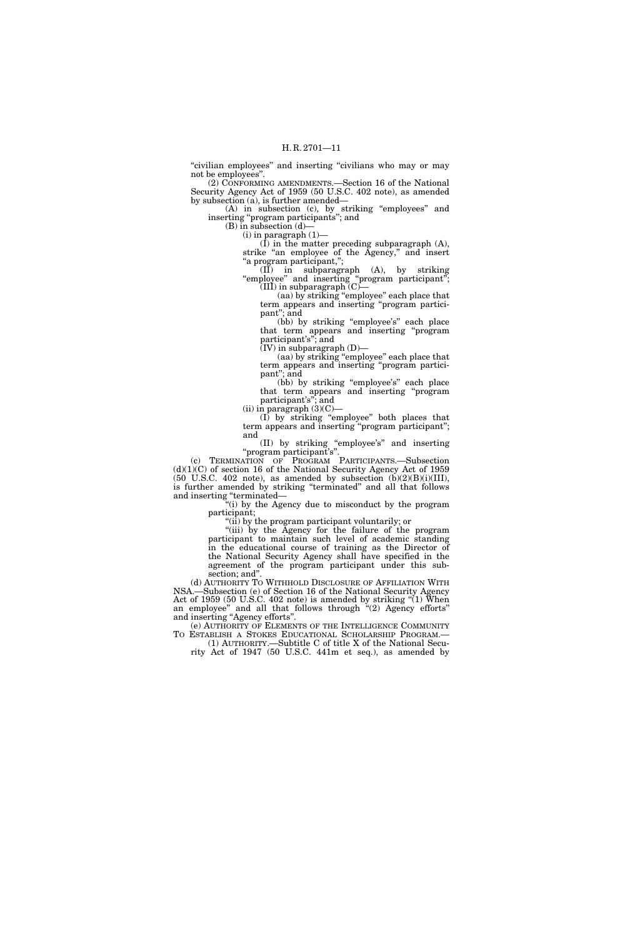''civilian employees'' and inserting ''civilians who may or may not be employees''.

(2) CONFORMING AMENDMENTS.—Section 16 of the National Security Agency Act of 1959 (50 U.S.C. 402 note), as amended by subsection (a), is further amended—

(A) in subsection (c), by striking ''employees'' and inserting ''program participants''; and

(B) in subsection (d)—

 $(i)$  in paragraph  $(1)$ –

(I) in the matter preceding subparagraph (A), strike "an employee of the Agency," and insert ''a program participant,'';

(II) in subparagraph (A), by striking ''employee'' and inserting ''program participant''; (III) in subparagraph  $(C)$ —

(aa) by striking ''employee'' each place that term appears and inserting ''program participant''; and

(bb) by striking "employee's" each place that term appears and inserting ''program participant's''; and

(IV) in subparagraph (D)—

(aa) by striking ''employee'' each place that term appears and inserting ''program participant''; and

(bb) by striking "employee's" each place that term appears and inserting ''program participant's''; and

(ii) in paragraph  $(3)(C)$ —

(I) by striking ''employee'' both places that term appears and inserting ''program participant''; and

(II) by striking ''employee's'' and inserting ''program participant's''.

(c) TERMINATION OF PROGRAM PARTICIPANTS.—Subsection  $(d)(1)(C)$  of section 16 of the National Security Agency Act of 1959 (50 U.S.C. 402 note), as amended by subsection  $(b)(2)(B)(i)(III)$ , is further amended by striking "terminated" and all that follows and inserting ''terminated—

''(i) by the Agency due to misconduct by the program participant;

''(ii) by the program participant voluntarily; or

"(iii) by the Agency for the failure of the program participant to maintain such level of academic standing in the educational course of training as the Director of the National Security Agency shall have specified in the agreement of the program participant under this subsection; and''.

(d) AUTHORITY TO WITHHOLD DISCLOSURE OF AFFILIATION WITH NSA.—Subsection (e) of Section 16 of the National Security Agency Act of 1959 (50 U.S.C. 402 note) is amended by striking ''(1) When an employee'' and all that follows through ''(2) Agency efforts'' and inserting "Agency efforts".

(e) AUTHORITY OF ELEMENTS OF THE INTELLIGENCE COMMUNITY TO ESTABLISH A STOKES EDUCATIONAL SCHOLARSHIP PROGRAM.— (1) AUTHORITY.—Subtitle C of title X of the National Secu-

rity Act of 1947 (50 U.S.C. 441m et seq.), as amended by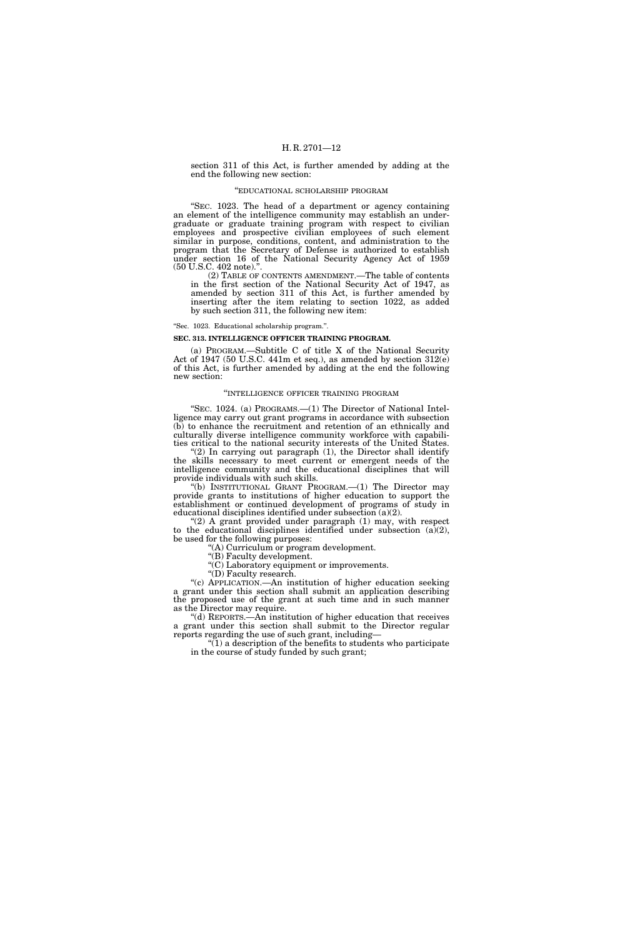section 311 of this Act, is further amended by adding at the end the following new section:

#### ''EDUCATIONAL SCHOLARSHIP PROGRAM

''SEC. 1023. The head of a department or agency containing an element of the intelligence community may establish an undergraduate or graduate training program with respect to civilian employees and prospective civilian employees of such element similar in purpose, conditions, content, and administration to the program that the Secretary of Defense is authorized to establish under section 16 of the National Security Agency Act of 1959 (50 U.S.C. 402 note).''.

(2) TABLE OF CONTENTS AMENDMENT.—The table of contents in the first section of the National Security Act of 1947, as amended by section 311 of this Act, is further amended by inserting after the item relating to section 1022, as added by such section 311, the following new item:

''Sec. 1023. Educational scholarship program.''.

#### **SEC. 313. INTELLIGENCE OFFICER TRAINING PROGRAM.**

(a) PROGRAM.—Subtitle C of title X of the National Security Act of 1947 (50 U.S.C. 441m et seq.), as amended by section 312(e) of this Act, is further amended by adding at the end the following new section:

#### ''INTELLIGENCE OFFICER TRAINING PROGRAM

"SEC. 1024. (a) PROGRAMS.—(1) The Director of National Intelligence may carry out grant programs in accordance with subsection (b) to enhance the recruitment and retention of an ethnically and culturally diverse intelligence community workforce with capabilities critical to the national security interests of the United States.

 $(2)$  In carrying out paragraph  $(1)$ , the Director shall identify the skills necessary to meet current or emergent needs of the intelligence community and the educational disciplines that will provide individuals with such skills.

''(b) INSTITUTIONAL GRANT PROGRAM.—(1) The Director may provide grants to institutions of higher education to support the establishment or continued development of programs of study in educational disciplines identified under subsection (a)(2).

" $(2)$  A grant provided under paragraph  $(1)$  may, with respect to the educational disciplines identified under subsection  $(a)(2)$ , be used for the following purposes:

''(A) Curriculum or program development.

"(B) Faculty development.

''(C) Laboratory equipment or improvements.

''(D) Faculty research.

''(c) APPLICATION.—An institution of higher education seeking a grant under this section shall submit an application describing the proposed use of the grant at such time and in such manner as the Director may require.

''(d) REPORTS.—An institution of higher education that receives a grant under this section shall submit to the Director regular reports regarding the use of such grant, including—

 $\tilde{H}$ ) a description of the benefits to students who participate in the course of study funded by such grant;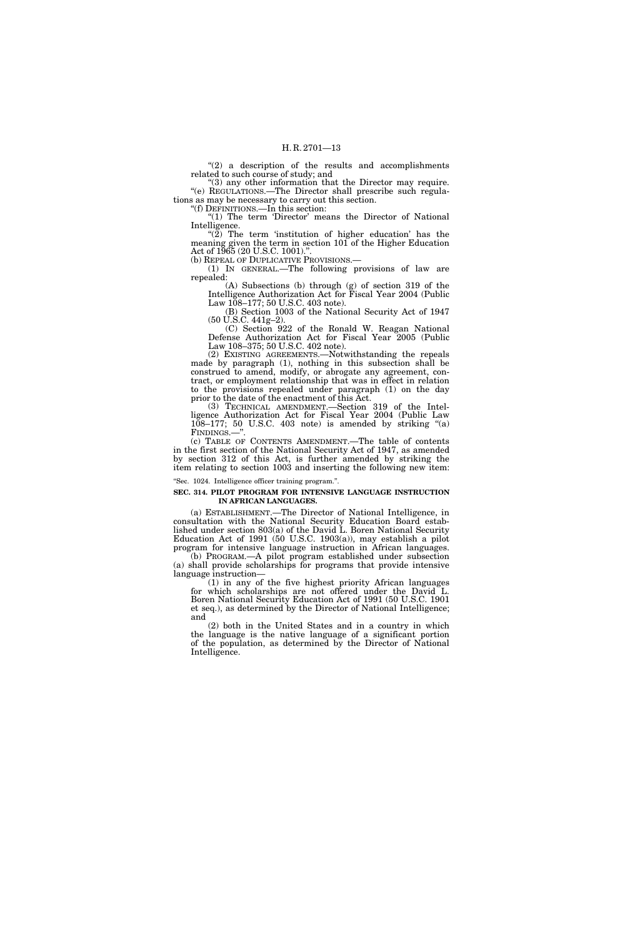"(2) a description of the results and accomplishments related to such course of study; and

"(3) any other information that the Director may require. ''(e) REGULATIONS.—The Director shall prescribe such regulations as may be necessary to carry out this section.

''(f) DEFINITIONS.—In this section: "(1) The term 'Director' means the Director of National Intelligence.

" $(2)$  The term 'institution of higher education' has the meaning given the term in section 101 of the Higher Education Act of 1965 (20 U.S.C. 1001).".<br>(b) Repeal of Duplicative Provisions.—

 $(1)$  In GENERAL.—The following provisions of law are repealed:

(A) Subsections (b) through (g) of section 319 of the Intelligence Authorization Act for Fiscal Year 2004 (Public Law 108–177; 50 U.S.C. 403 note).

(B) Section 1003 of the National Security Act of 1947 (50 U.S.C. 441g–2).

(C) Section 922 of the Ronald W. Reagan National Defense Authorization Act for Fiscal Year 2005 (Public Law 108–375; 50 U.S.C. 402 note).

(2) EXISTING AGREEMENTS.—Notwithstanding the repeals made by paragraph (1), nothing in this subsection shall be construed to amend, modify, or abrogate any agreement, contract, or employment relationship that was in effect in relation to the provisions repealed under paragraph (1) on the day prior to the date of the enactment of this Act.

(3) TECHNICAL AMENDMENT.—Section 319 of the Intelligence Authorization Act for Fiscal Year 2004 (Public Law  $108-177$ ; 50 U.S.C. 403 note) is amended by striking "(a) FINDINGS.—''.

(c) TABLE OF CONTENTS AMENDMENT.—The table of contents in the first section of the National Security Act of 1947, as amended by section 312 of this Act, is further amended by striking the item relating to section 1003 and inserting the following new item:

''Sec. 1024. Intelligence officer training program.''.

#### **SEC. 314. PILOT PROGRAM FOR INTENSIVE LANGUAGE INSTRUCTION IN AFRICAN LANGUAGES.**

(a) ESTABLISHMENT.—The Director of National Intelligence, in consultation with the National Security Education Board established under section 803(a) of the David L. Boren National Security Education Act of 1991 (50 U.S.C. 1903(a)), may establish a pilot program for intensive language instruction in African languages.

(b) PROGRAM.—A pilot program established under subsection (a) shall provide scholarships for programs that provide intensive language instruction—

(1) in any of the five highest priority African languages for which scholarships are not offered under the David L. Boren National Security Education Act of 1991 (50 U.S.C. 1901 et seq.), as determined by the Director of National Intelligence; and

(2) both in the United States and in a country in which the language is the native language of a significant portion of the population, as determined by the Director of National Intelligence.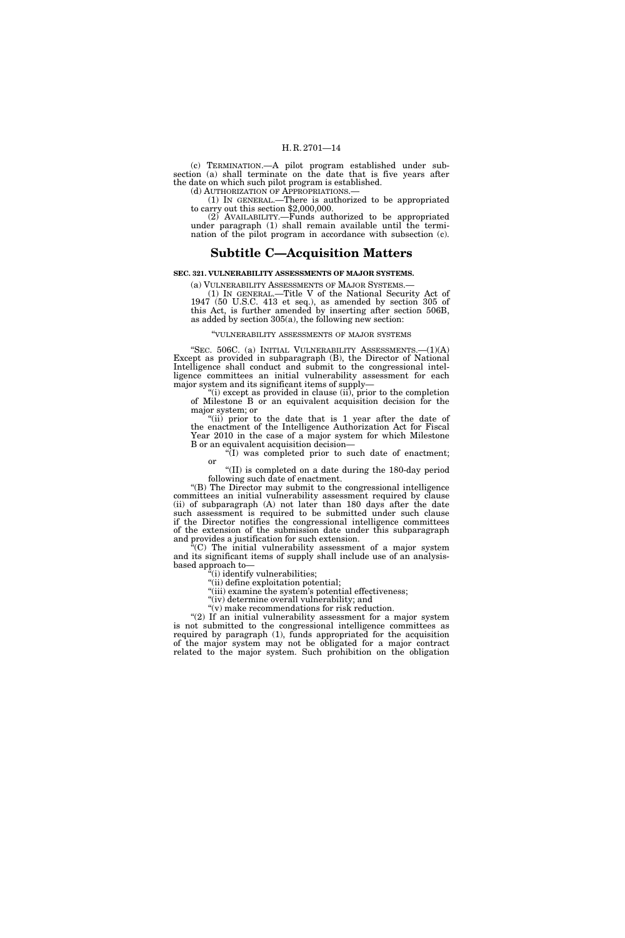(c) TERMINATION.—A pilot program established under subsection (a) shall terminate on the date that is five years after the date on which such pilot program is established.<br>(d) AUTHORIZATION OF APPROPRIATIONS.—

(1) IN GENERAL.—There is authorized to be appropriated to carry out this section  $$2,000,000$ .

(2) AVAILABILITY.—Funds authorized to be appropriated under paragraph (1) shall remain available until the termination of the pilot program in accordance with subsection (c).

### **Subtitle C—Acquisition Matters**

#### **SEC. 321. VULNERABILITY ASSESSMENTS OF MAJOR SYSTEMS.**

(a) VULNERABILITY ASSESSMENTS OF MAJOR SYSTEMS.— (1) IN GENERAL.—Title V of the National Security Act of 1947 (50 U.S.C. 413 et seq.), as amended by section 305 of this Act, is further amended by inserting after section 506B, as added by section 305(a), the following new section:

#### ''VULNERABILITY ASSESSMENTS OF MAJOR SYSTEMS

"SEC. 506C. (a) INITIAL VULNERABILITY ASSESSMENTS.-- (1)(A) Except as provided in subparagraph (B), the Director of National Intelligence shall conduct and submit to the congressional intelligence committees an initial vulnerability assessment for each major system and its significant items of supply—

" $(i)$  except as provided in clause  $(ii)$ , prior to the completion of Milestone B or an equivalent acquisition decision for the major system; or

"(ii) prior to the date that is 1 year after the date of the enactment of the Intelligence Authorization Act for Fiscal Year 2010 in the case of a major system for which Milestone B or an equivalent acquisition decision—

 $\sqrt[\alpha]{I}$  was completed prior to such date of enactment; or

''(II) is completed on a date during the 180-day period following such date of enactment.

''(B) The Director may submit to the congressional intelligence committees an initial vulnerability assessment required by clause (ii) of subparagraph (A) not later than 180 days after the date such assessment is required to be submitted under such clause if the Director notifies the congressional intelligence committees of the extension of the submission date under this subparagraph and provides a justification for such extension.

''(C) The initial vulnerability assessment of a major system and its significant items of supply shall include use of an analysisbased approach to—

 $f(i)$  identify vulnerabilities:

''(ii) define exploitation potential; "(iii) examine the system's potential effectiveness;

"(iv) determine overall vulnerability; and

 $''(v)$  make recommendations for risk reduction.

"(2) If an initial vulnerability assessment for a major system is not submitted to the congressional intelligence committees as required by paragraph (1), funds appropriated for the acquisition of the major system may not be obligated for a major contract related to the major system. Such prohibition on the obligation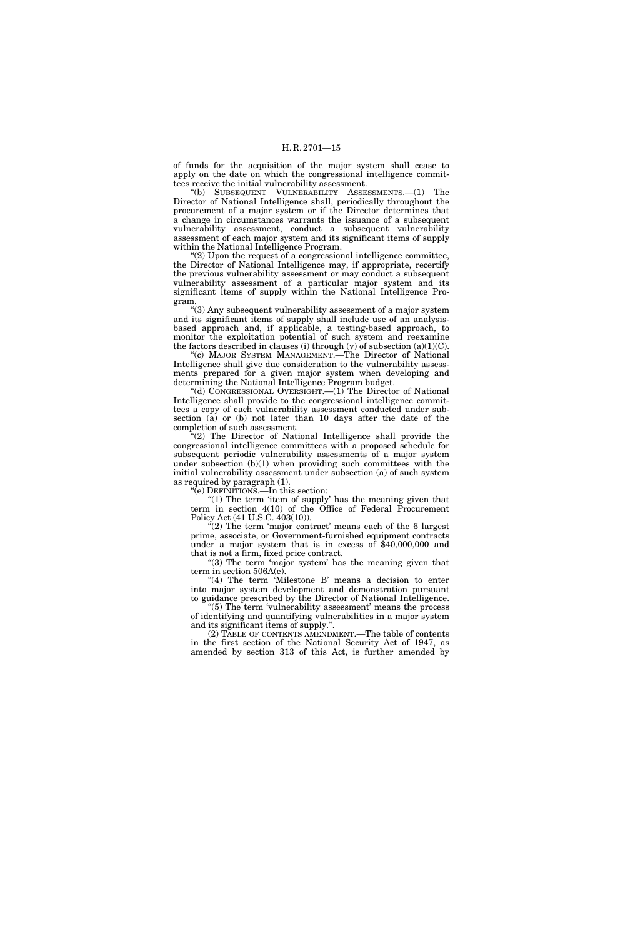of funds for the acquisition of the major system shall cease to apply on the date on which the congressional intelligence committees receive the initial vulnerability assessment.

''(b) SUBSEQUENT VULNERABILITY ASSESSMENTS.—(1) The Director of National Intelligence shall, periodically throughout the procurement of a major system or if the Director determines that a change in circumstances warrants the issuance of a subsequent vulnerability assessment, conduct a subsequent vulnerability assessment of each major system and its significant items of supply within the National Intelligence Program.

 $'(2)$  Upon the request of a congressional intelligence committee, the Director of National Intelligence may, if appropriate, recertify the previous vulnerability assessment or may conduct a subsequent vulnerability assessment of a particular major system and its significant items of supply within the National Intelligence Program.

''(3) Any subsequent vulnerability assessment of a major system and its significant items of supply shall include use of an analysisbased approach and, if applicable, a testing-based approach, to monitor the exploitation potential of such system and reexamine the factors described in clauses (i) through (v) of subsection  $(a)(1)(C)$ .

''(c) MAJOR SYSTEM MANAGEMENT.—The Director of National Intelligence shall give due consideration to the vulnerability assessments prepared for a given major system when developing and determining the National Intelligence Program budget.

''(d) CONGRESSIONAL OVERSIGHT.—(1) The Director of National Intelligence shall provide to the congressional intelligence committees a copy of each vulnerability assessment conducted under subsection (a) or (b) not later than 10 days after the date of the completion of such assessment.

 $(2)$  The Director of National Intelligence shall provide the congressional intelligence committees with a proposed schedule for subsequent periodic vulnerability assessments of a major system under subsection  $(b)(1)$  when providing such committees with the initial vulnerability assessment under subsection (a) of such system as required by paragraph (1).

''(e) DEFINITIONS.—In this section:

" $(1)$  The term 'item of supply' has the meaning given that term in section 4(10) of the Office of Federal Procurement Policy Act (41 U.S.C. 403(10)).

" $(2)$  The term 'major contract' means each of the 6 largest prime, associate, or Government-furnished equipment contracts under a major system that is in excess of \$40,000,000 and that is not a firm, fixed price contract.

"(3) The term 'major system' has the meaning given that term in section 506A(e).

"(4) The term 'Milestone B' means a decision to enter into major system development and demonstration pursuant to guidance prescribed by the Director of National Intelligence.

"(5) The term 'vulnerability assessment' means the process of identifying and quantifying vulnerabilities in a major system and its significant items of supply.''.

(2) TABLE OF CONTENTS AMENDMENT.—The table of contents in the first section of the National Security Act of 1947, as amended by section 313 of this Act, is further amended by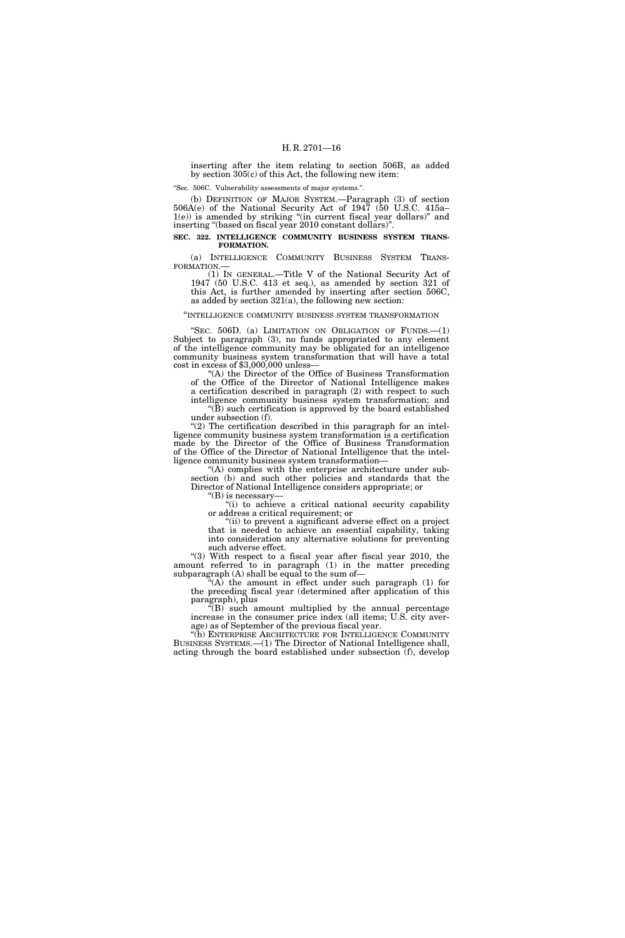inserting after the item relating to section 506B, as added by section 305(c) of this Act, the following new item:

''Sec. 506C. Vulnerability assessments of major systems.''.

(b) DEFINITION OF MAJOR SYSTEM.—Paragraph (3) of section 506A(e) of the National Security Act of 1947 (50 U.S.C. 415a– 1(e)) is amended by striking ''(in current fiscal year dollars)'' and inserting "(based on fiscal year 2010 constant dollars)".

#### **SEC. 322. INTELLIGENCE COMMUNITY BUSINESS SYSTEM TRANS-FORMATION.**

(a) INTELLIGENCE COMMUNITY BUSINESS SYSTEM TRANS-<br>FORMATION.—<br>(1) IN GENERAL.—Title V of the National Security Act of

1947 (50 U.S.C. 413 et seq.), as amended by section 321 of this Act, is further amended by inserting after section 506C, as added by section  $321(a)$ , the following new section:

#### ''INTELLIGENCE COMMUNITY BUSINESS SYSTEM TRANSFORMATION

"SEC.  $506D$ . (a) LIMITATION ON OBLIGATION OF FUNDS. $-(1)$ Subject to paragraph (3), no funds appropriated to any element of the intelligence community may be obligated for an intelligence community business system transformation that will have a total cost in excess of \$3,000,000 unless—

''(A) the Director of the Office of Business Transformation of the Office of the Director of National Intelligence makes a certification described in paragraph (2) with respect to such intelligence community business system transformation; and  $\mathrm{``(B)}$  such certification is approved by the board established under subsection (f).

" $(2)$  The certification described in this paragraph for an intelligence community business system transformation is a certification made by the Director of the Office of Business Transformation of the Office of the Director of National Intelligence that the intelligence community business system transformation—

''(A) complies with the enterprise architecture under subsection (b) and such other policies and standards that the Director of National Intelligence considers appropriate; or

''(B) is necessary—

"(i) to achieve a critical national security capability or address a critical requirement; or

"(ii) to prevent a significant adverse effect on a project that is needed to achieve an essential capability, taking into consideration any alternative solutions for preventing such adverse effect.

"(3) With respect to a fiscal year after fiscal year 2010, the amount referred to in paragraph (1) in the matter preceding subparagraph (A) shall be equal to the sum of-

 $C^*(A)$  the amount in effect under such paragraph (1) for the preceding fiscal year (determined after application of this paragraph), plus

 $\mathcal{L}(B)$  such amount multiplied by the annual percentage increase in the consumer price index (all items; U.S. city average) as of September of the previous fiscal year.

''(b) ENTERPRISE ARCHITECTURE FOR INTELLIGENCE COMMUNITY BUSINESS SYSTEMS.—(1) The Director of National Intelligence shall, acting through the board established under subsection (f), develop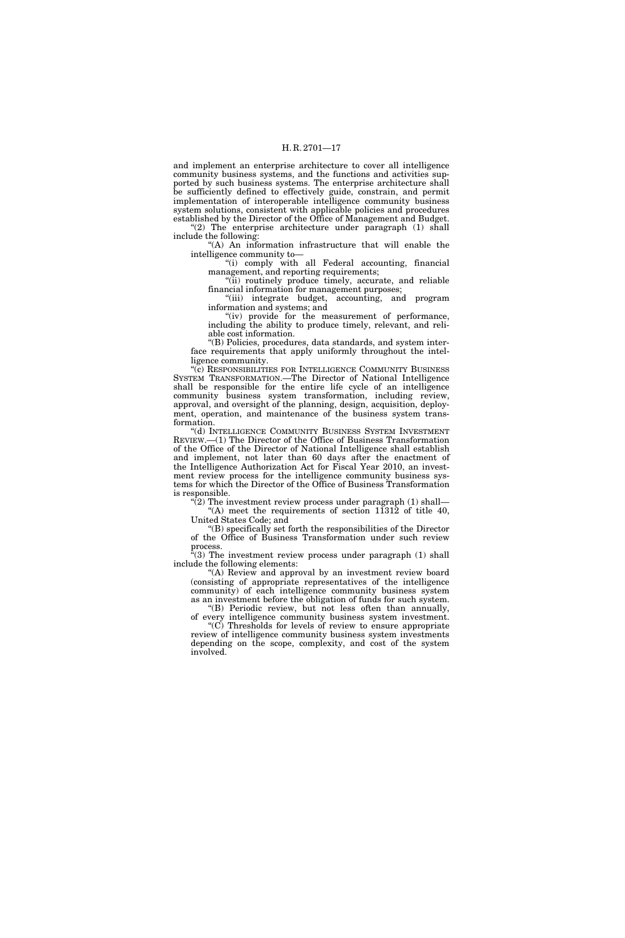and implement an enterprise architecture to cover all intelligence community business systems, and the functions and activities supported by such business systems. The enterprise architecture shall be sufficiently defined to effectively guide, constrain, and permit implementation of interoperable intelligence community business system solutions, consistent with applicable policies and procedures established by the Director of the Office of Management and Budget.

"(2) The enterprise architecture under paragraph (1) shall include the following:

''(A) An information infrastructure that will enable the intelligence community to—

"(i) comply with all Federal accounting, financial management, and reporting requirements;

"(ii) routinely produce timely, accurate, and reliable financial information for management purposes;

''(iii) integrate budget, accounting, and program information and systems; and

"(iv) provide for the measurement of performance, including the ability to produce timely, relevant, and reliable cost information.

''(B) Policies, procedures, data standards, and system interface requirements that apply uniformly throughout the intelligence community.

''(c) RESPONSIBILITIES FOR INTELLIGENCE COMMUNITY BUSINESS SYSTEM TRANSFORMATION.—The Director of National Intelligence shall be responsible for the entire life cycle of an intelligence community business system transformation, including review, approval, and oversight of the planning, design, acquisition, deployment, operation, and maintenance of the business system transformation.

"(d) INTELLIGENCE COMMUNITY BUSINESS SYSTEM INVESTMENT REVIEW.—(1) The Director of the Office of Business Transformation of the Office of the Director of National Intelligence shall establish and implement, not later than 60 days after the enactment of the Intelligence Authorization Act for Fiscal Year 2010, an investment review process for the intelligence community business systems for which the Director of the Office of Business Transformation is responsible.

 $\mathcal{L}(2)$  The investment review process under paragraph (1) shall— "(A) meet the requirements of section  $11312$  of title 40, United States Code; and

''(B) specifically set forth the responsibilities of the Director of the Office of Business Transformation under such review process.

 $\sqrt{4}$ (3) The investment review process under paragraph (1) shall include the following elements:

''(A) Review and approval by an investment review board (consisting of appropriate representatives of the intelligence community) of each intelligence community business system as an investment before the obligation of funds for such system. ''(B) Periodic review, but not less often than annually,

of every intelligence community business system investment. " $(C)$  Thresholds for levels of review to ensure appropriate review of intelligence community business system investments depending on the scope, complexity, and cost of the system involved.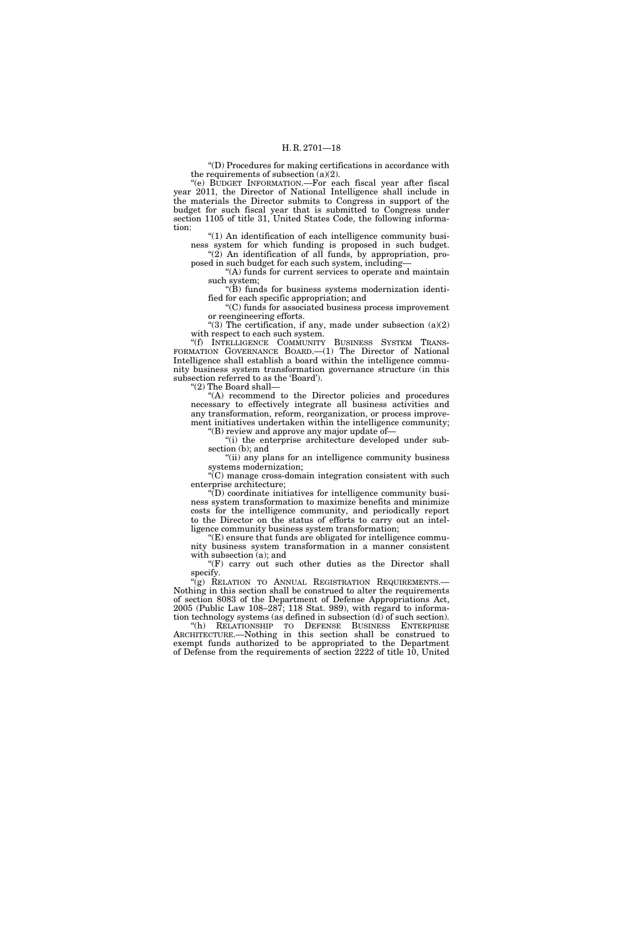''(D) Procedures for making certifications in accordance with the requirements of subsection  $(a)(2)$ .

''(e) BUDGET INFORMATION.—For each fiscal year after fiscal year 2011, the Director of National Intelligence shall include in the materials the Director submits to Congress in support of the budget for such fiscal year that is submitted to Congress under section 1105 of title 31, United States Code, the following information:

" $(1)$  An identification of each intelligence community business system for which funding is proposed in such budget. "(2) An identification of all funds, by appropriation, pro-

posed in such budget for each such system, including— ''(A) funds for current services to operate and maintain

such system;  $\mathrm{``}(\mathrm{B})$  funds for business systems modernization identi-

fied for each specific appropriation; and

''(C) funds for associated business process improvement or reengineering efforts.

"(3) The certification, if any, made under subsection  $(a)(2)$ with respect to each such system.

''(f) INTELLIGENCE COMMUNITY BUSINESS SYSTEM TRANS-FORMATION GOVERNANCE BOARD.—(1) The Director of National Intelligence shall establish a board within the intelligence community business system transformation governance structure (in this subsection referred to as the 'Board').

''(2) The Board shall—

''(A) recommend to the Director policies and procedures necessary to effectively integrate all business activities and any transformation, reform, reorganization, or process improvement initiatives undertaken within the intelligence community;

''(B) review and approve any major update of— ''(i) the enterprise architecture developed under sub-

section (b); and "(ii) any plans for an intelligence community business systems modernization;

''(C) manage cross-domain integration consistent with such enterprise architecture;

''(D) coordinate initiatives for intelligence community business system transformation to maximize benefits and minimize costs for the intelligence community, and periodically report to the Director on the status of efforts to carry out an intelligence community business system transformation;

''(E) ensure that funds are obligated for intelligence community business system transformation in a manner consistent with subsection (a); and

"(F) carry out such other duties as the Director shall specify.

"(g) RELATION TO ANNUAL REGISTRATION REQUIREMENTS.— Nothing in this section shall be construed to alter the requirements of section 8083 of the Department of Defense Appropriations Act, 2005 (Public Law 108–287; 118 Stat. 989), with regard to information technology systems (as defined in subsection (d) of such section).

''(h) RELATIONSHIP TO DEFENSE BUSINESS ENTERPRISE ARCHITECTURE.—Nothing in this section shall be construed to exempt funds authorized to be appropriated to the Department of Defense from the requirements of section 2222 of title 10, United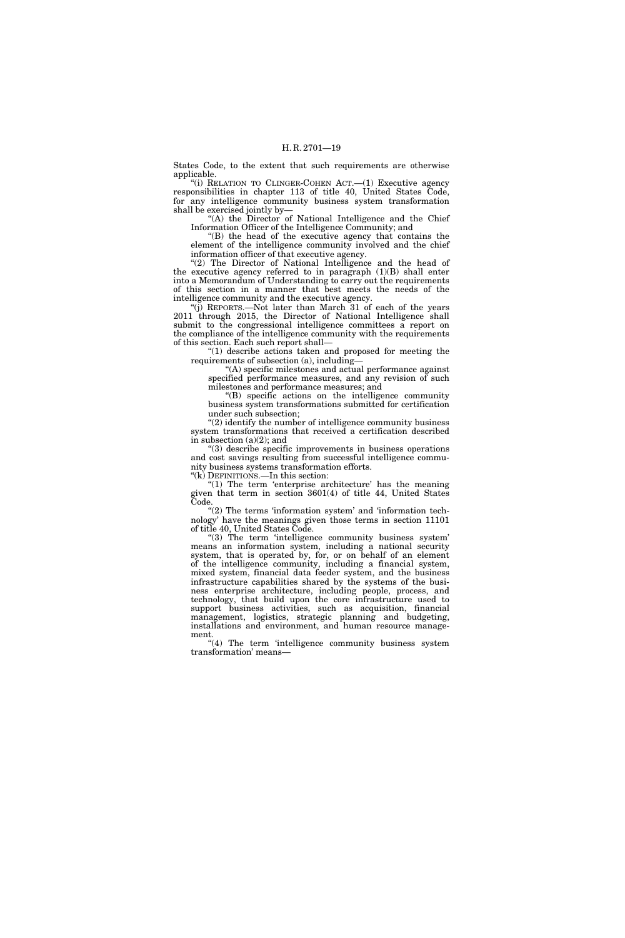States Code, to the extent that such requirements are otherwise applicable.

"(i) RELATION TO CLINGER-COHEN ACT.—(1) Executive agency responsibilities in chapter 113 of title 40, United States Code, for any intelligence community business system transformation shall be exercised jointly by—

"(A) the Director of National Intelligence and the Chief Information Officer of the Intelligence Community; and

''(B) the head of the executive agency that contains the element of the intelligence community involved and the chief information officer of that executive agency.

"(2) The Director of National Intelligence and the head of the executive agency referred to in paragraph (1)(B) shall enter into a Memorandum of Understanding to carry out the requirements of this section in a manner that best meets the needs of the intelligence community and the executive agency.

''(j) REPORTS.—Not later than March 31 of each of the years 2011 through 2015, the Director of National Intelligence shall submit to the congressional intelligence committees a report on the compliance of the intelligence community with the requirements of this section. Each such report shall—

 $(1)$  describe actions taken and proposed for meeting the requirements of subsection (a), including—

'(A) specific milestones and actual performance against specified performance measures, and any revision of such milestones and performance measures; and

''(B) specific actions on the intelligence community business system transformations submitted for certification under such subsection;

''(2) identify the number of intelligence community business system transformations that received a certification described in subsection (a)(2); and

''(3) describe specific improvements in business operations and cost savings resulting from successful intelligence community business systems transformation efforts.

''(k) DEFINITIONS.—In this section:

" $(1)$  The term 'enterprise architecture' has the meaning given that term in section 3601(4) of title 44, United States Code.

" $(2)$  The terms 'information system' and 'information technology' have the meanings given those terms in section 11101 of title 40, United States Code.

"(3) The term 'intelligence community business system' means an information system, including a national security system, that is operated by, for, or on behalf of an element of the intelligence community, including a financial system, mixed system, financial data feeder system, and the business infrastructure capabilities shared by the systems of the business enterprise architecture, including people, process, and technology, that build upon the core infrastructure used to support business activities, such as acquisition, financial management, logistics, strategic planning and budgeting, installations and environment, and human resource management.

"(4) The term 'intelligence community business system transformation' means—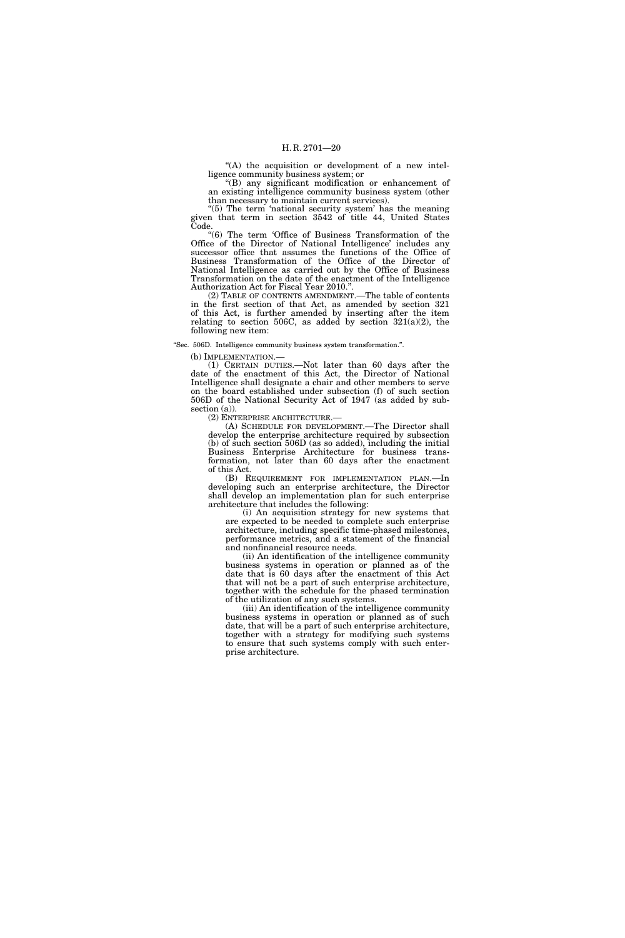"(A) the acquisition or development of a new intelligence community business system; or

''(B) any significant modification or enhancement of an existing intelligence community business system (other than necessary to maintain current services).

" $(5)$  The term 'national security system' has the meaning given that term in section 3542 of title 44, United States Code.

''(6) The term 'Office of Business Transformation of the Office of the Director of National Intelligence' includes any successor office that assumes the functions of the Office of Business Transformation of the Office of the Director of National Intelligence as carried out by the Office of Business Transformation on the date of the enactment of the Intelligence Authorization Act for Fiscal Year 2010.''.

(2) TABLE OF CONTENTS AMENDMENT.—The table of contents in the first section of that Act, as amended by section 321 of this Act, is further amended by inserting after the item relating to section 506C, as added by section  $321(a)(2)$ , the following new item:

''Sec. 506D. Intelligence community business system transformation.''.

(b) IMPLEMENTATION.—

(1) CERTAIN DUTIES.—Not later than 60 days after the date of the enactment of this Act, the Director of National Intelligence shall designate a chair and other members to serve on the board established under subsection (f) of such section 506D of the National Security Act of 1947 (as added by sub- $\text{section} \text{ (a)}$ .<br>(2) ENTERPRISE ARCHITECTURE.—

(A) SCHEDULE FOR DEVELOPMENT.—The Director shall develop the enterprise architecture required by subsection (b) of such section 506D (as so added), including the initial Business Enterprise Architecture for business transformation, not later than 60 days after the enactment of this Act.

(B) REQUIREMENT FOR IMPLEMENTATION PLAN.—In developing such an enterprise architecture, the Director shall develop an implementation plan for such enterprise architecture that includes the following:

(i) An acquisition strategy for new systems that are expected to be needed to complete such enterprise architecture, including specific time-phased milestones, performance metrics, and a statement of the financial and nonfinancial resource needs.

(ii) An identification of the intelligence community business systems in operation or planned as of the date that is 60 days after the enactment of this Act that will not be a part of such enterprise architecture, together with the schedule for the phased termination of the utilization of any such systems.

(iii) An identification of the intelligence community business systems in operation or planned as of such date, that will be a part of such enterprise architecture, together with a strategy for modifying such systems to ensure that such systems comply with such enterprise architecture.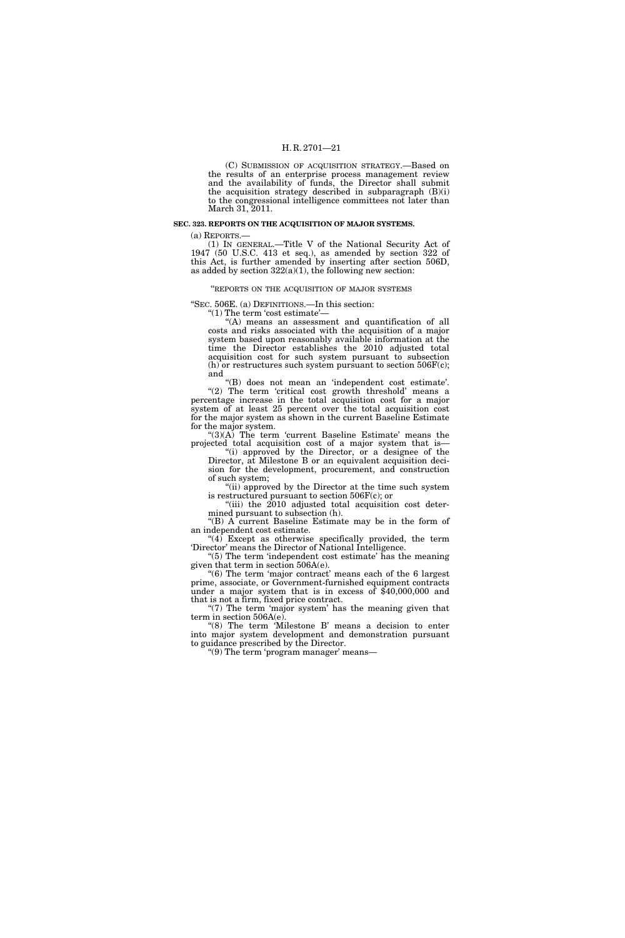(C) SUBMISSION OF ACQUISITION STRATEGY.—Based on the results of an enterprise process management review and the availability of funds, the Director shall submit the acquisition strategy described in subparagraph (B)(i) to the congressional intelligence committees not later than March 31, 2011.

#### **SEC. 323. REPORTS ON THE ACQUISITION OF MAJOR SYSTEMS.**

(a) REPORTS.—

(1) IN GENERAL.—Title V of the National Security Act of 1947 (50 U.S.C. 413 et seq.), as amended by section 322 of this Act, is further amended by inserting after section 506D, as added by section  $322(a)(1)$ , the following new section:

''REPORTS ON THE ACQUISITION OF MAJOR SYSTEMS

''SEC. 506E. (a) DEFINITIONS.—In this section:

''(1) The term 'cost estimate'—

''(A) means an assessment and quantification of all costs and risks associated with the acquisition of a major system based upon reasonably available information at the time the Director establishes the 2010 adjusted total acquisition cost for such system pursuant to subsection (h) or restructures such system pursuant to section  $506F(c)$ ; and

''(B) does not mean an 'independent cost estimate'. "(2) The term 'critical cost growth threshold' means a percentage increase in the total acquisition cost for a major system of at least 25 percent over the total acquisition cost for the major system as shown in the current Baseline Estimate for the major system.

" $(3)(A)$  The term 'current Baseline Estimate' means the projected total acquisition cost of a major system that is—

''(i) approved by the Director, or a designee of the Director, at Milestone B or an equivalent acquisition decision for the development, procurement, and construction of such system;

''(ii) approved by the Director at the time such system is restructured pursuant to section 506F(c); or

"(iii) the 2010 adjusted total acquisition cost determined pursuant to subsection (h).

"(B)  $\Lambda$  current Baseline Estimate may be in the form of an independent cost estimate.

" $(4)$  Except as otherwise specifically provided, the term 'Director' means the Director of National Intelligence. ''(5) The term 'independent cost estimate' has the meaning

given that term in section 506A(e). ''(6) The term 'major contract' means each of the 6 largest prime, associate, or Government-furnished equipment contracts

under a major system that is in excess of \$40,000,000 and that is not a firm, fixed price contract.

" $(7)$  The term 'major system' has the meaning given that term in section 506A(e). "(8) The term 'Milestone B' means a decision to enter

into major system development and demonstration pursuant to guidance prescribed by the Director.

''(9) The term 'program manager' means—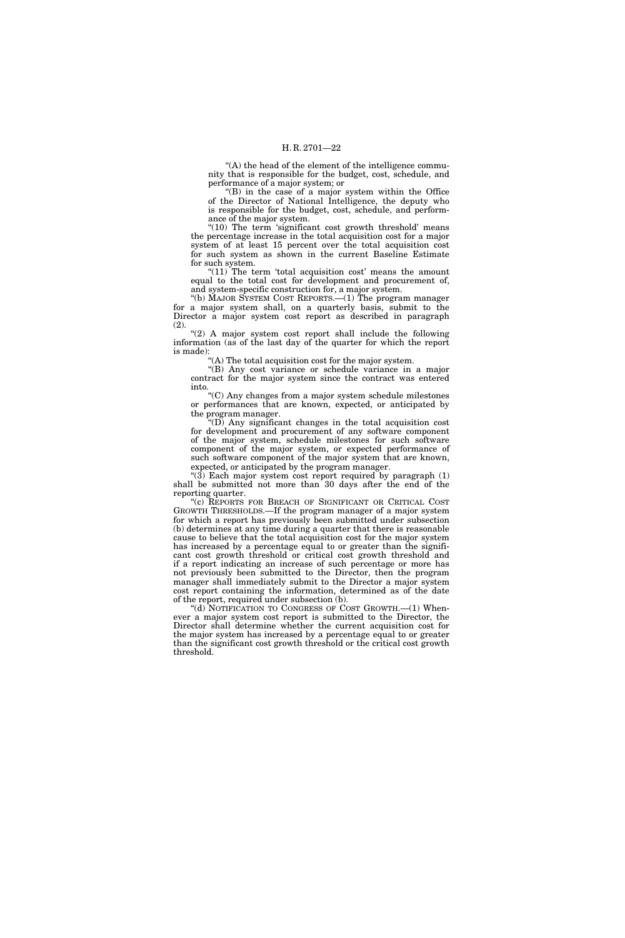"(A) the head of the element of the intelligence community that is responsible for the budget, cost, schedule, and performance of a major system; or

(B) in the case of a major system within the Office of the Director of National Intelligence, the deputy who is responsible for the budget, cost, schedule, and performance of the major system.

"(10) The term 'significant cost growth threshold' means the percentage increase in the total acquisition cost for a major system of at least 15 percent over the total acquisition cost for such system as shown in the current Baseline Estimate for such system.

" $(11)$  The term 'total acquisition cost' means the amount equal to the total cost for development and procurement of, and system-specific construction for, a major system.

''(b) MAJOR SYSTEM COST REPORTS.—(1) The program manager for a major system shall, on a quarterly basis, submit to the Director a major system cost report as described in paragraph (2).

" $(2)$  A major system cost report shall include the following information (as of the last day of the quarter for which the report is made):

''(A) The total acquisition cost for the major system.

"(B) Any cost variance or schedule variance in a major contract for the major system since the contract was entered into.

''(C) Any changes from a major system schedule milestones or performances that are known, expected, or anticipated by the program manager.

 $'(D)$  Any significant changes in the total acquisition cost for development and procurement of any software component of the major system, schedule milestones for such software component of the major system, or expected performance of such software component of the major system that are known, expected, or anticipated by the program manager.

" $(3)$  Each major system cost report required by paragraph  $(1)$ shall be submitted not more than 30 days after the end of the reporting quarter.

''(c) REPORTS FOR BREACH OF SIGNIFICANT OR CRITICAL COST GROWTH THRESHOLDS.—If the program manager of a major system for which a report has previously been submitted under subsection (b) determines at any time during a quarter that there is reasonable cause to believe that the total acquisition cost for the major system has increased by a percentage equal to or greater than the significant cost growth threshold or critical cost growth threshold and if a report indicating an increase of such percentage or more has not previously been submitted to the Director, then the program manager shall immediately submit to the Director a major system cost report containing the information, determined as of the date of the report, required under subsection (b).

''(d) NOTIFICATION TO CONGRESS OF COST GROWTH.—(1) Whenever a major system cost report is submitted to the Director, the Director shall determine whether the current acquisition cost for the major system has increased by a percentage equal to or greater than the significant cost growth threshold or the critical cost growth threshold.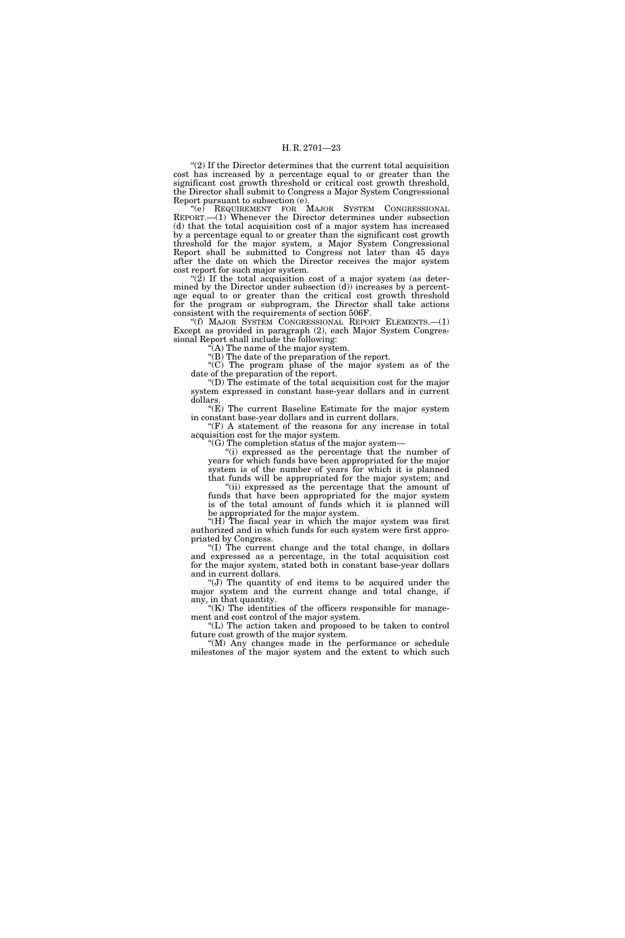''(2) If the Director determines that the current total acquisition cost has increased by a percentage equal to or greater than the significant cost growth threshold or critical cost growth threshold, the Director shall submit to Congress a Major System Congressional Report pursuant to subsection (e).

''(e) REQUIREMENT FOR MAJOR SYSTEM CONGRESSIONAL REPORT.—(1) Whenever the Director determines under subsection (d) that the total acquisition cost of a major system has increased by a percentage equal to or greater than the significant cost growth threshold for the major system, a Major System Congressional Report shall be submitted to Congress not later than 45 days after the date on which the Director receives the major system cost report for such major system.

" $(2)$  If the total acquisition cost of a major system (as determined by the Director under subsection (d)) increases by a percentage equal to or greater than the critical cost growth threshold for the program or subprogram, the Director shall take actions consistent with the requirements of section 506F.

''(f) MAJOR SYSTEM CONGRESSIONAL REPORT ELEMENTS.—(1) Except as provided in paragraph (2), each Major System Congressional Report shall include the following:

 $\mathcal{F}(A)$  The name of the major system.

''(B) The date of the preparation of the report.

 $\mathcal{C}(C)$  The program phase of the major system as of the date of the preparation of the report.

''(D) The estimate of the total acquisition cost for the major system expressed in constant base-year dollars and in current dollars.

 $E(E)$  The current Baseline Estimate for the major system in constant base-year dollars and in current dollars.

 $(F)$  A statement of the reasons for any increase in total acquisition cost for the major system.

"(G) The completion status of the major system—

"(i) expressed as the percentage that the number of years for which funds have been appropriated for the major system is of the number of years for which it is planned that funds will be appropriated for the major system; and

''(ii) expressed as the percentage that the amount of funds that have been appropriated for the major system is of the total amount of funds which it is planned will be appropriated for the major system.

''(H) The fiscal year in which the major system was first authorized and in which funds for such system were first appropriated by Congress.

''(I) The current change and the total change, in dollars and expressed as a percentage, in the total acquisition cost for the major system, stated both in constant base-year dollars and in current dollars.

''(J) The quantity of end items to be acquired under the major system and the current change and total change, if any, in that quantity.

"(K) The identities of the officers responsible for management and cost control of the major system.

''(L) The action taken and proposed to be taken to control future cost growth of the major system.

''(M) Any changes made in the performance or schedule milestones of the major system and the extent to which such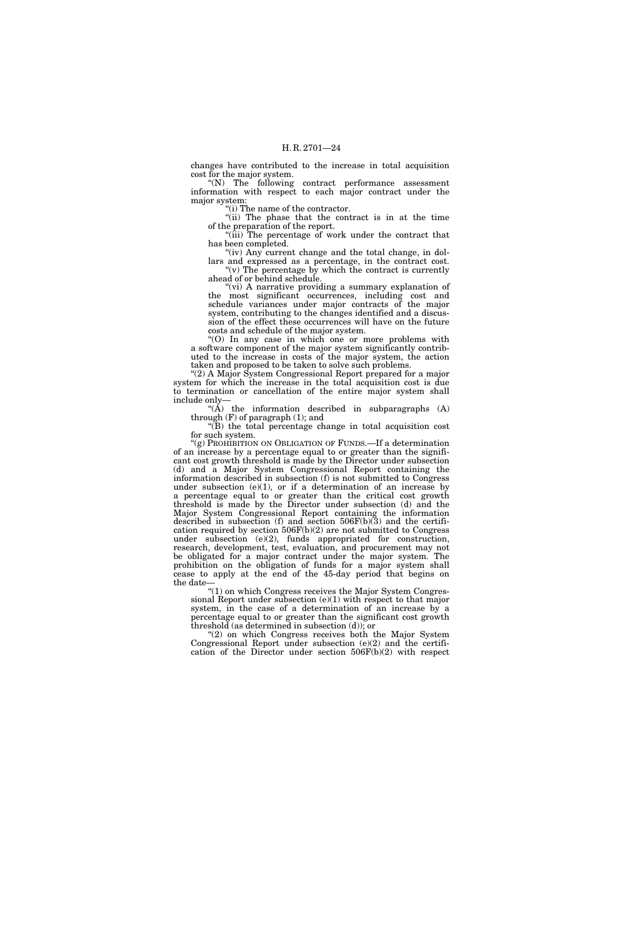changes have contributed to the increase in total acquisition cost for the major system.

''(N) The following contract performance assessment information with respect to each major contract under the major system:

''(i) The name of the contractor.

''(ii) The phase that the contract is in at the time of the preparation of the report.

''(iii) The percentage of work under the contract that has been completed.

"(iv) Any current change and the total change, in dollars and expressed as a percentage, in the contract cost.  $f'(v)$  The percentage by which the contract is currently

ahead of or behind schedule. "(vi) A narrative providing a summary explanation of the most significant occurrences, including cost and schedule variances under major contracts of the major

system, contributing to the changes identified and a discussion of the effect these occurrences will have on the future costs and schedule of the major system.

''(O) In any case in which one or more problems with a software component of the major system significantly contributed to the increase in costs of the major system, the action taken and proposed to be taken to solve such problems.

''(2) A Major System Congressional Report prepared for a major system for which the increase in the total acquisition cost is due to termination or cancellation of the entire major system shall include only—

"( $\hat{A}$ ) the information described in subparagraphs  $(A)$ through (F) of paragraph (1); and

''(B) the total percentage change in total acquisition cost for such system.

"(g) PROHIBITION ON OBLIGATION OF FUNDS.—If a determination of an increase by a percentage equal to or greater than the significant cost growth threshold is made by the Director under subsection (d) and a Major System Congressional Report containing the information described in subsection (f) is not submitted to Congress under subsection  $(e)(1)$ , or if a determination of an increase by a percentage equal to or greater than the critical cost growth threshold is made by the Director under subsection (d) and the Major System Congressional Report containing the information described in subsection (f) and section  $506F(b)(3)$  and the certification required by section 506F(b)(2) are not submitted to Congress under subsection (e)(2), funds appropriated for construction, research, development, test, evaluation, and procurement may not be obligated for a major contract under the major system. The prohibition on the obligation of funds for a major system shall cease to apply at the end of the 45-day period that begins on the date—

''(1) on which Congress receives the Major System Congressional Report under subsection (e)(1) with respect to that major system, in the case of a determination of an increase by a percentage equal to or greater than the significant cost growth threshold (as determined in subsection (d)); or

''(2) on which Congress receives both the Major System Congressional Report under subsection (e)(2) and the certification of the Director under section 506F(b)(2) with respect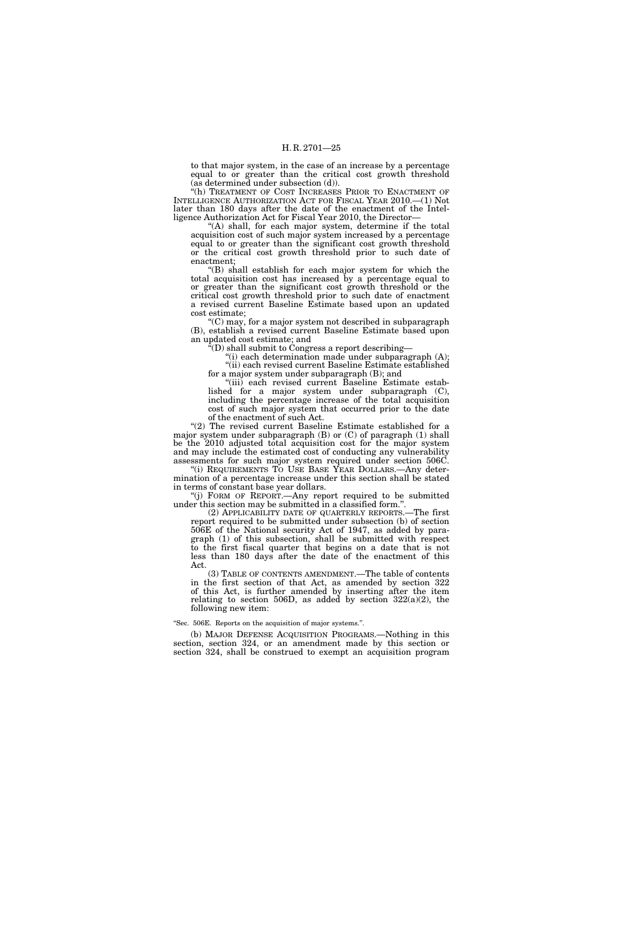to that major system, in the case of an increase by a percentage equal to or greater than the critical cost growth threshold (as determined under subsection (d)).

''(h) TREATMENT OF COST INCREASES PRIOR TO ENACTMENT OF INTELLIGENCE AUTHORIZATION ACT FOR FISCAL YEAR 2010.—(1) Not later than 180 days after the date of the enactment of the Intelligence Authorization Act for Fiscal Year 2010, the Director—

"(A) shall, for each major system, determine if the total acquisition cost of such major system increased by a percentage equal to or greater than the significant cost growth threshold or the critical cost growth threshold prior to such date of enactment;

''(B) shall establish for each major system for which the total acquisition cost has increased by a percentage equal to or greater than the significant cost growth threshold or the critical cost growth threshold prior to such date of enactment a revised current Baseline Estimate based upon an updated cost estimate;

''(C) may, for a major system not described in subparagraph (B), establish a revised current Baseline Estimate based upon an updated cost estimate; and

''(D) shall submit to Congress a report describing—

"(i) each determination made under subparagraph (A); ''(ii) each revised current Baseline Estimate established for a major system under subparagraph (B); and

"(iii) each revised current Baseline Estimate established for a major system under subparagraph (C), including the percentage increase of the total acquisition cost of such major system that occurred prior to the date of the enactment of such Act.

"(2) The revised current Baseline Estimate established for a major system under subparagraph (B) or (C) of paragraph (1) shall be the 2010 adjusted total acquisition cost for the major system and may include the estimated cost of conducting any vulnerability assessments for such major system required under section 506C. ''(i) REQUIREMENTS TO USE BASE YEAR DOLLARS.—Any deter-

mination of a percentage increase under this section shall be stated in terms of constant base year dollars.

''(j) FORM OF REPORT.—Any report required to be submitted under this section may be submitted in a classified form."

(2) APPLICABILITY DATE OF QUARTERLY REPORTS.—The first report required to be submitted under subsection (b) of section 506E of the National security Act of 1947, as added by paragraph (1) of this subsection, shall be submitted with respect to the first fiscal quarter that begins on a date that is not less than 180 days after the date of the enactment of this Act.

(3) TABLE OF CONTENTS AMENDMENT.—The table of contents in the first section of that Act, as amended by section 322 of this Act, is further amended by inserting after the item relating to section 506D, as added by section  $322(a)(2)$ , the following new item:

''Sec. 506E. Reports on the acquisition of major systems.''.

(b) MAJOR DEFENSE ACQUISITION PROGRAMS.—Nothing in this section, section 324, or an amendment made by this section or section 324, shall be construed to exempt an acquisition program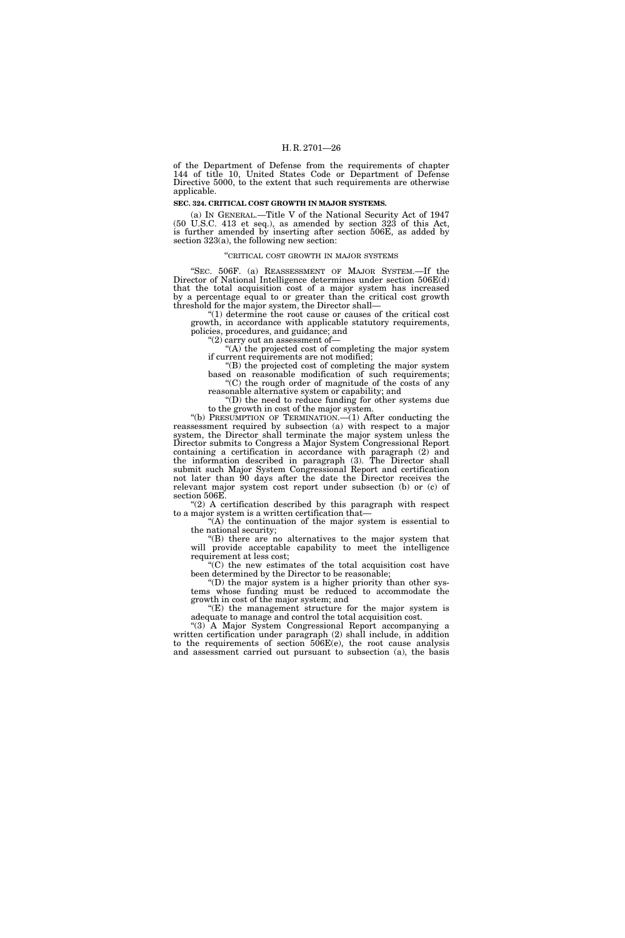of the Department of Defense from the requirements of chapter 144 of title 10, United States Code or Department of Defense Directive 5000, to the extent that such requirements are otherwise applicable.

#### **SEC. 324. CRITICAL COST GROWTH IN MAJOR SYSTEMS.**

(a) IN GENERAL.—Title V of the National Security Act of 1947 (50 U.S.C. 413 et seq.), as amended by section 323 of this Act, is further amended by inserting after section 506E, as added by section 323(a), the following new section:

#### ''CRITICAL COST GROWTH IN MAJOR SYSTEMS

''SEC. 506F. (a) REASSESSMENT OF MAJOR SYSTEM.—If the Director of National Intelligence determines under section 506E(d) that the total acquisition cost of a major system has increased by a percentage equal to or greater than the critical cost growth threshold for the major system, the Director shall—

''(1) determine the root cause or causes of the critical cost growth, in accordance with applicable statutory requirements, policies, procedures, and guidance; and

''(2) carry out an assessment of—

''(A) the projected cost of completing the major system if current requirements are not modified;

''(B) the projected cost of completing the major system based on reasonable modification of such requirements;  $(C)$  the rough order of magnitude of the costs of any reasonable alternative system or capability; and

''(D) the need to reduce funding for other systems due to the growth in cost of the major system.

''(b) PRESUMPTION OF TERMINATION.—(1) After conducting the reassessment required by subsection (a) with respect to a major system, the Director shall terminate the major system unless the Director submits to Congress a Major System Congressional Report containing a certification in accordance with paragraph (2) and the information described in paragraph (3). The Director shall submit such Major System Congressional Report and certification not later than 90 days after the date the Director receives the relevant major system cost report under subsection (b) or (c) of section 506E.

 $(2)$  A certification described by this paragraph with respect to a major system is a written certification that—

"(A) the continuation of the major system is essential to the national security;

''(B) there are no alternatives to the major system that will provide acceptable capability to meet the intelligence requirement at less cost;

''(C) the new estimates of the total acquisition cost have been determined by the Director to be reasonable;

''(D) the major system is a higher priority than other systems whose funding must be reduced to accommodate the growth in cost of the major system; and

 $E(E)$  the management structure for the major system is adequate to manage and control the total acquisition cost.

''(3) A Major System Congressional Report accompanying a written certification under paragraph (2) shall include, in addition to the requirements of section 506E(e), the root cause analysis and assessment carried out pursuant to subsection (a), the basis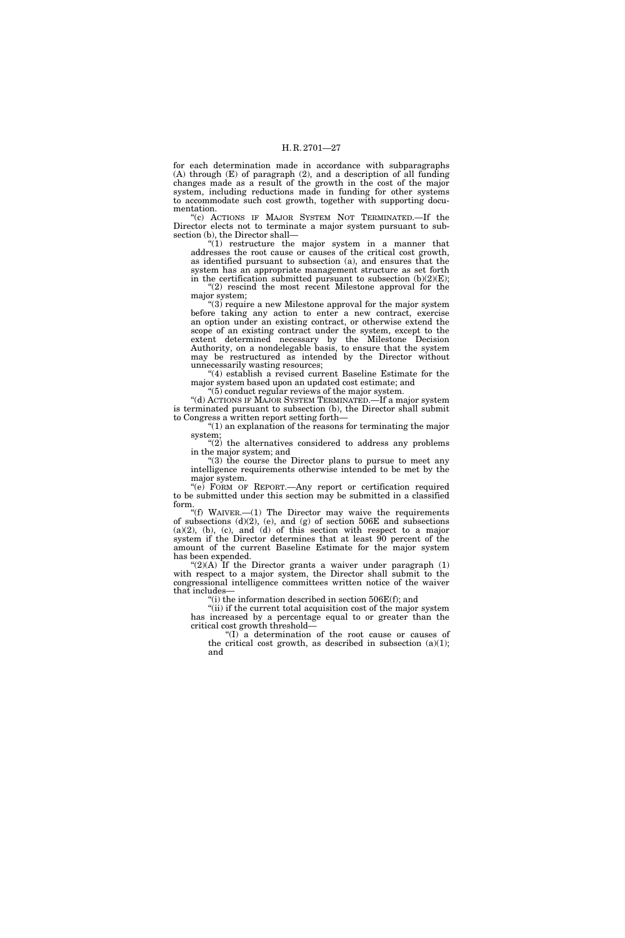for each determination made in accordance with subparagraphs (A) through (E) of paragraph (2), and a description of all funding changes made as a result of the growth in the cost of the major system, including reductions made in funding for other systems to accommodate such cost growth, together with supporting documentation.

''(c) ACTIONS IF MAJOR SYSTEM NOT TERMINATED.—If the Director elects not to terminate a major system pursuant to subsection (b), the Director shall—

" $(1)$  restructure the major system in a manner that addresses the root cause or causes of the critical cost growth, as identified pursuant to subsection (a), and ensures that the system has an appropriate management structure as set forth in the certification submitted pursuant to subsection  $(b)(2)(E)$ ;

 $(2)$  rescind the most recent Milestone approval for the major system;

"(3) require a new Milestone approval for the major system before taking any action to enter a new contract, exercise an option under an existing contract, or otherwise extend the scope of an existing contract under the system, except to the extent determined necessary by the Milestone Decision Authority, on a nondelegable basis, to ensure that the system may be restructured as intended by the Director without unnecessarily wasting resources;

''(4) establish a revised current Baseline Estimate for the major system based upon an updated cost estimate; and " $(5)$  conduct regular reviews of the major system.

''(d) ACTIONS IF MAJOR SYSTEM TERMINATED.—If a major system is terminated pursuant to subsection (b), the Director shall submit to Congress a written report setting forth—

''(1) an explanation of the reasons for terminating the major system;

 $(2)$  the alternatives considered to address any problems in the major system; and

''(3) the course the Director plans to pursue to meet any intelligence requirements otherwise intended to be met by the major system.

''(e) FORM OF REPORT.—Any report or certification required to be submitted under this section may be submitted in a classified form.

''(f) WAIVER.—(1) The Director may waive the requirements of subsections  $(d)(2)$ ,  $(e)$ , and  $(g)$  of section 506E and subsections  $(a)(2)$ ,  $(b)$ ,  $(c)$ , and  $(d)$  of this section with respect to a major system if the Director determines that at least 90 percent of the amount of the current Baseline Estimate for the major system has been expended.

" $(2)(A)$  If the Director grants a waiver under paragraph  $(1)$ with respect to a major system, the Director shall submit to the congressional intelligence committees written notice of the waiver that includes—

"(i) the information described in section  $506E(f)$ ; and

''(ii) if the current total acquisition cost of the major system has increased by a percentage equal to or greater than the critical cost growth threshold—

''(I) a determination of the root cause or causes of the critical cost growth, as described in subsection  $(a)(1)$ ; and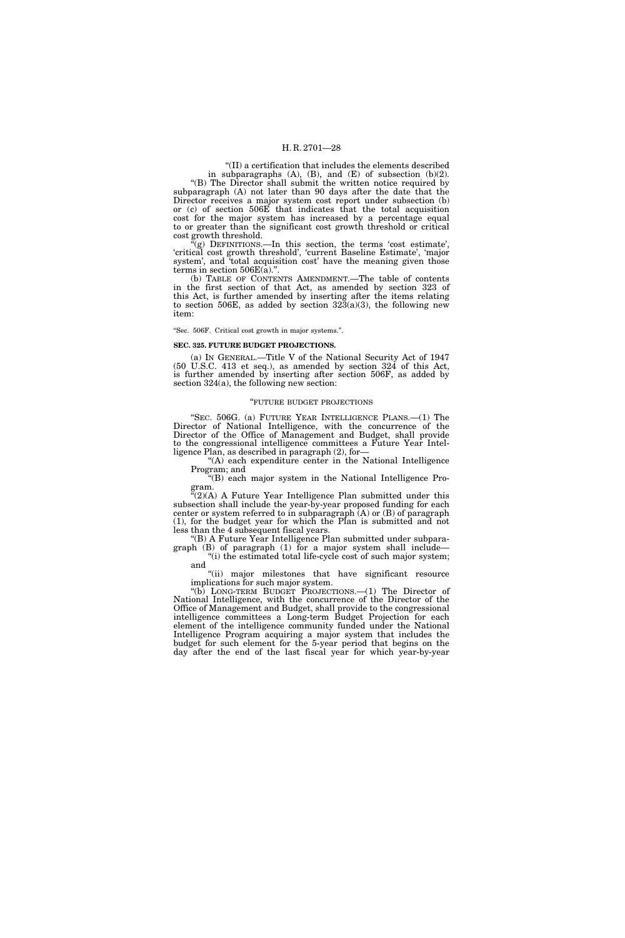''(II) a certification that includes the elements described in subparagraphs  $(A)$ ,  $(B)$ , and  $(E)$  of subsection  $(b)(2)$ . ''(B) The Director shall submit the written notice required by subparagraph (A) not later than 90 days after the date that the Director receives a major system cost report under subsection (b) or (c) of section 506E that indicates that the total acquisition cost for the major system has increased by a percentage equal to or greater than the significant cost growth threshold or critical cost growth threshold.

 $C(g)$  DEFINITIONS.—In this section, the terms 'cost estimate', 'critical cost growth threshold', 'current Baseline Estimate', 'major system', and 'total acquisition cost' have the meaning given those terms in section 506E(a).''.

(b) TABLE OF CONTENTS AMENDMENT.—The table of contents in the first section of that Act, as amended by section 323 of this Act, is further amended by inserting after the items relating to section 506E, as added by section  $323(a)(3)$ , the following new item:

#### ''Sec. 506F. Critical cost growth in major systems.''.

#### **SEC. 325. FUTURE BUDGET PROJECTIONS.**

(a) IN GENERAL.—Title V of the National Security Act of 1947 (50 U.S.C. 413 et seq.), as amended by section 324 of this Act, is further amended by inserting after section 506F, as added by section 324(a), the following new section:

#### ''FUTURE BUDGET PROJECTIONS

''SEC. 506G. (a) FUTURE YEAR INTELLIGENCE PLANS.—(1) The Director of National Intelligence, with the concurrence of the Director of the Office of Management and Budget, shall provide to the congressional intelligence committees a Future Year Intelligence Plan, as described in paragraph (2), for—

"(A) each expenditure center in the National Intelligence Program; and

''(B) each major system in the National Intelligence Program.

 $\tilde{f}(2)$ (A) A Future Year Intelligence Plan submitted under this subsection shall include the year-by-year proposed funding for each center or system referred to in subparagraph  $(A)$  or  $(B)$  of paragraph (1), for the budget year for which the Plan is submitted and not less than the 4 subsequent fiscal years.

''(B) A Future Year Intelligence Plan submitted under subparagraph (B) of paragraph (1) for a major system shall include— "(i) the estimated total life-cycle cost of such major system;

and "(ii) major milestones that have significant resource

implications for such major system. ''(b) LONG-TERM BUDGET PROJECTIONS.—(1) The Director of National Intelligence, with the concurrence of the Director of the Office of Management and Budget, shall provide to the congressional intelligence committees a Long-term Budget Projection for each element of the intelligence community funded under the National Intelligence Program acquiring a major system that includes the budget for such element for the 5-year period that begins on the day after the end of the last fiscal year for which year-by-year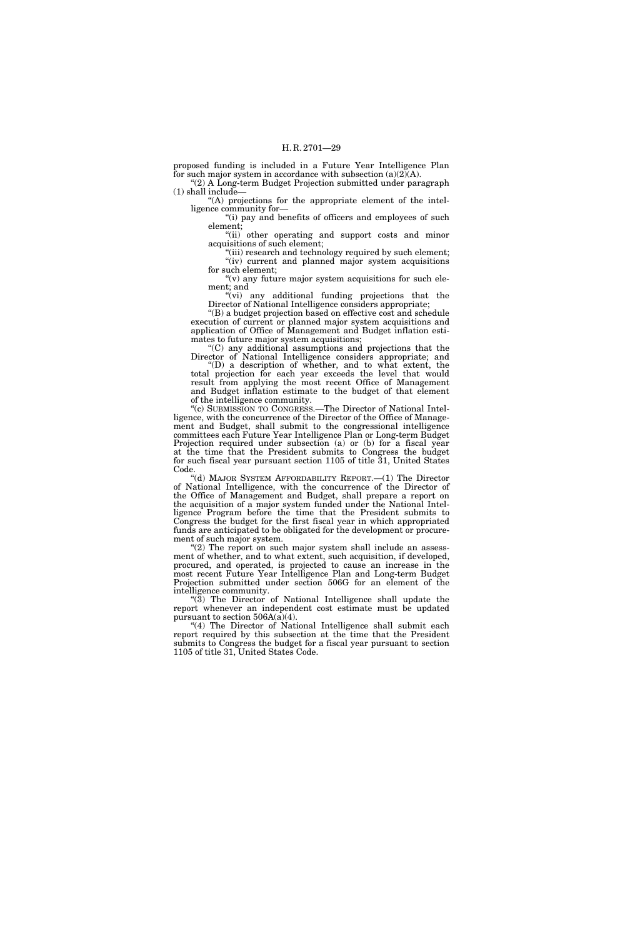proposed funding is included in a Future Year Intelligence Plan for such major system in accordance with subsection  $(a)(2)(A)$ . (2) A Long-term Budget Projection submitted under paragraph

(1) shall include—

''(A) projections for the appropriate element of the intelligence community for—

"(i) pay and benefits of officers and employees of such element;

''(ii) other operating and support costs and minor acquisitions of such element;

"(iii) research and technology required by such element; "(iv) current and planned major system acquisitions for such element;

" $(v)$  any future major system acquisitions for such element; and

''(vi) any additional funding projections that the Director of National Intelligence considers appropriate;

''(B) a budget projection based on effective cost and schedule execution of current or planned major system acquisitions and application of Office of Management and Budget inflation estimates to future major system acquisitions;

''(C) any additional assumptions and projections that the Director of National Intelligence considers appropriate; and

''(D) a description of whether, and to what extent, the total projection for each year exceeds the level that would result from applying the most recent Office of Management and Budget inflation estimate to the budget of that element of the intelligence community.

''(c) SUBMISSION TO CONGRESS.—The Director of National Intelligence, with the concurrence of the Director of the Office of Management and Budget, shall submit to the congressional intelligence committees each Future Year Intelligence Plan or Long-term Budget Projection required under subsection (a) or (b) for a fiscal year at the time that the President submits to Congress the budget for such fiscal year pursuant section 1105 of title 31, United States Code.

"(d) MAJOR SYSTEM AFFORDABILITY REPORT.—(1) The Director of National Intelligence, with the concurrence of the Director of the Office of Management and Budget, shall prepare a report on the acquisition of a major system funded under the National Intelligence Program before the time that the President submits to Congress the budget for the first fiscal year in which appropriated funds are anticipated to be obligated for the development or procurement of such major system.

 $(2)$  The report on such major system shall include an assessment of whether, and to what extent, such acquisition, if developed, procured, and operated, is projected to cause an increase in the most recent Future Year Intelligence Plan and Long-term Budget Projection submitted under section 506G for an element of the intelligence community.

" $(\overline{3})$  The Director of National Intelligence shall update the report whenever an independent cost estimate must be updated pursuant to section  $506A(a)(4)$ .

"(4) The Director of National Intelligence shall submit each report required by this subsection at the time that the President submits to Congress the budget for a fiscal year pursuant to section 1105 of title 31, United States Code.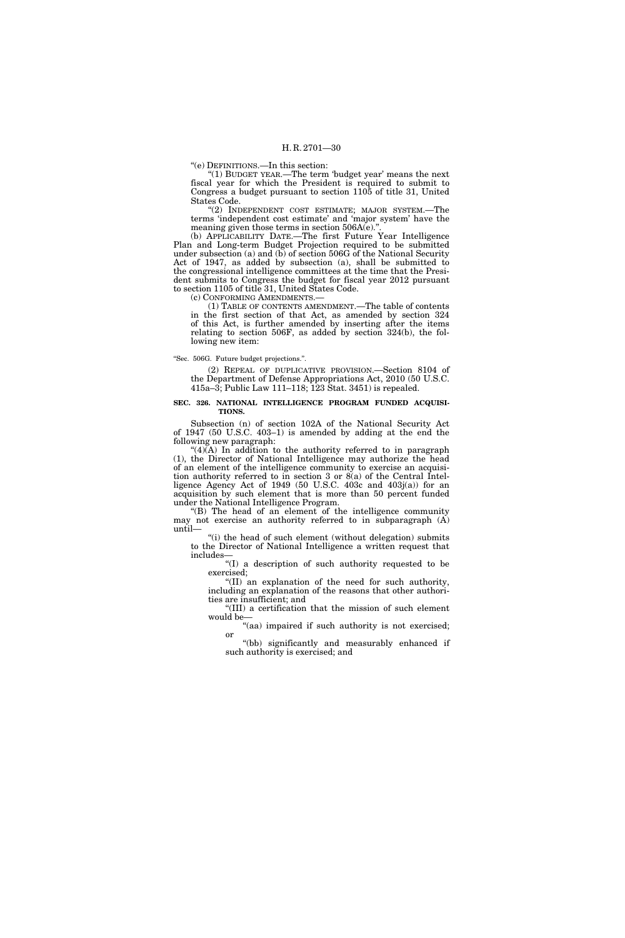''(e) DEFINITIONS.—In this section:

" $(1)$  BUDGET YEAR.—The term 'budget year' means the next fiscal year for which the President is required to submit to Congress a budget pursuant to section 1105 of title 31, United States Code.

"(2) INDEPENDENT COST ESTIMATE; MAJOR SYSTEM.—The terms 'independent cost estimate' and 'major system' have the meaning given those terms in section 506A(e)."

(b) APPLICABILITY DATE.—The first Future Year Intelligence Plan and Long-term Budget Projection required to be submitted under subsection (a) and (b) of section 506G of the National Security Act of 1947, as added by subsection (a), shall be submitted to the congressional intelligence committees at the time that the President submits to Congress the budget for fiscal year 2012 pursuant to section 1105 of title 31, United States Code.

(c) CONFORMING AMENDMENTS.—

(1) TABLE OF CONTENTS AMENDMENT.—The table of contents in the first section of that Act, as amended by section 324 of this Act, is further amended by inserting after the items relating to section 506F, as added by section 324(b), the following new item:

#### ''Sec. 506G. Future budget projections.''.

(2) REPEAL OF DUPLICATIVE PROVISION.—Section 8104 of the Department of Defense Appropriations Act, 2010 (50 U.S.C. 415a–3; Public Law 111–118; 123 Stat. 3451) is repealed.

#### **SEC. 326. NATIONAL INTELLIGENCE PROGRAM FUNDED ACQUISI-TIONS.**

Subsection (n) of section 102A of the National Security Act of 1947 (50 U.S.C. 403–1) is amended by adding at the end the following new paragraph:

" $(4)(A)$  In addition to the authority referred to in paragraph (1), the Director of National Intelligence may authorize the head of an element of the intelligence community to exercise an acquisition authority referred to in section 3 or 8(a) of the Central Intelligence Agency Act of 1949 (50 U.S.C. 403c and 403j(a)) for an acquisition by such element that is more than 50 percent funded under the National Intelligence Program.

''(B) The head of an element of the intelligence community may not exercise an authority referred to in subparagraph (A) until—

"(i) the head of such element (without delegation) submits to the Director of National Intelligence a written request that includes—

''(I) a description of such authority requested to be exercised;

''(II) an explanation of the need for such authority, including an explanation of the reasons that other authorities are insufficient; and

''(III) a certification that the mission of such element would be—

"(aa) impaired if such authority is not exercised; or

''(bb) significantly and measurably enhanced if such authority is exercised; and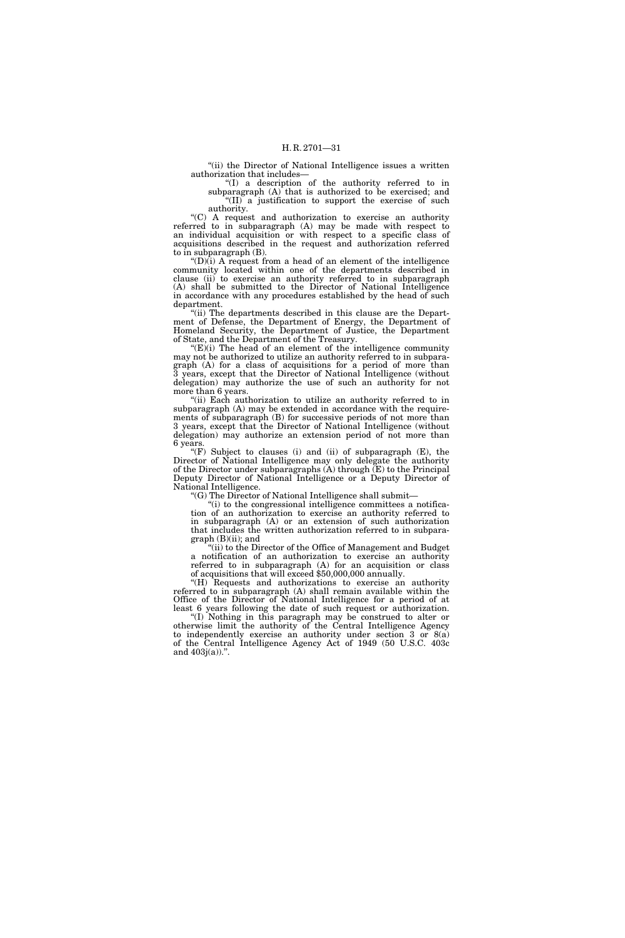''(ii) the Director of National Intelligence issues a written authorization that includes—

''(I) a description of the authority referred to in subparagraph  $(A)$  that is authorized to be exercised; and "(II) a justification to support the exercise of such authority.

''(C) A request and authorization to exercise an authority referred to in subparagraph (A) may be made with respect to an individual acquisition or with respect to a specific class of acquisitions described in the request and authorization referred to in subparagraph (B).

" $(D)$  $(i)$  A request from a head of an element of the intelligence community located within one of the departments described in clause (ii) to exercise an authority referred to in subparagraph (A) shall be submitted to the Director of National Intelligence in accordance with any procedures established by the head of such department.

"(ii) The departments described in this clause are the Department of Defense, the Department of Energy, the Department of Homeland Security, the Department of Justice, the Department of State, and the Department of the Treasury.

 $E(E)(i)$  The head of an element of the intelligence community may not be authorized to utilize an authority referred to in subparagraph (A) for a class of acquisitions for a period of more than 3 years, except that the Director of National Intelligence (without delegation) may authorize the use of such an authority for not more than 6 years.

''(ii) Each authorization to utilize an authority referred to in subparagraph (A) may be extended in accordance with the requirements of subparagraph (B) for successive periods of not more than 3 years, except that the Director of National Intelligence (without delegation) may authorize an extension period of not more than 6 years.

''(F) Subject to clauses (i) and (ii) of subparagraph (E), the Director of National Intelligence may only delegate the authority of the Director under subparagraphs  $(A)$  through  $(E)$  to the Principal Deputy Director of National Intelligence or a Deputy Director of National Intelligence.

''(G) The Director of National Intelligence shall submit—

''(i) to the congressional intelligence committees a notification of an authorization to exercise an authority referred to in subparagraph (A) or an extension of such authorization that includes the written authorization referred to in subpara $graph(B)(ii)$ ; and

"(ii) to the Director of the Office of Management and Budget a notification of an authorization to exercise an authority referred to in subparagraph (A) for an acquisition or class of acquisitions that will exceed \$50,000,000 annually.

''(H) Requests and authorizations to exercise an authority referred to in subparagraph (A) shall remain available within the Office of the Director of National Intelligence for a period of at least 6 years following the date of such request or authorization.

''(I) Nothing in this paragraph may be construed to alter or otherwise limit the authority of the Central Intelligence Agency to independently exercise an authority under section 3 or  $8(a)$ of the Central Intelligence Agency Act of 1949 (50 U.S.C. 403c and  $403j(a)$ .".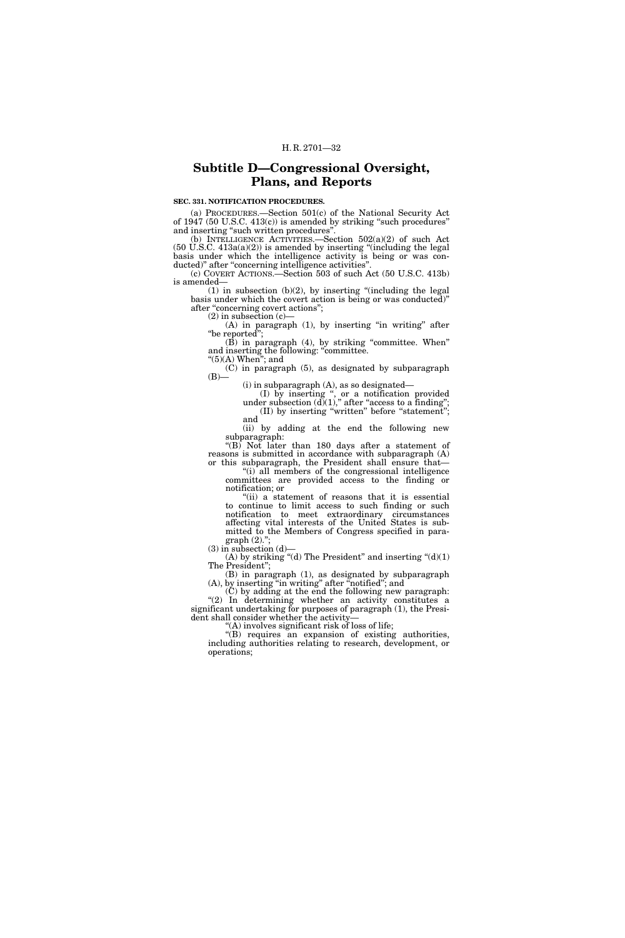### **Subtitle D—Congressional Oversight, Plans, and Reports**

#### **SEC. 331. NOTIFICATION PROCEDURES.**

(a) PROCEDURES.—Section 501(c) of the National Security Act of  $1947$  (50 U.S.C.  $413(c)$ ) is amended by striking "such procedures" and inserting "such written procedures".

(b) INTELLIGENCE ACTIVITIES.—Section  $502(a)(2)$  of such Act  $(50 \text{ U.S.C. } 413a(a)(2))$  is amended by inserting "(including the legal basis under which the intelligence activity is being or was conducted)" after "concerning intelligence activities"

(c) COVERT ACTIONS.—Section 503 of such Act (50 U.S.C. 413b) is amended—

 $(1)$  in subsection  $(b)(2)$ , by inserting "(including the legal basis under which the covert action is being or was conducted)'' after "concerning covert actions";

 $(2)$  in subsection  $(c)$ —

 $(A)$  in paragraph  $(1)$ , by inserting "in writing" after "be reported";

(B) in paragraph (4), by striking ''committee. When'' and inserting the following: ''committee.

" $(5)$ (A) When"; and

(C) in paragraph (5), as designated by subparagraph  $(B)$ —

(i) in subparagraph (A), as so designated— (I) by inserting '', or a notification provided under subsection  $(d)(1)$ ," after "access to a finding"; (II) by inserting ''written'' before ''statement''; and

(ii) by adding at the end the following new subparagraph:

" $(B)$  Not later than 180 days after a statement of reasons is submitted in accordance with subparagraph (A) or this subparagraph, the President shall ensure that—

"(i) all members of the congressional intelligence" committees are provided access to the finding or notification; or

"(ii) a statement of reasons that it is essential to continue to limit access to such finding or such notification to meet extraordinary circumstances affecting vital interests of the United States is submitted to the Members of Congress specified in paragraph  $(2)."$ 

(3) in subsection (d)—

(A) by striking "(d) The President" and inserting " $(d)(1)$ The President'';

(B) in paragraph (1), as designated by subparagraph (A), by inserting ''in writing'' after ''notified''; and

(C) by adding at the end the following new paragraph: "(2) In determining whether an activity constitutes a significant undertaking for purposes of paragraph (1), the President shall consider whether the activity—

''(A) involves significant risk of loss of life;

''(B) requires an expansion of existing authorities, including authorities relating to research, development, or operations;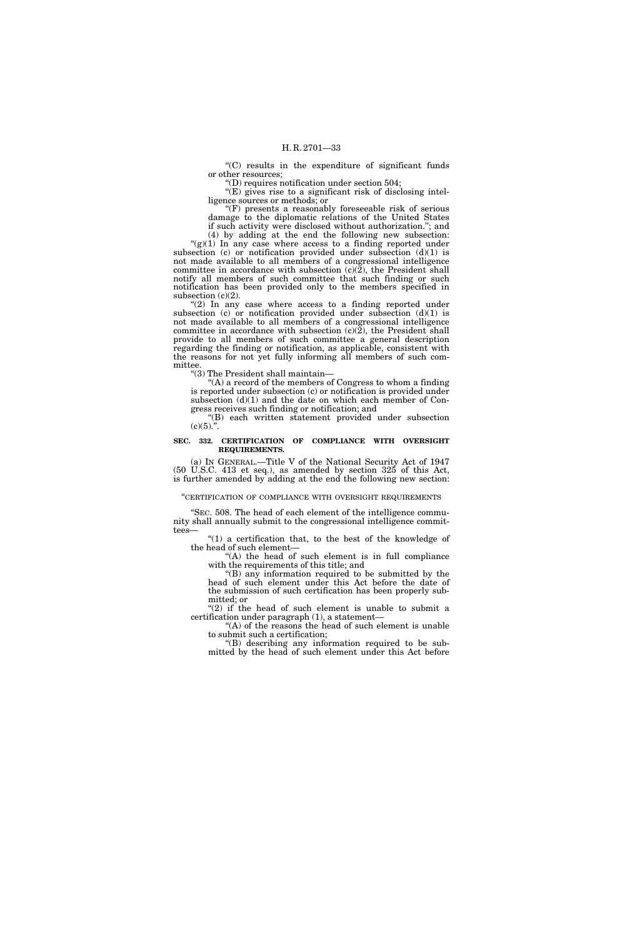''(C) results in the expenditure of significant funds or other resources;

''(D) requires notification under section 504;

 $\sqrt{\text{E}}$ ) gives rise to a significant risk of disclosing intelligence sources or methods; or

''(F) presents a reasonably foreseeable risk of serious damage to the diplomatic relations of the United States if such activity were disclosed without authorization.''; and

(4) by adding at the end the following new subsection: " $(g)(1)$  In any case where access to a finding reported under subsection (c) or notification provided under subsection  $(d)(1)$  is not made available to all members of a congressional intelligence committee in accordance with subsection (c)(2), the President shall notify all members of such committee that such finding or such notification has been provided only to the members specified in subsection  $(c)(2)$ .

" $(2)$  In any case where access to a finding reported under subsection (c) or notification provided under subsection  $(d)(1)$  is not made available to all members of a congressional intelligence committee in accordance with subsection  $(c)(2)$ , the President shall provide to all members of such committee a general description regarding the finding or notification, as applicable, consistent with the reasons for not yet fully informing all members of such committee.

''(3) The President shall maintain—

''(A) a record of the members of Congress to whom a finding is reported under subsection (c) or notification is provided under subsection (d)(1) and the date on which each member of Congress receives such finding or notification; and

''(B) each written statement provided under subsection  $(c)(5)$ .".

#### **SEC. 332. CERTIFICATION OF COMPLIANCE WITH OVERSIGHT REQUIREMENTS.**

(a) IN GENERAL.—Title V of the National Security Act of 1947 (50 U.S.C. 413 et seq.), as amended by section 325 of this Act, is further amended by adding at the end the following new section:

''CERTIFICATION OF COMPLIANCE WITH OVERSIGHT REQUIREMENTS

''SEC. 508. The head of each element of the intelligence community shall annually submit to the congressional intelligence committees—

" $(1)$  a certification that, to the best of the knowledge of the head of such element—

''(A) the head of such element is in full compliance with the requirements of this title; and

''(B) any information required to be submitted by the head of such element under this Act before the date of the submission of such certification has been properly submitted; or

" $(2)$  if the head of such element is unable to submit a certification under paragraph (1), a statement—

"(A) of the reasons the head of such element is unable to submit such a certification;

''(B) describing any information required to be submitted by the head of such element under this Act before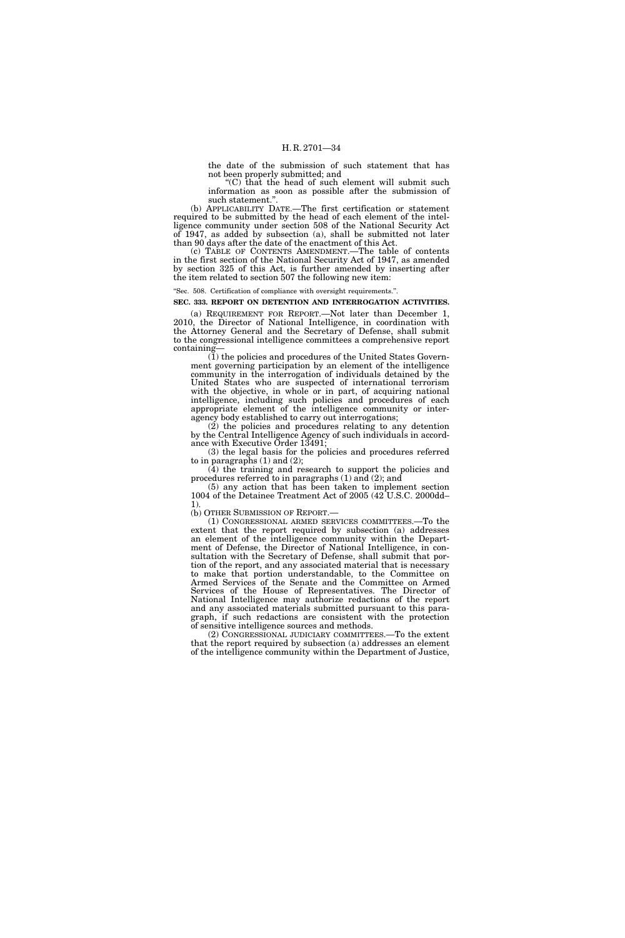the date of the submission of such statement that has not been properly submitted; and

''(C) that the head of such element will submit such information as soon as possible after the submission of such statement."

(b) APPLICABILITY DATE.—The first certification or statement required to be submitted by the head of each element of the intelligence community under section 508 of the National Security Act of 1947, as added by subsection (a), shall be submitted not later than 90 days after the date of the enactment of this Act.

(c) TABLE OF CONTENTS AMENDMENT.—The table of contents in the first section of the National Security Act of 1947, as amended by section 325 of this Act, is further amended by inserting after the item related to section 507 the following new item:

#### ''Sec. 508. Certification of compliance with oversight requirements.''.

#### **SEC. 333. REPORT ON DETENTION AND INTERROGATION ACTIVITIES.**

(a) REQUIREMENT FOR REPORT.—Not later than December 1, 2010, the Director of National Intelligence, in coordination with the Attorney General and the Secretary of Defense, shall submit to the congressional intelligence committees a comprehensive report containing—

(1) the policies and procedures of the United States Government governing participation by an element of the intelligence community in the interrogation of individuals detained by the United States who are suspected of international terrorism with the objective, in whole or in part, of acquiring national intelligence, including such policies and procedures of each appropriate element of the intelligence community or interagency body established to carry out interrogations;

(2) the policies and procedures relating to any detention by the Central Intelligence Agency of such individuals in accordance with Executive Order 13491;

(3) the legal basis for the policies and procedures referred to in paragraphs  $(1)$  and  $(2)$ ;

(4) the training and research to support the policies and procedures referred to in paragraphs (1) and (2); and

(5) any action that has been taken to implement section 1004 of the Detainee Treatment Act of 2005 (42 U.S.C. 2000dd– 1).

(b) OTHER SUBMISSION OF REPORT.—

(1) CONGRESSIONAL ARMED SERVICES COMMITTEES.—To the extent that the report required by subsection (a) addresses an element of the intelligence community within the Department of Defense, the Director of National Intelligence, in consultation with the Secretary of Defense, shall submit that portion of the report, and any associated material that is necessary to make that portion understandable, to the Committee on Armed Services of the Senate and the Committee on Armed Services of the House of Representatives. The Director of National Intelligence may authorize redactions of the report and any associated materials submitted pursuant to this paragraph, if such redactions are consistent with the protection of sensitive intelligence sources and methods.

(2) CONGRESSIONAL JUDICIARY COMMITTEES.—To the extent that the report required by subsection (a) addresses an element of the intelligence community within the Department of Justice,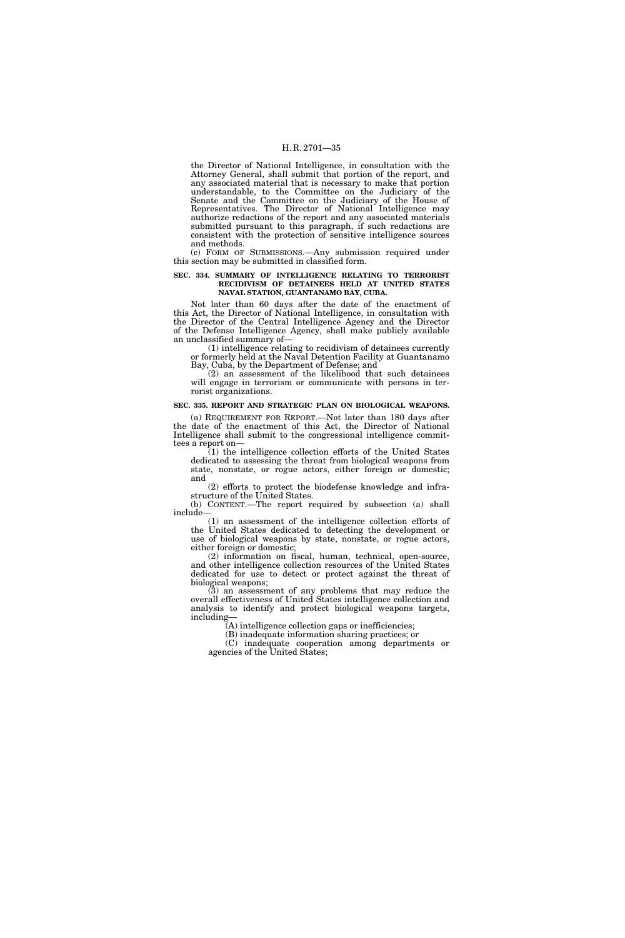the Director of National Intelligence, in consultation with the Attorney General, shall submit that portion of the report, and any associated material that is necessary to make that portion understandable, to the Committee on the Judiciary of the Senate and the Committee on the Judiciary of the House of Representatives. The Director of National Intelligence may authorize redactions of the report and any associated materials submitted pursuant to this paragraph, if such redactions are consistent with the protection of sensitive intelligence sources and methods.

(c) FORM OF SUBMISSIONS.—Any submission required under this section may be submitted in classified form.

#### **SEC. 334. SUMMARY OF INTELLIGENCE RELATING TO TERRORIST RECIDIVISM OF DETAINEES HELD AT UNITED STATES NAVAL STATION, GUANTANAMO BAY, CUBA.**

Not later than 60 days after the date of the enactment of this Act, the Director of National Intelligence, in consultation with the Director of the Central Intelligence Agency and the Director of the Defense Intelligence Agency, shall make publicly available an unclassified summary of—

(1) intelligence relating to recidivism of detainees currently or formerly held at the Naval Detention Facility at Guantanamo Bay, Cuba, by the Department of Defense; and

(2) an assessment of the likelihood that such detainees will engage in terrorism or communicate with persons in terrorist organizations.

#### **SEC. 335. REPORT AND STRATEGIC PLAN ON BIOLOGICAL WEAPONS.**

(a) REQUIREMENT FOR REPORT.—Not later than 180 days after the date of the enactment of this Act, the Director of National Intelligence shall submit to the congressional intelligence committees a report on—

(1) the intelligence collection efforts of the United States dedicated to assessing the threat from biological weapons from state, nonstate, or rogue actors, either foreign or domestic; and

(2) efforts to protect the biodefense knowledge and infrastructure of the United States.

(b) CONTENT.—The report required by subsection (a) shall include—

(1) an assessment of the intelligence collection efforts of the United States dedicated to detecting the development or use of biological weapons by state, nonstate, or rogue actors, either foreign or domestic;

(2) information on fiscal, human, technical, open-source, and other intelligence collection resources of the United States dedicated for use to detect or protect against the threat of biological weapons;

(3) an assessment of any problems that may reduce the overall effectiveness of United States intelligence collection and analysis to identify and protect biological weapons targets, including—

(A) intelligence collection gaps or inefficiencies;

(B) inadequate information sharing practices; or

(C) inadequate cooperation among departments or agencies of the United States;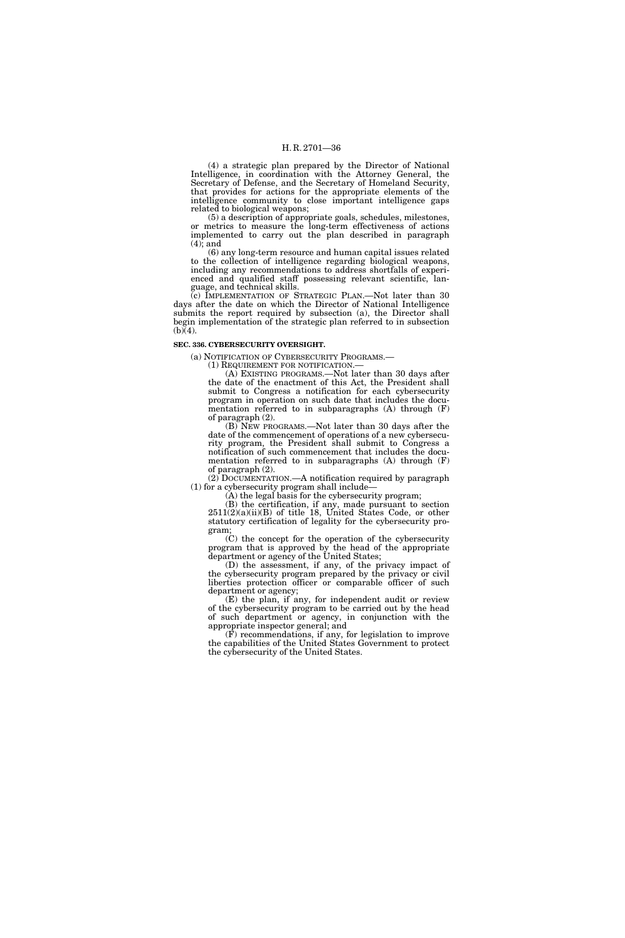(4) a strategic plan prepared by the Director of National Intelligence, in coordination with the Attorney General, the Secretary of Defense, and the Secretary of Homeland Security, that provides for actions for the appropriate elements of the intelligence community to close important intelligence gaps related to biological weapons;

(5) a description of appropriate goals, schedules, milestones, or metrics to measure the long-term effectiveness of actions implemented to carry out the plan described in paragraph (4); and

(6) any long-term resource and human capital issues related to the collection of intelligence regarding biological weapons, including any recommendations to address shortfalls of experienced and qualified staff possessing relevant scientific, language, and technical skills.

(c) IMPLEMENTATION OF STRATEGIC PLAN.—Not later than 30 days after the date on which the Director of National Intelligence submits the report required by subsection (a), the Director shall begin implementation of the strategic plan referred to in subsection  $(b)(4)$ .

#### **SEC. 336. CYBERSECURITY OVERSIGHT.**

(a) NOTIFICATION OF CYBERSECURITY PROGRAMS.—

(1) REQUIREMENT FOR NOTIFICATION.—

(A) EXISTING PROGRAMS.—Not later than 30 days after the date of the enactment of this Act, the President shall submit to Congress a notification for each cybersecurity program in operation on such date that includes the documentation referred to in subparagraphs (A) through (F) of paragraph (2).

(B) NEW PROGRAMS.—Not later than 30 days after the date of the commencement of operations of a new cybersecurity program, the President shall submit to Congress a notification of such commencement that includes the documentation referred to in subparagraphs (A) through (F) of paragraph (2).

(2) DOCUMENTATION.—A notification required by paragraph (1) for a cybersecurity program shall include—

(A) the legal basis for the cybersecurity program;

(B) the certification, if any, made pursuant to section  $2511(2)(a)(ii)(B)$  of title 18, United States Code, or other statutory certification of legality for the cybersecurity program;

(C) the concept for the operation of the cybersecurity program that is approved by the head of the appropriate department or agency of the United States;

(D) the assessment, if any, of the privacy impact of the cybersecurity program prepared by the privacy or civil liberties protection officer or comparable officer of such department or agency;

(E) the plan, if any, for independent audit or review of the cybersecurity program to be carried out by the head of such department or agency, in conjunction with the appropriate inspector general; and

(F) recommendations, if any, for legislation to improve the capabilities of the United States Government to protect the cybersecurity of the United States.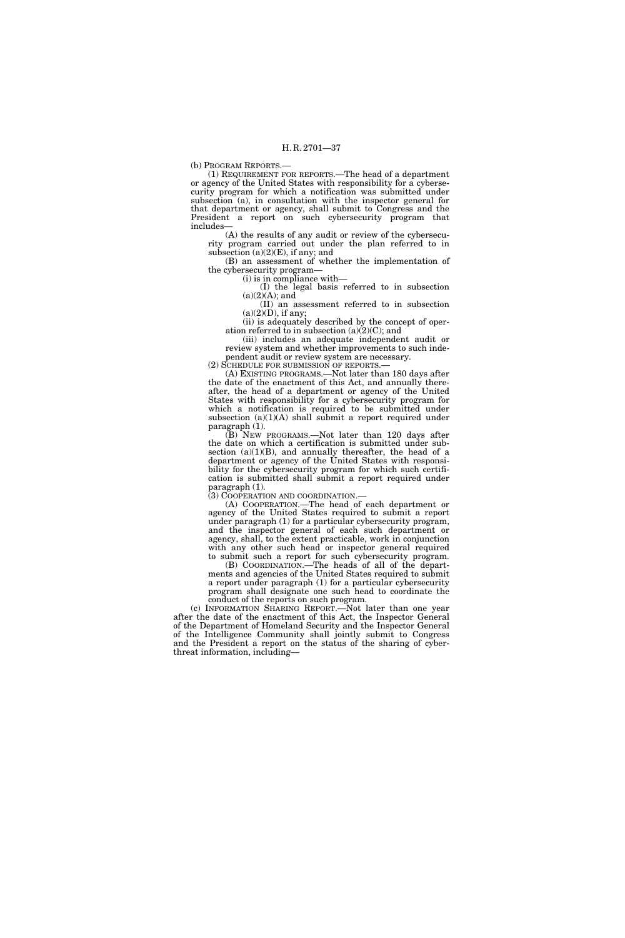(b) PROGRAM REPORTS.—

(1) REQUIREMENT FOR REPORTS.—The head of a department or agency of the United States with responsibility for a cybersecurity program for which a notification was submitted under subsection (a), in consultation with the inspector general for that department or agency, shall submit to Congress and the President a report on such cybersecurity program that includes—

(A) the results of any audit or review of the cybersecurity program carried out under the plan referred to in subsection  $(a)(2)(E)$ , if any; and

(B) an assessment of whether the implementation of the cybersecurity program—

(i) is in compliance with—

(I) the legal basis referred to in subsection  $(a)(2)(A);$  and

(II) an assessment referred to in subsection  $(a)(2)(D)$ , if any;

(ii) is adequately described by the concept of operation referred to in subsection  $(a)(2)(C)$ ; and

(iii) includes an adequate independent audit or review system and whether improvements to such independent audit or review system are necessary.

(2) SCHEDULE FOR SUBMISSION OF REPORTS.— (A) EXISTING PROGRAMS.—Not later than 180 days after the date of the enactment of this Act, and annually thereafter, the head of a department or agency of the United States with responsibility for a cybersecurity program for which a notification is required to be submitted under subsection  $(a)(1)(A)$  shall submit a report required under paragraph (1).

(B) NEW PROGRAMS.—Not later than 120 days after the date on which a certification is submitted under subsection  $(a)(1)(B)$ , and annually thereafter, the head of a department or agency of the United States with responsibility for the cybersecurity program for which such certification is submitted shall submit a report required under paragraph (1).

(3) COOPERATION AND COORDINATION.—

(A) COOPERATION.—The head of each department or agency of the United States required to submit a report under paragraph (1) for a particular cybersecurity program, and the inspector general of each such department or agency, shall, to the extent practicable, work in conjunction with any other such head or inspector general required to submit such a report for such cybersecurity program.

(B) COORDINATION.—The heads of all of the departments and agencies of the United States required to submit a report under paragraph (1) for a particular cybersecurity program shall designate one such head to coordinate the conduct of the reports on such program.

(c) INFORMATION SHARING REPORT.—Not later than one year after the date of the enactment of this Act, the Inspector General of the Department of Homeland Security and the Inspector General of the Intelligence Community shall jointly submit to Congress and the President a report on the status of the sharing of cyberthreat information, including—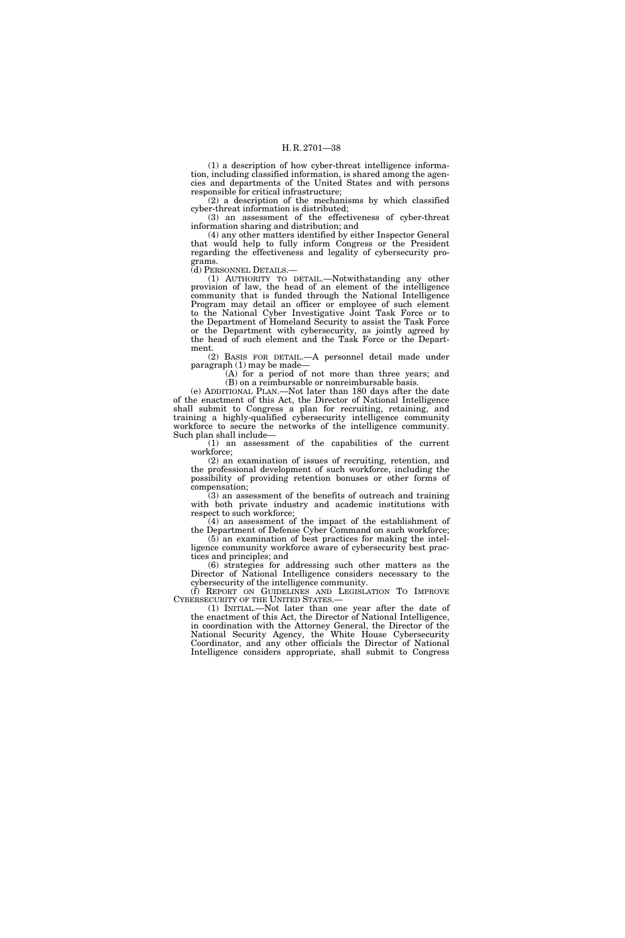(1) a description of how cyber-threat intelligence information, including classified information, is shared among the agencies and departments of the United States and with persons responsible for critical infrastructure;

(2) a description of the mechanisms by which classified cyber-threat information is distributed;

(3) an assessment of the effectiveness of cyber-threat information sharing and distribution; and

(4) any other matters identified by either Inspector General that would help to fully inform Congress or the President regarding the effectiveness and legality of cybersecurity programs.

(d) PERSONNEL DETAILS.—

(1) AUTHORITY TO DETAIL.—Notwithstanding any other provision of law, the head of an element of the intelligence community that is funded through the National Intelligence Program may detail an officer or employee of such element to the National Cyber Investigative Joint Task Force or to the Department of Homeland Security to assist the Task Force or the Department with cybersecurity, as jointly agreed by the head of such element and the Task Force or the Department.

(2) BASIS FOR DETAIL.—A personnel detail made under paragraph (1) may be made—

(A) for a period of not more than three years; and (B) on a reimbursable or nonreimbursable basis.

(e) ADDITIONAL PLAN.—Not later than 180 days after the date of the enactment of this Act, the Director of National Intelligence shall submit to Congress a plan for recruiting, retaining, and training a highly-qualified cybersecurity intelligence community workforce to secure the networks of the intelligence community. Such plan shall include—

(1) an assessment of the capabilities of the current workforce;

(2) an examination of issues of recruiting, retention, and the professional development of such workforce, including the possibility of providing retention bonuses or other forms of compensation;

(3) an assessment of the benefits of outreach and training with both private industry and academic institutions with respect to such workforce;

(4) an assessment of the impact of the establishment of the Department of Defense Cyber Command on such workforce; (5) an examination of best practices for making the intelligence community workforce aware of cybersecurity best prac-

tices and principles; and (6) strategies for addressing such other matters as the Director of National Intelligence considers necessary to the

cybersecurity of the intelligence community.

(f) REPORT ON GUIDELINES AND LEGISLATION TO IMPROVE CYBERSECURITY OF THE UNITED STATES.—

 $(1)$  INITIAL.—Not later than one year after the date of the enactment of this Act, the Director of National Intelligence, in coordination with the Attorney General, the Director of the National Security Agency, the White House Cybersecurity Coordinator, and any other officials the Director of National Intelligence considers appropriate, shall submit to Congress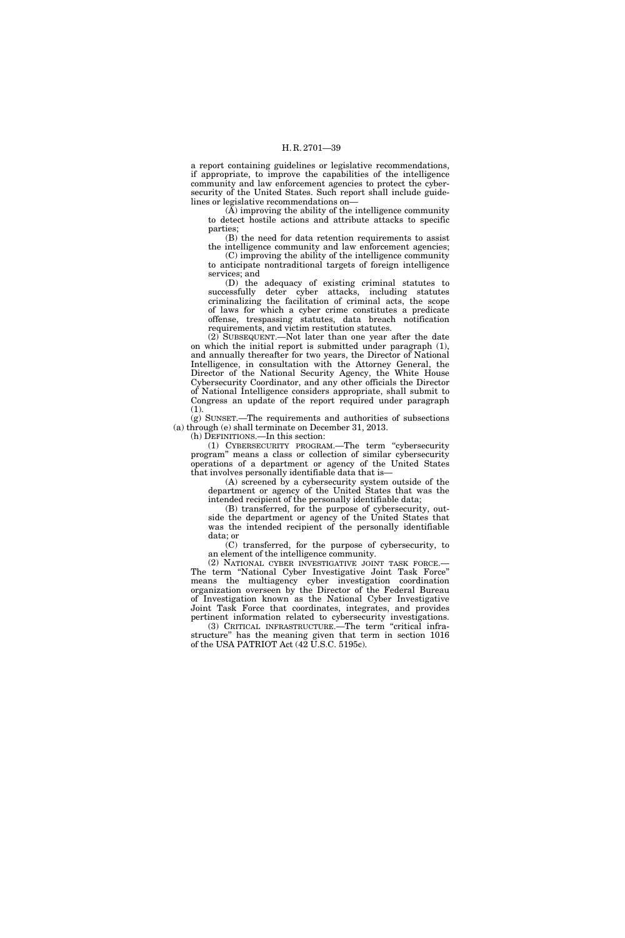a report containing guidelines or legislative recommendations, if appropriate, to improve the capabilities of the intelligence community and law enforcement agencies to protect the cybersecurity of the United States. Such report shall include guidelines or legislative recommendations on—

(A) improving the ability of the intelligence community to detect hostile actions and attribute attacks to specific parties;

(B) the need for data retention requirements to assist the intelligence community and law enforcement agencies;

(C) improving the ability of the intelligence community to anticipate nontraditional targets of foreign intelligence services; and

(D) the adequacy of existing criminal statutes to successfully deter cyber attacks, including statutes criminalizing the facilitation of criminal acts, the scope of laws for which a cyber crime constitutes a predicate offense, trespassing statutes, data breach notification requirements, and victim restitution statutes.

(2) SUBSEQUENT.—Not later than one year after the date on which the initial report is submitted under paragraph (1), and annually thereafter for two years, the Director of National Intelligence, in consultation with the Attorney General, the Director of the National Security Agency, the White House Cybersecurity Coordinator, and any other officials the Director of National Intelligence considers appropriate, shall submit to Congress an update of the report required under paragraph (1).

(g) SUNSET.—The requirements and authorities of subsections (a) through (e) shall terminate on December 31, 2013.

(h) DEFINITIONS.—In this section:

(1) CYBERSECURITY PROGRAM.—The term ''cybersecurity program'' means a class or collection of similar cybersecurity operations of a department or agency of the United States that involves personally identifiable data that is—

(A) screened by a cybersecurity system outside of the department or agency of the United States that was the intended recipient of the personally identifiable data;

(B) transferred, for the purpose of cybersecurity, outside the department or agency of the United States that was the intended recipient of the personally identifiable data; or

(C) transferred, for the purpose of cybersecurity, to an element of the intelligence community.

(2) NATIONAL CYBER INVESTIGATIVE JOINT TASK FORCE.— The term "National Cyber Investigative Joint Task Force" means the multiagency cyber investigation coordination organization overseen by the Director of the Federal Bureau of Investigation known as the National Cyber Investigative Joint Task Force that coordinates, integrates, and provides pertinent information related to cybersecurity investigations.

(3) CRITICAL INFRASTRUCTURE.—The term ''critical infrastructure'' has the meaning given that term in section 1016 of the USA PATRIOT Act (42 U.S.C. 5195c).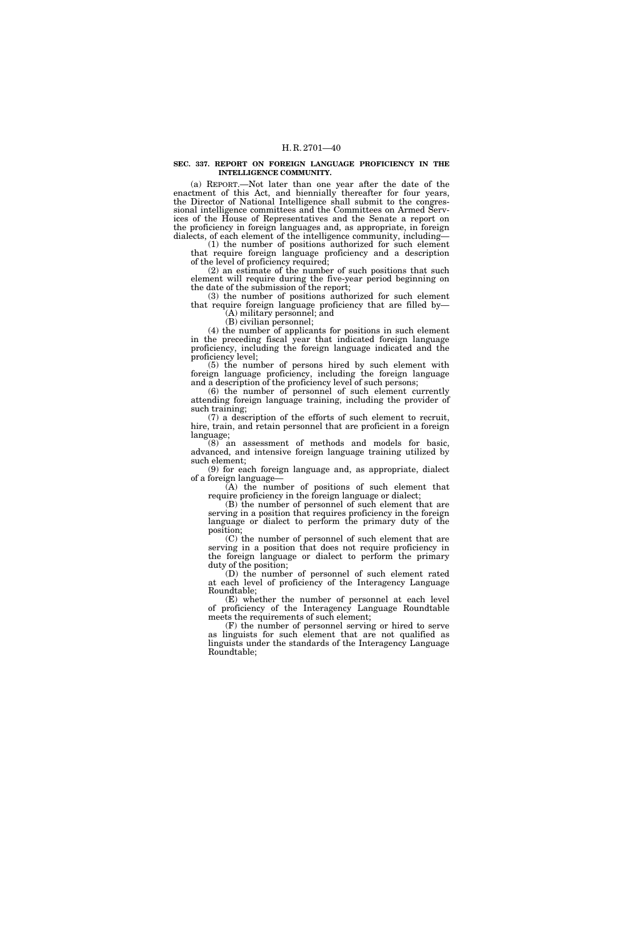#### **SEC. 337. REPORT ON FOREIGN LANGUAGE PROFICIENCY IN THE INTELLIGENCE COMMUNITY.**

(a) REPORT.—Not later than one year after the date of the enactment of this Act, and biennially thereafter for four years, the Director of National Intelligence shall submit to the congressional intelligence committees and the Committees on Armed Services of the House of Representatives and the Senate a report on the proficiency in foreign languages and, as appropriate, in foreign dialects, of each element of the intelligence community, including—

(1) the number of positions authorized for such element that require foreign language proficiency and a description of the level of proficiency required;

(2) an estimate of the number of such positions that such element will require during the five-year period beginning on the date of the submission of the report;

(3) the number of positions authorized for such element that require foreign language proficiency that are filled by— (A) military personnel; and

(B) civilian personnel;

(4) the number of applicants for positions in such element in the preceding fiscal year that indicated foreign language proficiency, including the foreign language indicated and the proficiency level;

(5) the number of persons hired by such element with foreign language proficiency, including the foreign language and a description of the proficiency level of such persons;

(6) the number of personnel of such element currently attending foreign language training, including the provider of such training;

(7) a description of the efforts of such element to recruit, hire, train, and retain personnel that are proficient in a foreign language;

(8) an assessment of methods and models for basic, advanced, and intensive foreign language training utilized by such element;

(9) for each foreign language and, as appropriate, dialect of a foreign language—

(A) the number of positions of such element that require proficiency in the foreign language or dialect;

(B) the number of personnel of such element that are serving in a position that requires proficiency in the foreign language or dialect to perform the primary duty of the position;

(C) the number of personnel of such element that are serving in a position that does not require proficiency in the foreign language or dialect to perform the primary duty of the position;

(D) the number of personnel of such element rated at each level of proficiency of the Interagency Language Roundtable;

(E) whether the number of personnel at each level of proficiency of the Interagency Language Roundtable meets the requirements of such element;

(F) the number of personnel serving or hired to serve as linguists for such element that are not qualified as linguists under the standards of the Interagency Language Roundtable;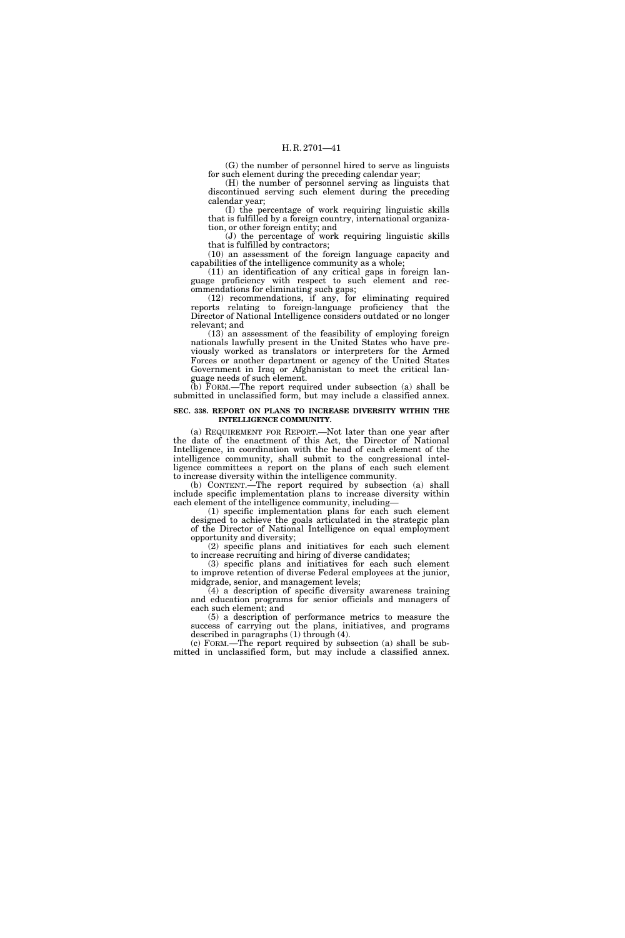(G) the number of personnel hired to serve as linguists for such element during the preceding calendar year;

(H) the number of personnel serving as linguists that discontinued serving such element during the preceding calendar year;

(I) the percentage of work requiring linguistic skills that is fulfilled by a foreign country, international organization, or other foreign entity; and

(J) the percentage of work requiring linguistic skills that is fulfilled by contractors;

(10) an assessment of the foreign language capacity and capabilities of the intelligence community as a whole;

(11) an identification of any critical gaps in foreign language proficiency with respect to such element and recommendations for eliminating such gaps;

(12) recommendations, if any, for eliminating required reports relating to foreign-language proficiency that the Director of National Intelligence considers outdated or no longer relevant; and

(13) an assessment of the feasibility of employing foreign nationals lawfully present in the United States who have previously worked as translators or interpreters for the Armed Forces or another department or agency of the United States Government in Iraq or Afghanistan to meet the critical language needs of such element.

(b) FORM.—The report required under subsection (a) shall be submitted in unclassified form, but may include a classified annex.

#### **SEC. 338. REPORT ON PLANS TO INCREASE DIVERSITY WITHIN THE INTELLIGENCE COMMUNITY.**

(a) REQUIREMENT FOR REPORT.—Not later than one year after the date of the enactment of this Act, the Director of National Intelligence, in coordination with the head of each element of the intelligence community, shall submit to the congressional intelligence committees a report on the plans of each such element to increase diversity within the intelligence community.

(b) CONTENT.—The report required by subsection (a) shall include specific implementation plans to increase diversity within each element of the intelligence community, including—

(1) specific implementation plans for each such element designed to achieve the goals articulated in the strategic plan of the Director of National Intelligence on equal employment opportunity and diversity;

(2) specific plans and initiatives for each such element to increase recruiting and hiring of diverse candidates;

(3) specific plans and initiatives for each such element to improve retention of diverse Federal employees at the junior, midgrade, senior, and management levels;

(4) a description of specific diversity awareness training and education programs for senior officials and managers of each such element; and

(5) a description of performance metrics to measure the success of carrying out the plans, initiatives, and programs described in paragraphs (1) through (4).

(c) FORM.—The report required by subsection (a) shall be submitted in unclassified form, but may include a classified annex.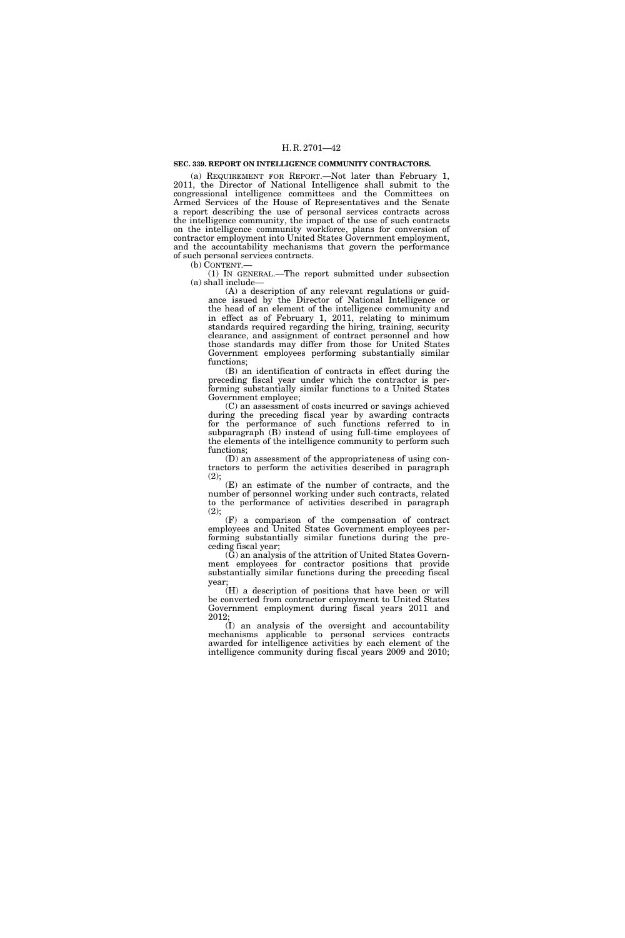## **SEC. 339. REPORT ON INTELLIGENCE COMMUNITY CONTRACTORS.**

(a) REQUIREMENT FOR REPORT.—Not later than February 1, 2011, the Director of National Intelligence shall submit to the congressional intelligence committees and the Committees on Armed Services of the House of Representatives and the Senate a report describing the use of personal services contracts across the intelligence community, the impact of the use of such contracts on the intelligence community workforce, plans for conversion of contractor employment into United States Government employment, and the accountability mechanisms that govern the performance of such personal services contracts.

(b) CONTENT.—

(1) IN GENERAL.—The report submitted under subsection (a) shall include—

(A) a description of any relevant regulations or guidance issued by the Director of National Intelligence or the head of an element of the intelligence community and in effect as of February 1, 2011, relating to minimum standards required regarding the hiring, training, security clearance, and assignment of contract personnel and how those standards may differ from those for United States Government employees performing substantially similar functions;

(B) an identification of contracts in effect during the preceding fiscal year under which the contractor is performing substantially similar functions to a United States Government employee;

(C) an assessment of costs incurred or savings achieved during the preceding fiscal year by awarding contracts for the performance of such functions referred to in subparagraph (B) instead of using full-time employees of the elements of the intelligence community to perform such functions;

(D) an assessment of the appropriateness of using contractors to perform the activities described in paragraph (2);

(E) an estimate of the number of contracts, and the number of personnel working under such contracts, related to the performance of activities described in paragraph (2);

(F) a comparison of the compensation of contract employees and United States Government employees performing substantially similar functions during the preceding fiscal year;

(G) an analysis of the attrition of United States Government employees for contractor positions that provide substantially similar functions during the preceding fiscal year;

(H) a description of positions that have been or will be converted from contractor employment to United States Government employment during fiscal years 2011 and 2012;

(I) an analysis of the oversight and accountability mechanisms applicable to personal services contracts awarded for intelligence activities by each element of the intelligence community during fiscal years 2009 and 2010;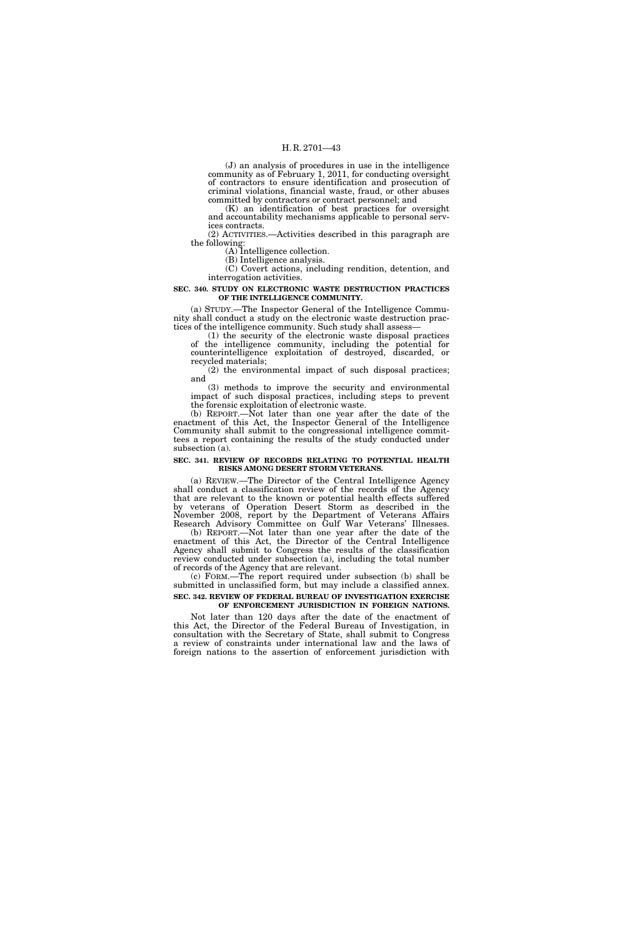(J) an analysis of procedures in use in the intelligence community as of February 1, 2011, for conducting oversight of contractors to ensure identification and prosecution of criminal violations, financial waste, fraud, or other abuses committed by contractors or contract personnel; and

(K) an identification of best practices for oversight and accountability mechanisms applicable to personal services contracts.

(2) ACTIVITIES.—Activities described in this paragraph are the following:

(A) Intelligence collection. (B) Intelligence analysis.

(C) Covert actions, including rendition, detention, and interrogation activities.

## **SEC. 340. STUDY ON ELECTRONIC WASTE DESTRUCTION PRACTICES OF THE INTELLIGENCE COMMUNITY.**

(a) STUDY.—The Inspector General of the Intelligence Community shall conduct a study on the electronic waste destruction practices of the intelligence community. Such study shall assess—

(1) the security of the electronic waste disposal practices of the intelligence community, including the potential for counterintelligence exploitation of destroyed, discarded, or recycled materials;

(2) the environmental impact of such disposal practices; and

(3) methods to improve the security and environmental impact of such disposal practices, including steps to prevent the forensic exploitation of electronic waste.

(b) REPORT.—Not later than one year after the date of the enactment of this Act, the Inspector General of the Intelligence Community shall submit to the congressional intelligence committees a report containing the results of the study conducted under subsection (a).

## **SEC. 341. REVIEW OF RECORDS RELATING TO POTENTIAL HEALTH RISKS AMONG DESERT STORM VETERANS.**

(a) REVIEW.—The Director of the Central Intelligence Agency shall conduct a classification review of the records of the Agency that are relevant to the known or potential health effects suffered by veterans of Operation Desert Storm as described in the November 2008, report by the Department of Veterans Affairs Research Advisory Committee on Gulf War Veterans' Illnesses.

(b) REPORT.—Not later than one year after the date of the enactment of this Act, the Director of the Central Intelligence Agency shall submit to Congress the results of the classification review conducted under subsection (a), including the total number of records of the Agency that are relevant.

(c) FORM.—The report required under subsection (b) shall be submitted in unclassified form, but may include a classified annex. **SEC. 342. REVIEW OF FEDERAL BUREAU OF INVESTIGATION EXERCISE** 

# **OF ENFORCEMENT JURISDICTION IN FOREIGN NATIONS.**

Not later than 120 days after the date of the enactment of this Act, the Director of the Federal Bureau of Investigation, in consultation with the Secretary of State, shall submit to Congress a review of constraints under international law and the laws of foreign nations to the assertion of enforcement jurisdiction with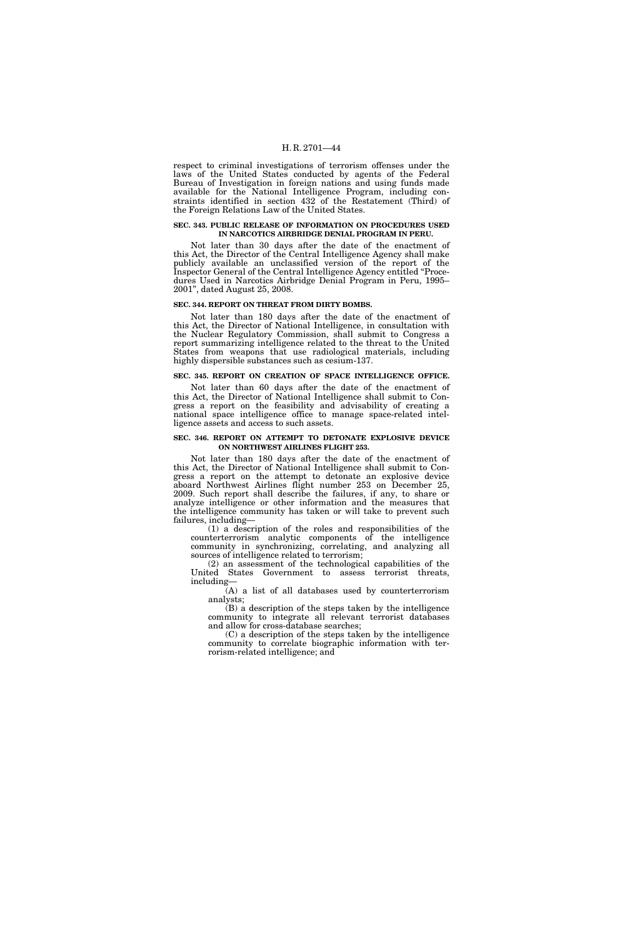respect to criminal investigations of terrorism offenses under the laws of the United States conducted by agents of the Federal Bureau of Investigation in foreign nations and using funds made available for the National Intelligence Program, including constraints identified in section 432 of the Restatement (Third) of the Foreign Relations Law of the United States.

## **SEC. 343. PUBLIC RELEASE OF INFORMATION ON PROCEDURES USED IN NARCOTICS AIRBRIDGE DENIAL PROGRAM IN PERU.**

Not later than 30 days after the date of the enactment of this Act, the Director of the Central Intelligence Agency shall make publicly available an unclassified version of the report of the Inspector General of the Central Intelligence Agency entitled ''Procedures Used in Narcotics Airbridge Denial Program in Peru, 1995– 2001'', dated August 25, 2008.

### **SEC. 344. REPORT ON THREAT FROM DIRTY BOMBS.**

Not later than 180 days after the date of the enactment of this Act, the Director of National Intelligence, in consultation with the Nuclear Regulatory Commission, shall submit to Congress a report summarizing intelligence related to the threat to the United States from weapons that use radiological materials, including highly dispersible substances such as cesium-137.

## **SEC. 345. REPORT ON CREATION OF SPACE INTELLIGENCE OFFICE.**

Not later than 60 days after the date of the enactment of this Act, the Director of National Intelligence shall submit to Congress a report on the feasibility and advisability of creating a national space intelligence office to manage space-related intelligence assets and access to such assets.

### **SEC. 346. REPORT ON ATTEMPT TO DETONATE EXPLOSIVE DEVICE ON NORTHWEST AIRLINES FLIGHT 253.**

Not later than 180 days after the date of the enactment of this Act, the Director of National Intelligence shall submit to Congress a report on the attempt to detonate an explosive device aboard Northwest Airlines flight number 253 on December 25, 2009. Such report shall describe the failures, if any, to share or analyze intelligence or other information and the measures that the intelligence community has taken or will take to prevent such failures, including—

(1) a description of the roles and responsibilities of the counterterrorism analytic components of the intelligence community in synchronizing, correlating, and analyzing all sources of intelligence related to terrorism;

(2) an assessment of the technological capabilities of the United States Government to assess terrorist threats, including—

(A) a list of all databases used by counterterrorism analysts;

(B) a description of the steps taken by the intelligence community to integrate all relevant terrorist databases and allow for cross-database searches;

(C) a description of the steps taken by the intelligence community to correlate biographic information with terrorism-related intelligence; and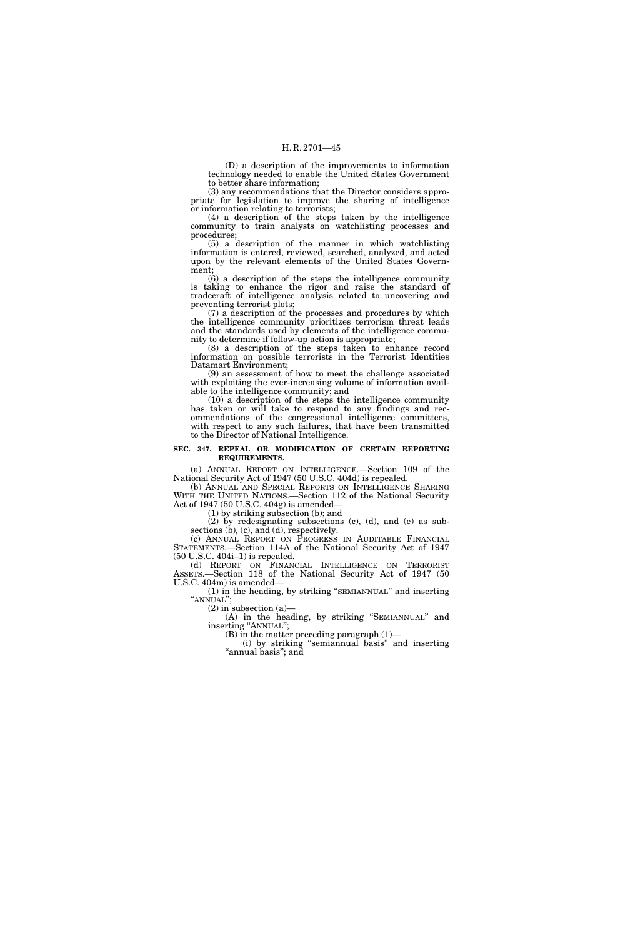(D) a description of the improvements to information technology needed to enable the United States Government to better share information;

(3) any recommendations that the Director considers appropriate for legislation to improve the sharing of intelligence or information relating to terrorists;

(4) a description of the steps taken by the intelligence community to train analysts on watchlisting processes and procedures;

(5) a description of the manner in which watchlisting information is entered, reviewed, searched, analyzed, and acted upon by the relevant elements of the United States Government;

(6) a description of the steps the intelligence community is taking to enhance the rigor and raise the standard of tradecraft of intelligence analysis related to uncovering and preventing terrorist plots;

(7) a description of the processes and procedures by which the intelligence community prioritizes terrorism threat leads and the standards used by elements of the intelligence community to determine if follow-up action is appropriate;

(8) a description of the steps taken to enhance record information on possible terrorists in the Terrorist Identities Datamart Environment;

(9) an assessment of how to meet the challenge associated with exploiting the ever-increasing volume of information available to the intelligence community; and

(10) a description of the steps the intelligence community has taken or will take to respond to any findings and recommendations of the congressional intelligence committees, with respect to any such failures, that have been transmitted to the Director of National Intelligence.

### **SEC. 347. REPEAL OR MODIFICATION OF CERTAIN REPORTING REQUIREMENTS.**

(a) ANNUAL REPORT ON INTELLIGENCE.—Section 109 of the National Security Act of 1947 (50 U.S.C. 404d) is repealed.

(b) ANNUAL AND SPECIAL REPORTS ON INTELLIGENCE SHARING WITH THE UNITED NATIONS.—Section 112 of the National Security Act of 1947 (50 U.S.C. 404g) is amended—

(1) by striking subsection (b); and

(2) by redesignating subsections (c), (d), and (e) as subsections (b), (c), and (d), respectively.

(c) ANNUAL REPORT ON PROGRESS IN AUDITABLE FINANCIAL STATEMENTS.—Section 114A of the National Security Act of 1947 (50 U.S.C. 404i–1) is repealed.

(d) REPORT ON FINANCIAL INTELLIGENCE ON TERRORIST ASSETS.—Section 118 of the National Security Act of 1947 (50 U.S.C. 404m) is amended—

(1) in the heading, by striking ''SEMIANNUAL'' and inserting "ANNUAL";

 $(2)$  in subsection  $(a)$ 

(A) in the heading, by striking ''SEMIANNUAL'' and inserting "ANNUAL";

(B) in the matter preceding paragraph (1)—

(i) by striking ''semiannual basis'' and inserting "annual basis"; and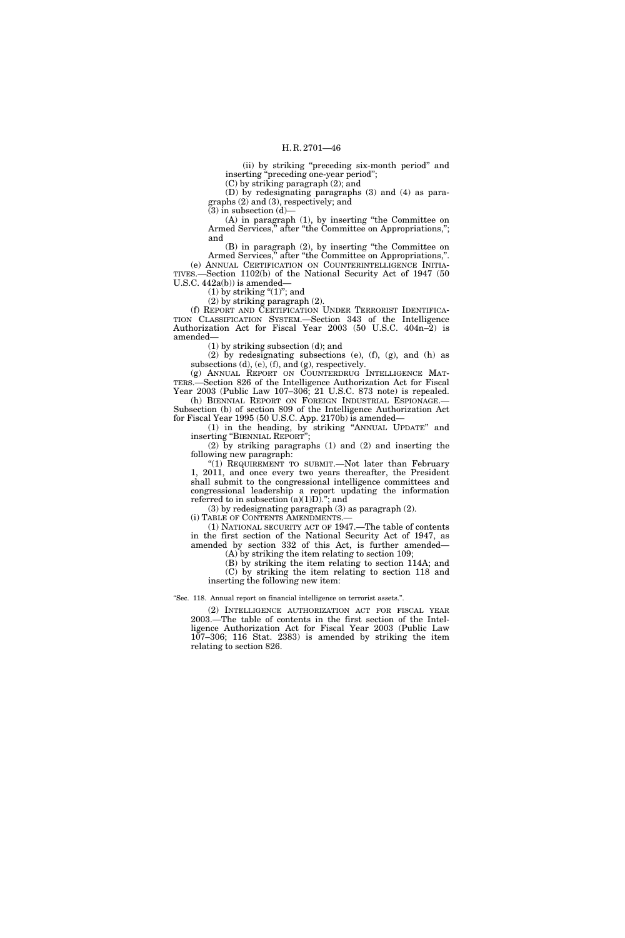(ii) by striking ''preceding six-month period'' and inserting ''preceding one-year period'';

(C) by striking paragraph (2); and

(D) by redesignating paragraphs (3) and (4) as paragraphs (2) and (3), respectively; and

 $(3)$  in subsection  $(d)$ –

(A) in paragraph (1), by inserting ''the Committee on Armed Services," after "the Committee on Appropriations,"; and

(B) in paragraph (2), by inserting ''the Committee on Armed Services," after "the Committee on Appropriations,". (e) ANNUAL CERTIFICATION ON COUNTERINTELLIGENCE INITIA-TIVES.—Section 1102(b) of the National Security Act of 1947 (50 U.S.C. 442a(b)) is amended—

 $(1)$  by striking " $(1)$ "; and

(2) by striking paragraph (2).

(f) REPORT AND CERTIFICATION UNDER TERRORIST IDENTIFICA-TION CLASSIFICATION SYSTEM.—Section 343 of the Intelligence Authorization Act for Fiscal Year 2003 (50 U.S.C. 404n–2) is amended—

(1) by striking subsection (d); and

(2) by redesignating subsections (e), (f), (g), and (h) as subsections (d), (e), (f), and (g), respectively.

(g) ANNUAL REPORT ON COUNTERDRUG INTELLIGENCE MAT-TERS.—Section 826 of the Intelligence Authorization Act for Fiscal Year 2003 (Public Law 107–306; 21 U.S.C. 873 note) is repealed. (h) BIENNIAL REPORT ON FOREIGN INDUSTRIAL ESPIONAGE.—

Subsection (b) of section 809 of the Intelligence Authorization Act for Fiscal Year 1995 (50 U.S.C. App. 2170b) is amended—

(1) in the heading, by striking ''ANNUAL UPDATE'' and inserting ''BIENNIAL REPORT'';

(2) by striking paragraphs (1) and (2) and inserting the following new paragraph:

''(1) REQUIREMENT TO SUBMIT.—Not later than February 1, 2011, and once every two years thereafter, the President shall submit to the congressional intelligence committees and congressional leadership a report updating the information referred to in subsection  $(a)(1)D$ ."; and

(3) by redesignating paragraph (3) as paragraph (2).

(i) TABLE OF CONTENTS AMENDMENTS.—

(1) NATIONAL SECURITY ACT OF 1947.—The table of contents in the first section of the National Security Act of 1947, as amended by section 332 of this Act, is further amended— (A) by striking the item relating to section 109;

(B) by striking the item relating to section 114A; and

(C) by striking the item relating to section 118 and inserting the following new item:

''Sec. 118. Annual report on financial intelligence on terrorist assets.''.

(2) INTELLIGENCE AUTHORIZATION ACT FOR FISCAL YEAR 2003.—The table of contents in the first section of the Intelligence Authorization Act for Fiscal Year 2003 (Public Law 107–306; 116 Stat. 2383) is amended by striking the item relating to section 826.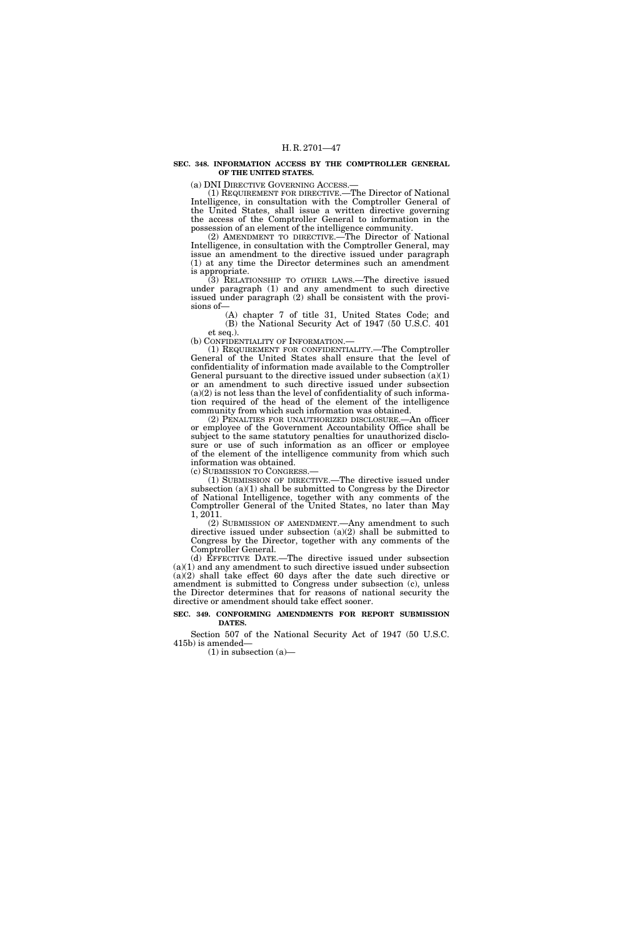#### **SEC. 348. INFORMATION ACCESS BY THE COMPTROLLER GENERAL OF THE UNITED STATES.**

(a) DNI DIRECTIVE GOVERNING ACCESS.—

(1) REQUIREMENT FOR DIRECTIVE.—The Director of National Intelligence, in consultation with the Comptroller General of the United States, shall issue a written directive governing the access of the Comptroller General to information in the possession of an element of the intelligence community.

(2) AMENDMENT TO DIRECTIVE.—The Director of National Intelligence, in consultation with the Comptroller General, may issue an amendment to the directive issued under paragraph (1) at any time the Director determines such an amendment is appropriate.

(3) RELATIONSHIP TO OTHER LAWS.—The directive issued under paragraph (1) and any amendment to such directive issued under paragraph (2) shall be consistent with the provisions of—

(A) chapter 7 of title 31, United States Code; and (B) the National Security Act of 1947 (50 U.S.C. 401 et seq.).

(b) CONFIDENTIALITY OF INFORMATION.—

(1) REQUIREMENT FOR CONFIDENTIALITY.—The Comptroller General of the United States shall ensure that the level of confidentiality of information made available to the Comptroller General pursuant to the directive issued under subsection  $(a)(1)$ or an amendment to such directive issued under subsection  $(a)(2)$  is not less than the level of confidentiality of such information required of the head of the element of the intelligence community from which such information was obtained.

(2) PENALTIES FOR UNAUTHORIZED DISCLOSURE.—An officer or employee of the Government Accountability Office shall be subject to the same statutory penalties for unauthorized disclosure or use of such information as an officer or employee of the element of the intelligence community from which such information was obtained.

(c) SUBMISSION TO CONGRESS.—

(1) SUBMISSION OF DIRECTIVE.—The directive issued under subsection (a)(1) shall be submitted to Congress by the Director of National Intelligence, together with any comments of the Comptroller General of the United States, no later than May 1, 2011.

(2) SUBMISSION OF AMENDMENT.—Any amendment to such directive issued under subsection (a)(2) shall be submitted to Congress by the Director, together with any comments of the Comptroller General.

(d) EFFECTIVE DATE.—The directive issued under subsection (a)(1) and any amendment to such directive issued under subsection (a)(2) shall take effect 60 days after the date such directive or amendment is submitted to Congress under subsection (c), unless the Director determines that for reasons of national security the directive or amendment should take effect sooner.

#### **SEC. 349. CONFORMING AMENDMENTS FOR REPORT SUBMISSION DATES.**

Section 507 of the National Security Act of 1947 (50 U.S.C. 415b) is amended—

 $(1)$  in subsection  $(a)$ —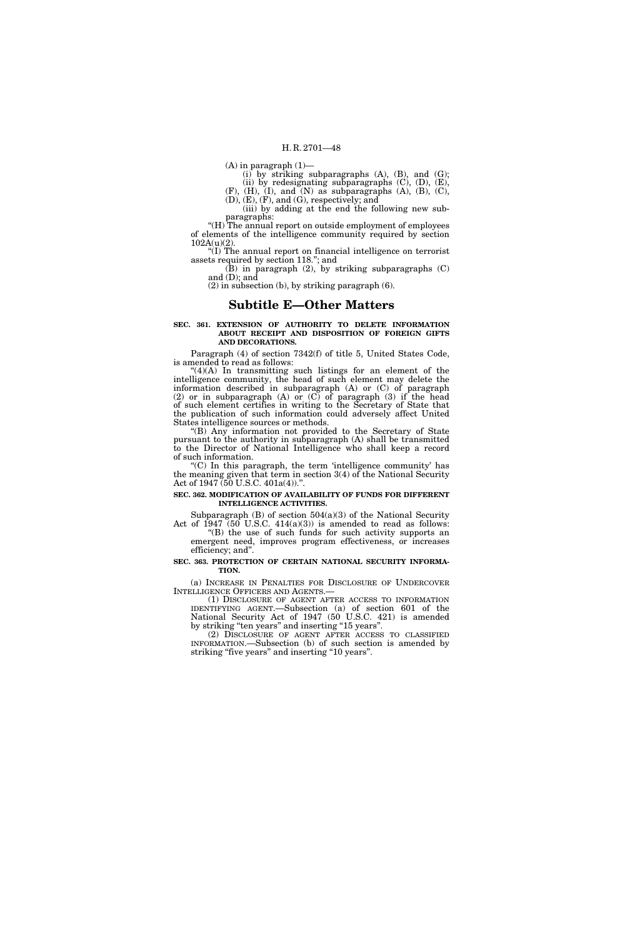$(A)$  in paragraph  $(1)$ —

 $(i)$  by striking subparagraphs  $(A)$ ,  $(B)$ , and  $(G)$ ;

(ii) by redesignating subparagraphs  $(C)$ ,  $(D)$ ,  $(E)$ ,

 $(F)$ ,  $(H)$ ,  $(I)$ , and  $(N)$  as subparagraphs  $(A)$ ,  $(B)$ ,  $(C)$ , (D), (E), (F), and (G), respectively; and

(iii) by adding at the end the following new subparagraphs:

"(H) The annual report on outside employment of employees of elements of the intelligence community required by section 102A(u)(2).

''(I) The annual report on financial intelligence on terrorist assets required by section 118.''; and

(B) in paragraph (2), by striking subparagraphs (C) and (D); and

(2) in subsection (b), by striking paragraph (6).

## **Subtitle E—Other Matters**

#### **SEC. 361. EXTENSION OF AUTHORITY TO DELETE INFORMATION ABOUT RECEIPT AND DISPOSITION OF FOREIGN GIFTS AND DECORATIONS.**

Paragraph (4) of section 7342(f) of title 5, United States Code, is amended to read as follows:

''(4)(A) In transmitting such listings for an element of the intelligence community, the head of such element may delete the information described in subparagraph (A) or (C) of paragraph (2) or in subparagraph (A) or (C) of paragraph (3) if the head of such element certifies in writing to the Secretary of State that the publication of such information could adversely affect United States intelligence sources or methods.

''(B) Any information not provided to the Secretary of State pursuant to the authority in subparagraph (A) shall be transmitted to the Director of National Intelligence who shall keep a record of such information.

"(C) In this paragraph, the term 'intelligence community' has the meaning given that term in section 3(4) of the National Security Act of 1947 (50 U.S.C. 401a(4))."

#### **SEC. 362. MODIFICATION OF AVAILABILITY OF FUNDS FOR DIFFERENT INTELLIGENCE ACTIVITIES.**

Subparagraph  $(B)$  of section  $504(a)(3)$  of the National Security Act of 1947 (50 U.S.C.  $414(a)(3)$ ) is amended to read as follows:

''(B) the use of such funds for such activity supports an emergent need, improves program effectiveness, or increases efficiency; and''.

### **SEC. 363. PROTECTION OF CERTAIN NATIONAL SECURITY INFORMA-TION.**

(a) INCREASE IN PENALTIES FOR DISCLOSURE OF UNDERCOVER INTELLIGENCE OFFICERS AND AGENTS.—

(1) DISCLOSURE OF AGENT AFTER ACCESS TO INFORMATION IDENTIFYING AGENT.—Subsection (a) of section 601 of the National Security Act of 1947 (50 U.S.C. 421) is amended by striking "ten years" and inserting "15 years".

(2) DISCLOSURE OF AGENT AFTER ACCESS TO CLASSIFIED INFORMATION.—Subsection (b) of such section is amended by striking "five years" and inserting "10 years".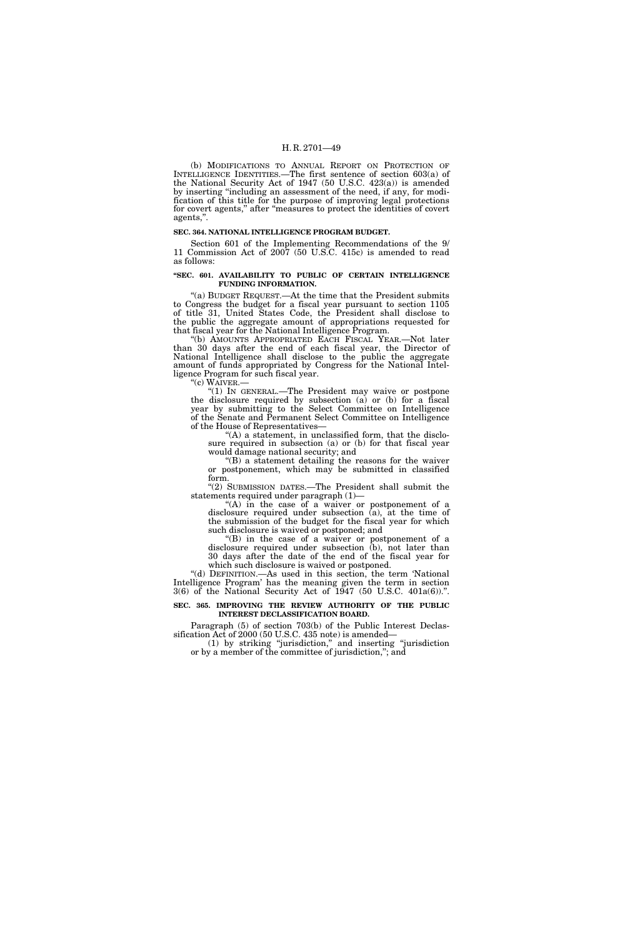(b) MODIFICATIONS TO ANNUAL REPORT ON PROTECTION OF INTELLIGENCE IDENTITIES.—The first sentence of section 603(a) of the National Security Act of 1947 (50 U.S.C. 423(a)) is amended by inserting ''including an assessment of the need, if any, for modification of this title for the purpose of improving legal protections for covert agents,'' after ''measures to protect the identities of covert agents,''.

#### **SEC. 364. NATIONAL INTELLIGENCE PROGRAM BUDGET.**

Section 601 of the Implementing Recommendations of the 9/ 11 Commission Act of 2007 (50 U.S.C. 415c) is amended to read as follows:

#### **''SEC. 601. AVAILABILITY TO PUBLIC OF CERTAIN INTELLIGENCE FUNDING INFORMATION.**

''(a) BUDGET REQUEST.—At the time that the President submits to Congress the budget for a fiscal year pursuant to section 1105 of title 31, United States Code, the President shall disclose to the public the aggregate amount of appropriations requested for that fiscal year for the National Intelligence Program.

''(b) AMOUNTS APPROPRIATED EACH FISCAL YEAR.—Not later than 30 days after the end of each fiscal year, the Director of National Intelligence shall disclose to the public the aggregate amount of funds appropriated by Congress for the National Intelligence Program for such fiscal year.

''(c) WAIVER.—

''(1) IN GENERAL.—The President may waive or postpone the disclosure required by subsection (a) or (b) for a fiscal year by submitting to the Select Committee on Intelligence of the Senate and Permanent Select Committee on Intelligence of the House of Representatives—

"(A) a statement, in unclassified form, that the disclosure required in subsection (a) or (b) for that fiscal year would damage national security; and

 $f(B)$  a statement detailing the reasons for the waiver or postponement, which may be submitted in classified form.

"(2) SUBMISSION DATES.—The President shall submit the statements required under paragraph (1)—

"(A) in the case of a waiver or postponement of a disclosure required under subsection (a), at the time of the submission of the budget for the fiscal year for which such disclosure is waived or postponed; and

''(B) in the case of a waiver or postponement of a disclosure required under subsection (b), not later than 30 days after the date of the end of the fiscal year for which such disclosure is waived or postponed.

''(d) DEFINITION.—As used in this section, the term 'National Intelligence Program' has the meaning given the term in section 3(6) of the National Security Act of 1947 (50 U.S.C. 401a(6)).''.

**SEC. 365. IMPROVING THE REVIEW AUTHORITY OF THE PUBLIC INTEREST DECLASSIFICATION BOARD.** 

Paragraph (5) of section 703(b) of the Public Interest Declassification Act of 2000 (50 U.S.C. 435 note) is amended—

(1) by striking ''jurisdiction,'' and inserting ''jurisdiction or by a member of the committee of jurisdiction,''; and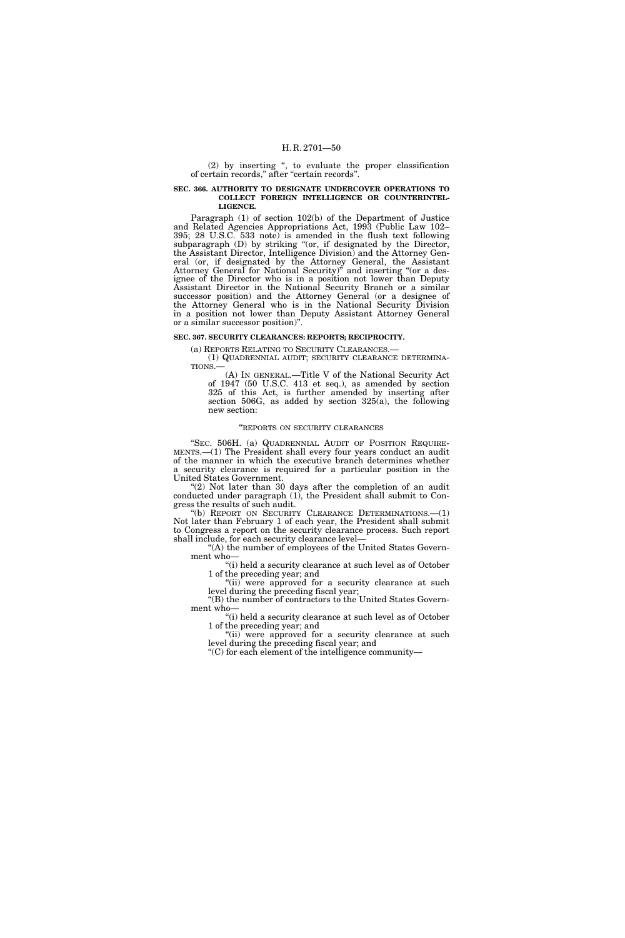(2) by inserting '', to evaluate the proper classification of certain records," after "certain records".

## **SEC. 366. AUTHORITY TO DESIGNATE UNDERCOVER OPERATIONS TO COLLECT FOREIGN INTELLIGENCE OR COUNTERINTEL-LIGENCE.**

Paragraph (1) of section 102(b) of the Department of Justice and Related Agencies Appropriations Act, 1993 (Public Law 102– 395; 28 U.S.C. 533 note) is amended in the flush text following subparagraph (D) by striking "(or, if designated by the Director, the Assistant Director, Intelligence Division) and the Attorney General (or, if designated by the Attorney General, the Assistant Attorney General for National Security)'' and inserting ''(or a designee of the Director who is in a position not lower than Deputy Assistant Director in the National Security Branch or a similar successor position) and the Attorney General (or a designee of the Attorney General who is in the National Security Division in a position not lower than Deputy Assistant Attorney General or a similar successor position)''.

## **SEC. 367. SECURITY CLEARANCES: REPORTS; RECIPROCITY.**

(a) REPORTS RELATING TO SECURITY CLEARANCES.— (1) QUADRENNIAL AUDIT; SECURITY CLEARANCE DETERMINA-TIONS.—

(A) IN GENERAL.—Title V of the National Security Act of 1947 (50 U.S.C. 413 et seq.), as amended by section 325 of this Act, is further amended by inserting after section 506G, as added by section 325(a), the following new section:

#### ''REPORTS ON SECURITY CLEARANCES

"SEC. 506H. (a) QUADRENNIAL AUDIT OF POSITION REQUIRE-MENTS.—(1) The President shall every four years conduct an audit of the manner in which the executive branch determines whether a security clearance is required for a particular position in the United States Government.

" $(2)$  Not later than 30 days after the completion of an audit conducted under paragraph (1), the President shall submit to Congress the results of such audit.

"(b) REPORT ON SECURITY CLEARANCE DETERMINATIONS.-- (1) Not later than February 1 of each year, the President shall submit to Congress a report on the security clearance process. Such report shall include, for each security clearance level—

"(A) the number of employees of the United States Government who-

"(i) held a security clearance at such level as of October 1 of the preceding year; and

"(ii) were approved for a security clearance at such level during the preceding fiscal year; ''(B) the number of contractors to the United States Govern-

ment who— "(i) held a security clearance at such level as of October

1 of the preceding year; and

"(ii) were approved for a security clearance at such level during the preceding fiscal year; and

''(C) for each element of the intelligence community—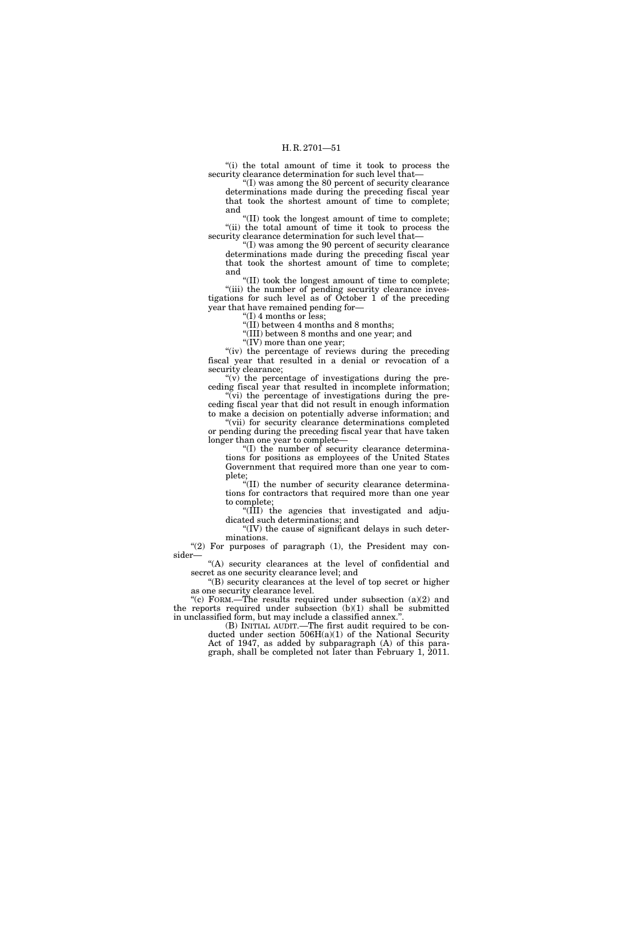"(i) the total amount of time it took to process the security clearance determination for such level that—

''(I) was among the 80 percent of security clearance determinations made during the preceding fiscal year that took the shortest amount of time to complete; and

''(II) took the longest amount of time to complete; "(ii) the total amount of time it took to process the security clearance determination for such level that—

''(I) was among the 90 percent of security clearance determinations made during the preceding fiscal year that took the shortest amount of time to complete; and

''(II) took the longest amount of time to complete; "(iii) the number of pending security clearance investigations for such level as of October 1 of the preceding year that have remained pending for—

 $f(I)$  4 months or less;

"(II) between 4 months and 8 months;

''(III) between 8 months and one year; and

" $(IV)$  more than one year;

"(iv) the percentage of reviews during the preceding" fiscal year that resulted in a denial or revocation of a security clearance;

" $(v)$  the percentage of investigations during the preceding fiscal year that resulted in incomplete information;  $\widetilde{f}(vi)$  the percentage of investigations during the pre-

ceding fiscal year that did not result in enough information to make a decision on potentially adverse information; and "(vii) for security clearance determinations completed

or pending during the preceding fiscal year that have taken longer than one year to complete-

 $\cdot$ "(I) the number of security clearance determinations for positions as employees of the United States Government that required more than one year to complete;

''(II) the number of security clearance determinations for contractors that required more than one year to complete;

''(III) the agencies that investigated and adjudicated such determinations; and

 $\Gamma$ (IV) the cause of significant delays in such determinations.

" $(2)$  For purposes of paragraph  $(1)$ , the President may consider—

"(A) security clearances at the level of confidential and secret as one security clearance level; and

''(B) security clearances at the level of top secret or higher as one security clearance level.

"(c) FORM.—The results required under subsection  $(a)(2)$  and the reports required under subsection (b)(1) shall be submitted in unclassified form, but may include a classified annex.'

(B) INITIAL AUDIT.—The first audit required to be conducted under section 506H(a)(1) of the National Security Act of 1947, as added by subparagraph (A) of this para-

graph, shall be completed not later than February 1, 2011.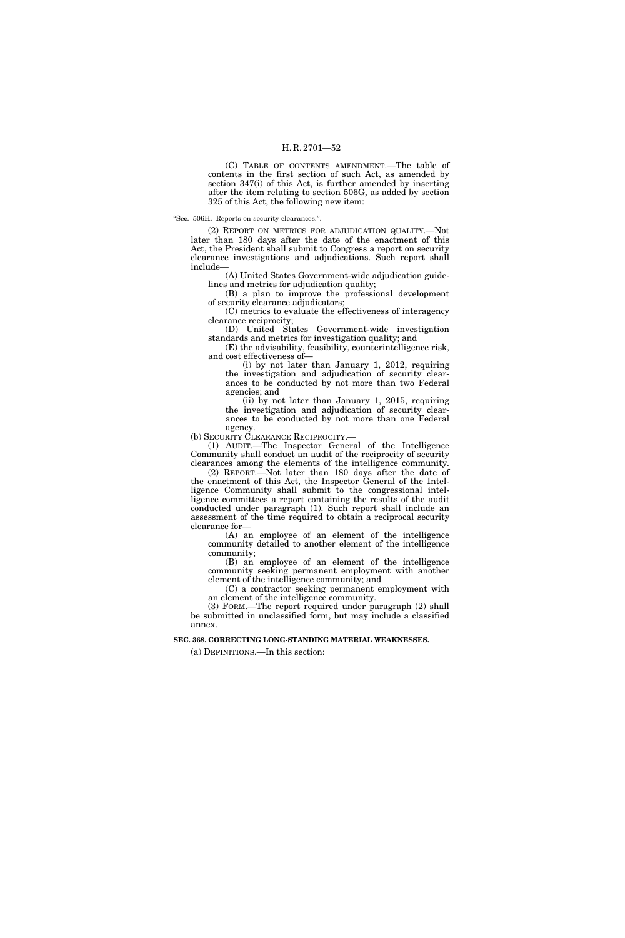(C) TABLE OF CONTENTS AMENDMENT.—The table of contents in the first section of such Act, as amended by section 347(i) of this Act, is further amended by inserting after the item relating to section 506G, as added by section 325 of this Act, the following new item:

''Sec. 506H. Reports on security clearances.''.

(2) REPORT ON METRICS FOR ADJUDICATION QUALITY.—Not later than 180 days after the date of the enactment of this Act, the President shall submit to Congress a report on security clearance investigations and adjudications. Such report shall include—

(A) United States Government-wide adjudication guidelines and metrics for adjudication quality;

(B) a plan to improve the professional development of security clearance adjudicators;

(C) metrics to evaluate the effectiveness of interagency clearance reciprocity;

(D) United States Government-wide investigation standards and metrics for investigation quality; and

(E) the advisability, feasibility, counterintelligence risk, and cost effectiveness of—

(i) by not later than January 1, 2012, requiring the investigation and adjudication of security clearances to be conducted by not more than two Federal agencies; and

(ii) by not later than January 1, 2015, requiring the investigation and adjudication of security clearances to be conducted by not more than one Federal agency.

(b) SECURITY CLEARANCE RECIPROCITY.—

(1) AUDIT.—The Inspector General of the Intelligence Community shall conduct an audit of the reciprocity of security clearances among the elements of the intelligence community.

(2) REPORT.—Not later than 180 days after the date of the enactment of this Act, the Inspector General of the Intelligence Community shall submit to the congressional intelligence committees a report containing the results of the audit conducted under paragraph (1). Such report shall include an assessment of the time required to obtain a reciprocal security clearance for—

(A) an employee of an element of the intelligence community detailed to another element of the intelligence community;

(B) an employee of an element of the intelligence community seeking permanent employment with another element of the intelligence community; and

(C) a contractor seeking permanent employment with an element of the intelligence community.

(3) FORM.—The report required under paragraph (2) shall be submitted in unclassified form, but may include a classified annex.

**SEC. 368. CORRECTING LONG-STANDING MATERIAL WEAKNESSES.** 

(a) DEFINITIONS.—In this section: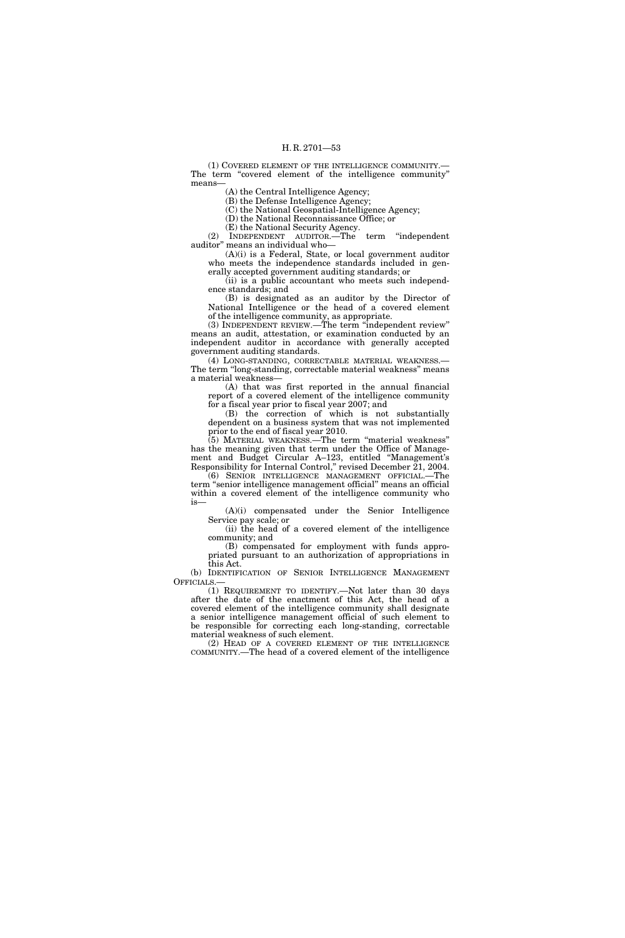(1) COVERED ELEMENT OF THE INTELLIGENCE COMMUNITY.— The term "covered element of the intelligence community" means—

(A) the Central Intelligence Agency;

(B) the Defense Intelligence Agency;

(C) the National Geospatial-Intelligence Agency; (D) the National Reconnaissance Office; or

(E) the National Security Agency.

(2) INDEPENDENT AUDITOR.—The term ''independent auditor'' means an individual who—

(A)(i) is a Federal, State, or local government auditor who meets the independence standards included in gen-

erally accepted government auditing standards; or (ii) is a public accountant who meets such independence standards; and

(B) is designated as an auditor by the Director of National Intelligence or the head of a covered element of the intelligence community, as appropriate.

(3) INDEPENDENT REVIEW.—The term ''independent review'' means an audit, attestation, or examination conducted by an independent auditor in accordance with generally accepted government auditing standards.

(4) LONG-STANDING, CORRECTABLE MATERIAL WEAKNESS.— The term "long-standing, correctable material weakness" means a material weakness—

(A) that was first reported in the annual financial report of a covered element of the intelligence community for a fiscal year prior to fiscal year 2007; and

(B) the correction of which is not substantially dependent on a business system that was not implemented prior to the end of fiscal year 2010.

(5) MATERIAL WEAKNESS.—The term ''material weakness'' has the meaning given that term under the Office of Management and Budget Circular A–123, entitled ''Management's Responsibility for Internal Control,'' revised December 21, 2004.

(6) SENIOR INTELLIGENCE MANAGEMENT OFFICIAL.—The term ''senior intelligence management official'' means an official within a covered element of the intelligence community who is—

(A)(i) compensated under the Senior Intelligence Service pay scale; or

(ii) the head of a covered element of the intelligence community; and

(B) compensated for employment with funds appropriated pursuant to an authorization of appropriations in this Act.

(b) IDENTIFICATION OF SENIOR INTELLIGENCE MANAGEMENT OFFICIALS.—

(1) REQUIREMENT TO IDENTIFY.—Not later than 30 days after the date of the enactment of this Act, the head of a covered element of the intelligence community shall designate a senior intelligence management official of such element to be responsible for correcting each long-standing, correctable material weakness of such element.

(2) HEAD OF A COVERED ELEMENT OF THE INTELLIGENCE COMMUNITY.—The head of a covered element of the intelligence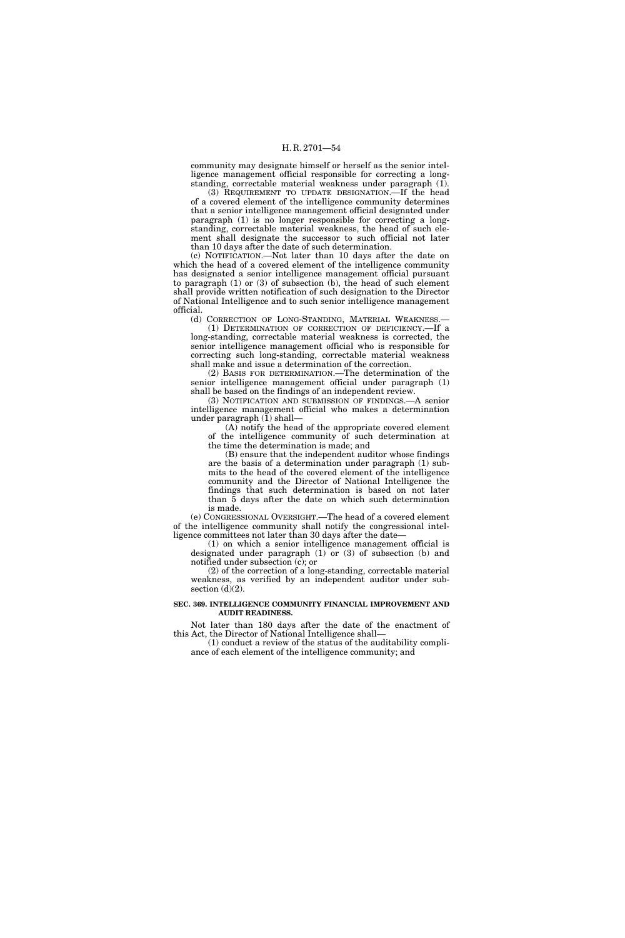community may designate himself or herself as the senior intelligence management official responsible for correcting a longstanding, correctable material weakness under paragraph (1).

(3) REQUIREMENT TO UPDATE DESIGNATION.—If the head of a covered element of the intelligence community determines that a senior intelligence management official designated under paragraph (1) is no longer responsible for correcting a longstanding, correctable material weakness, the head of such element shall designate the successor to such official not later than 10 days after the date of such determination.

(c) NOTIFICATION.—Not later than 10 days after the date on which the head of a covered element of the intelligence community has designated a senior intelligence management official pursuant to paragraph (1) or (3) of subsection (b), the head of such element shall provide written notification of such designation to the Director of National Intelligence and to such senior intelligence management official.

(d) CORRECTION OF LONG-STANDING, MATERIAL WEAKNESS.— (1) DETERMINATION OF CORRECTION OF DEFICIENCY.—If a long-standing, correctable material weakness is corrected, the senior intelligence management official who is responsible for correcting such long-standing, correctable material weakness shall make and issue a determination of the correction.

(2) BASIS FOR DETERMINATION.—The determination of the senior intelligence management official under paragraph (1) shall be based on the findings of an independent review.

(3) NOTIFICATION AND SUBMISSION OF FINDINGS.—A senior intelligence management official who makes a determination under paragraph (1) shall—

(A) notify the head of the appropriate covered element of the intelligence community of such determination at the time the determination is made; and

(B) ensure that the independent auditor whose findings are the basis of a determination under paragraph (1) submits to the head of the covered element of the intelligence community and the Director of National Intelligence the findings that such determination is based on not later than 5 days after the date on which such determination is made.

(e) CONGRESSIONAL OVERSIGHT.—The head of a covered element of the intelligence community shall notify the congressional intelligence committees not later than 30 days after the date—

(1) on which a senior intelligence management official is designated under paragraph (1) or (3) of subsection (b) and notified under subsection (c); or

(2) of the correction of a long-standing, correctable material weakness, as verified by an independent auditor under subsection  $(d)(2)$ .

### **SEC. 369. INTELLIGENCE COMMUNITY FINANCIAL IMPROVEMENT AND AUDIT READINESS.**

Not later than 180 days after the date of the enactment of this Act, the Director of National Intelligence shall—

(1) conduct a review of the status of the auditability compliance of each element of the intelligence community; and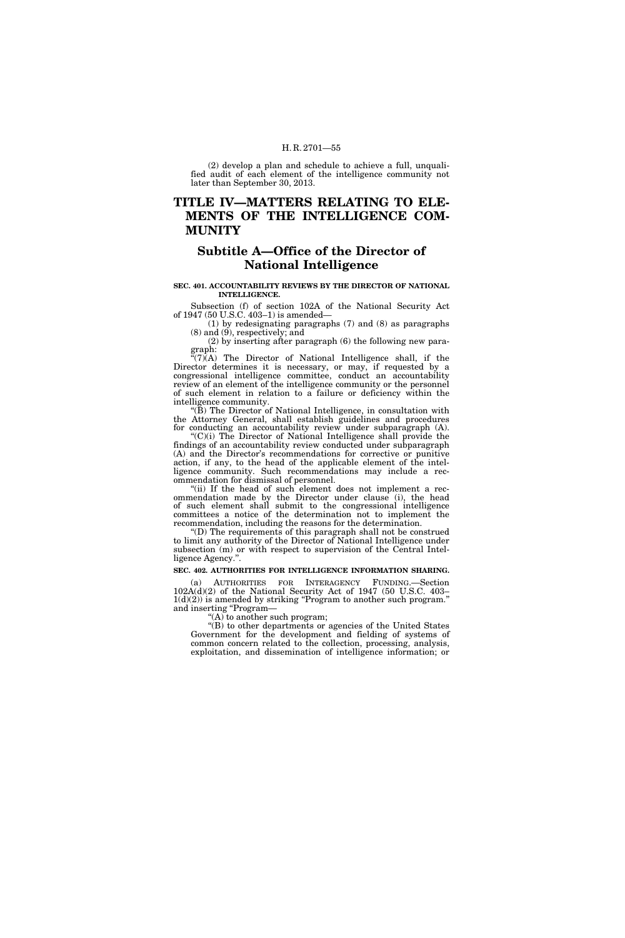(2) develop a plan and schedule to achieve a full, unqualified audit of each element of the intelligence community not later than September 30, 2013.

# **TITLE IV—MATTERS RELATING TO ELE-MENTS OF THE INTELLIGENCE COM-MUNITY**

## **Subtitle A—Office of the Director of National Intelligence**

#### **SEC. 401. ACCOUNTABILITY REVIEWS BY THE DIRECTOR OF NATIONAL INTELLIGENCE.**

Subsection (f) of section 102A of the National Security Act of 1947 (50 U.S.C. 403–1) is amended—

(1) by redesignating paragraphs (7) and (8) as paragraphs (8) and (9), respectively; and

(2) by inserting after paragraph (6) the following new paragraph:

 $f'(7)$ (A) The Director of National Intelligence shall, if the Director determines it is necessary, or may, if requested by a congressional intelligence committee, conduct an accountability review of an element of the intelligence community or the personnel of such element in relation to a failure or deficiency within the intelligence community.

"(B) The Director of National Intelligence, in consultation with the Attorney General, shall establish guidelines and procedures for conducting an accountability review under subparagraph (A).

 $C(t)$ ) The Director of National Intelligence shall provide the findings of an accountability review conducted under subparagraph (A) and the Director's recommendations for corrective or punitive action, if any, to the head of the applicable element of the intelligence community. Such recommendations may include a recommendation for dismissal of personnel.

"(ii) If the head of such element does not implement a recommendation made by the Director under clause (i), the head of such element shall submit to the congressional intelligence committees a notice of the determination not to implement the recommendation, including the reasons for the determination.

''(D) The requirements of this paragraph shall not be construed to limit any authority of the Director of National Intelligence under subsection (m) or with respect to supervision of the Central Intelligence Agency.''.

## **SEC. 402. AUTHORITIES FOR INTELLIGENCE INFORMATION SHARING.**

(a) AUTHORITIES FOR INTERAGENCY FUNDING.—Section 102A(d)(2) of the National Security Act of 1947 (50 U.S.C. 403–  $1(d)(2)$ ) is amended by striking "Program to another such program." and inserting "Program-

''(A) to another such program;

''(B) to other departments or agencies of the United States Government for the development and fielding of systems of common concern related to the collection, processing, analysis, exploitation, and dissemination of intelligence information; or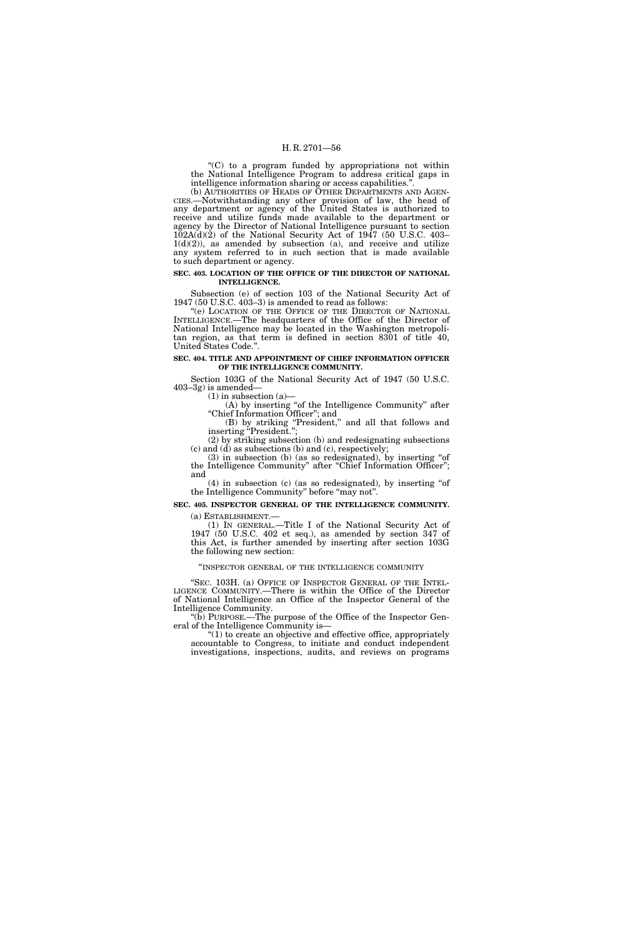''(C) to a program funded by appropriations not within the National Intelligence Program to address critical gaps in intelligence information sharing or access capabilities.''.

(b) AUTHORITIES OF HEADS OF OTHER DEPARTMENTS AND AGEN-CIES.—Notwithstanding any other provision of law, the head of any department or agency of the United States is authorized to receive and utilize funds made available to the department or agency by the Director of National Intelligence pursuant to section  $102A(d)(2)$  of the National Security Act of 1947 (50 U.S.C. 403–  $1(d)(2)$ , as amended by subsection (a), and receive and utilize any system referred to in such section that is made available to such department or agency.

#### **SEC. 403. LOCATION OF THE OFFICE OF THE DIRECTOR OF NATIONAL INTELLIGENCE.**

Subsection (e) of section 103 of the National Security Act of 1947 (50 U.S.C. 403–3) is amended to read as follows:

"(e) LOCATION OF THE OFFICE OF THE DIRECTOR OF NATIONAL INTELLIGENCE.—The headquarters of the Office of the Director of National Intelligence may be located in the Washington metropolitan region, as that term is defined in section 8301 of title 40, United States Code.''.

#### **SEC. 404. TITLE AND APPOINTMENT OF CHIEF INFORMATION OFFICER OF THE INTELLIGENCE COMMUNITY.**

Section 103G of the National Security Act of 1947 (50 U.S.C. 403–3g) is amended—

(1) in subsection (a)—

(A) by inserting ''of the Intelligence Community'' after ''Chief Information Officer''; and

(B) by striking "President," and all that follows and inserting ''President.'';

(2) by striking subsection (b) and redesignating subsections  $(c)$  and  $(d)$  as subsections  $(b)$  and  $(c)$ , respectively;

(3) in subsection (b) (as so redesignated), by inserting ''of the Intelligence Community" after "Chief Information Officer"; and

(4) in subsection (c) (as so redesignated), by inserting ''of the Intelligence Community" before "may not".

**SEC. 405. INSPECTOR GENERAL OF THE INTELLIGENCE COMMUNITY.** 

(a) ESTABLISHMENT.—<br>(1) IN GENERAL.—Title I of the National Security Act of 1947 (50 U.S.C. 402 et seq.), as amended by section 347 of this Act, is further amended by inserting after section 103G the following new section:

''INSPECTOR GENERAL OF THE INTELLIGENCE COMMUNITY

"SEC. 103H. (a) OFFICE OF INSPECTOR GENERAL OF THE INTEL-LIGENCE COMMUNITY.—There is within the Office of the Director of National Intelligence an Office of the Inspector General of the Intelligence Community.

"(b) PURPOSE.—The purpose of the Office of the Inspector General of the Intelligence Community is—

''(1) to create an objective and effective office, appropriately accountable to Congress, to initiate and conduct independent investigations, inspections, audits, and reviews on programs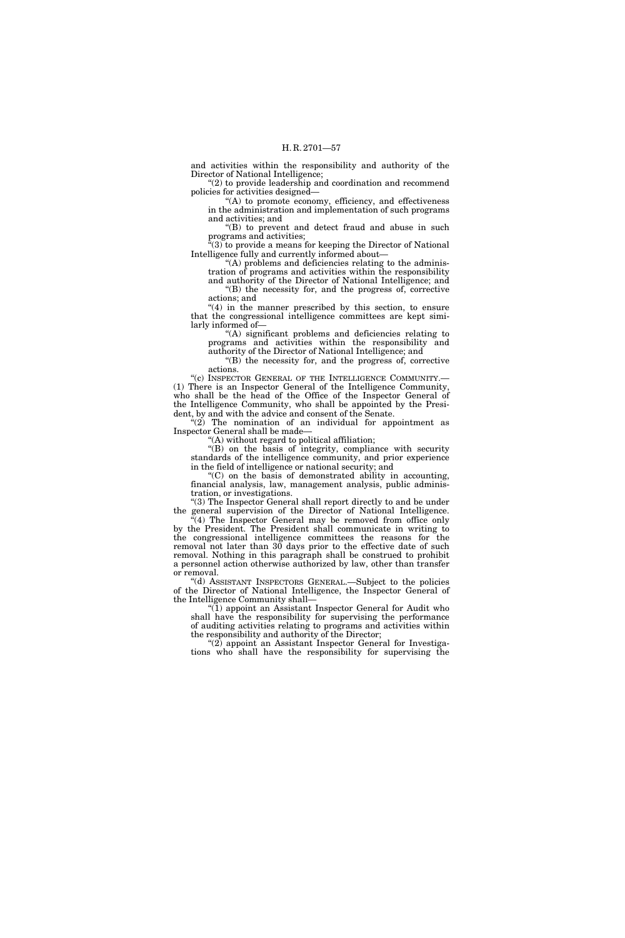and activities within the responsibility and authority of the Director of National Intelligence;

''(2) to provide leadership and coordination and recommend policies for activities designed—

''(A) to promote economy, efficiency, and effectiveness in the administration and implementation of such programs and activities; and

"(B) to prevent and detect fraud and abuse in such programs and activities;

 $f(3)$  to provide a means for keeping the Director of National Intelligence fully and currently informed about—

''(A) problems and deficiencies relating to the administration of programs and activities within the responsibility and authority of the Director of National Intelligence; and

''(B) the necessity for, and the progress of, corrective actions; and

 $(4)$  in the manner prescribed by this section, to ensure that the congressional intelligence committees are kept similarly informed of—

''(A) significant problems and deficiencies relating to programs and activities within the responsibility and authority of the Director of National Intelligence; and

''(B) the necessity for, and the progress of, corrective actions.

"(c) INSPECTOR GENERAL OF THE INTELLIGENCE COMMUNITY.-(1) There is an Inspector General of the Intelligence Community, who shall be the head of the Office of the Inspector General of the Intelligence Community, who shall be appointed by the President, by and with the advice and consent of the Senate.

 $(2)$  The nomination of an individual for appointment as Inspector General shall be made—

''(A) without regard to political affiliation;

"(B) on the basis of integrity, compliance with security standards of the intelligence community, and prior experience in the field of intelligence or national security; and

''(C) on the basis of demonstrated ability in accounting, financial analysis, law, management analysis, public administration, or investigations.

"(3) The Inspector General shall report directly to and be under the general supervision of the Director of National Intelligence.

"(4) The Inspector General may be removed from office only by the President. The President shall communicate in writing to the congressional intelligence committees the reasons for the removal not later than 30 days prior to the effective date of such removal. Nothing in this paragraph shall be construed to prohibit a personnel action otherwise authorized by law, other than transfer or removal.

''(d) ASSISTANT INSPECTORS GENERAL.—Subject to the policies of the Director of National Intelligence, the Inspector General of the Intelligence Community shall—

" $(1)$  appoint an Assistant Inspector General for Audit who shall have the responsibility for supervising the performance of auditing activities relating to programs and activities within the responsibility and authority of the Director;

" $(2)$  appoint an Assistant Inspector General for Investigations who shall have the responsibility for supervising the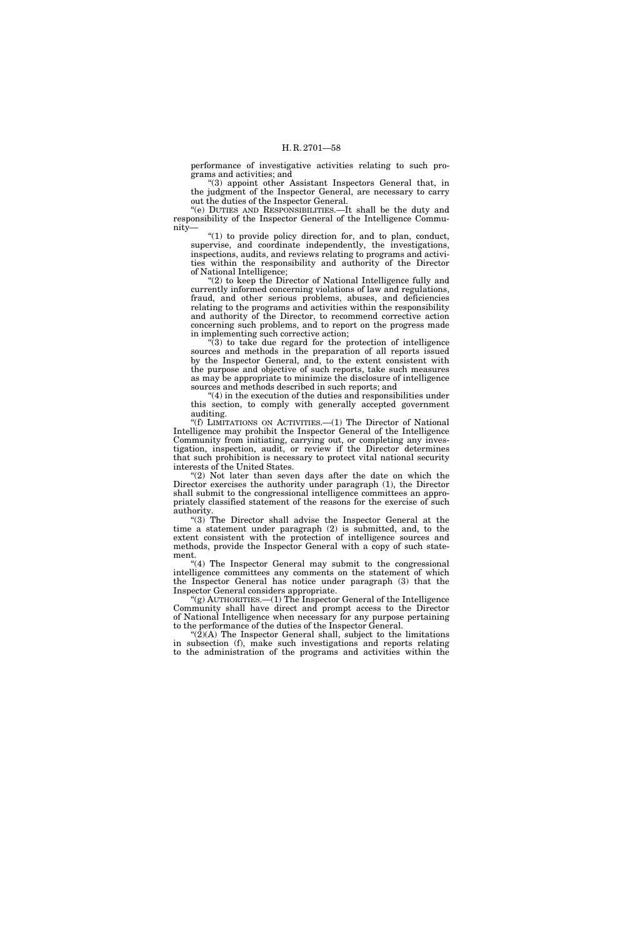performance of investigative activities relating to such programs and activities; and

''(3) appoint other Assistant Inspectors General that, in the judgment of the Inspector General, are necessary to carry out the duties of the Inspector General.

''(e) DUTIES AND RESPONSIBILITIES.—It shall be the duty and responsibility of the Inspector General of the Intelligence Community—

 $(1)$  to provide policy direction for, and to plan, conduct, supervise, and coordinate independently, the investigations, inspections, audits, and reviews relating to programs and activities within the responsibility and authority of the Director of National Intelligence;

"(2) to keep the Director of National Intelligence fully and currently informed concerning violations of law and regulations, fraud, and other serious problems, abuses, and deficiencies relating to the programs and activities within the responsibility and authority of the Director, to recommend corrective action concerning such problems, and to report on the progress made in implementing such corrective action;

''(3) to take due regard for the protection of intelligence sources and methods in the preparation of all reports issued by the Inspector General, and, to the extent consistent with the purpose and objective of such reports, take such measures as may be appropriate to minimize the disclosure of intelligence sources and methods described in such reports; and

 $(4)$  in the execution of the duties and responsibilities under this section, to comply with generally accepted government auditing.

''(f) LIMITATIONS ON ACTIVITIES.—(1) The Director of National Intelligence may prohibit the Inspector General of the Intelligence Community from initiating, carrying out, or completing any investigation, inspection, audit, or review if the Director determines that such prohibition is necessary to protect vital national security interests of the United States.

"(2) Not later than seven days after the date on which the Director exercises the authority under paragraph (1), the Director shall submit to the congressional intelligence committees an appropriately classified statement of the reasons for the exercise of such authority.

"(3) The Director shall advise the Inspector General at the time a statement under paragraph (2) is submitted, and, to the extent consistent with the protection of intelligence sources and methods, provide the Inspector General with a copy of such statement.

"(4) The Inspector General may submit to the congressional intelligence committees any comments on the statement of which the Inspector General has notice under paragraph (3) that the Inspector General considers appropriate.

"(g)  $A$ UTHORITIES.—(1) The Inspector General of the Intelligence Community shall have direct and prompt access to the Director of National Intelligence when necessary for any purpose pertaining to the performance of the duties of the Inspector General.

 $'(2)$ (A) The Inspector General shall, subject to the limitations in subsection (f), make such investigations and reports relating to the administration of the programs and activities within the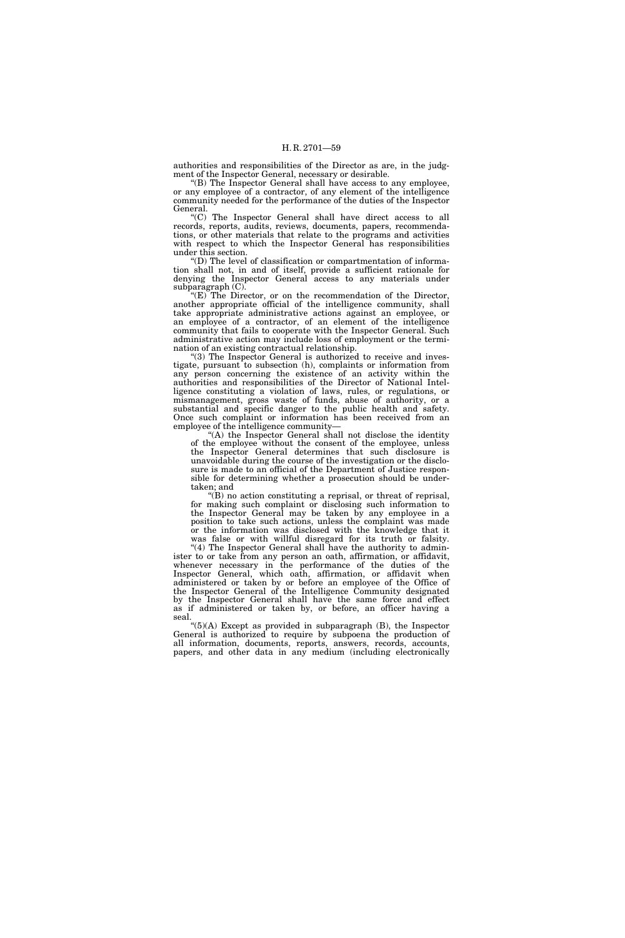authorities and responsibilities of the Director as are, in the judgment of the Inspector General, necessary or desirable.

 $f(B)$  The Inspector General shall have access to any employee, or any employee of a contractor, of any element of the intelligence community needed for the performance of the duties of the Inspector General.

''(C) The Inspector General shall have direct access to all records, reports, audits, reviews, documents, papers, recommendations, or other materials that relate to the programs and activities with respect to which the Inspector General has responsibilities under this section.

 $f(D)$  The level of classification or compartmentation of information shall not, in and of itself, provide a sufficient rationale for denying the Inspector General access to any materials under subparagraph  $(C)$ .

 $E(E)$  The Director, or on the recommendation of the Director, another appropriate official of the intelligence community, shall take appropriate administrative actions against an employee, or an employee of a contractor, of an element of the intelligence community that fails to cooperate with the Inspector General. Such administrative action may include loss of employment or the termination of an existing contractual relationship.

"(3) The Inspector General is authorized to receive and investigate, pursuant to subsection (h), complaints or information from any person concerning the existence of an activity within the authorities and responsibilities of the Director of National Intelligence constituting a violation of laws, rules, or regulations, or mismanagement, gross waste of funds, abuse of authority, or a substantial and specific danger to the public health and safety. Once such complaint or information has been received from an employee of the intelligence community—

''(A) the Inspector General shall not disclose the identity of the employee without the consent of the employee, unless the Inspector General determines that such disclosure is unavoidable during the course of the investigation or the disclosure is made to an official of the Department of Justice responsible for determining whether a prosecution should be undertaken; and

 $\mathcal{L}(B)$  no action constituting a reprisal, or threat of reprisal, for making such complaint or disclosing such information to the Inspector General may be taken by any employee in a position to take such actions, unless the complaint was made or the information was disclosed with the knowledge that it was false or with willful disregard for its truth or falsity.

"(4) The Inspector General shall have the authority to administer to or take from any person an oath, affirmation, or affidavit, whenever necessary in the performance of the duties of the Inspector General, which oath, affirmation, or affidavit when administered or taken by or before an employee of the Office of the Inspector General of the Intelligence Community designated by the Inspector General shall have the same force and effect as if administered or taken by, or before, an officer having a seal.

''(5)(A) Except as provided in subparagraph (B), the Inspector General is authorized to require by subpoena the production of all information, documents, reports, answers, records, accounts, papers, and other data in any medium (including electronically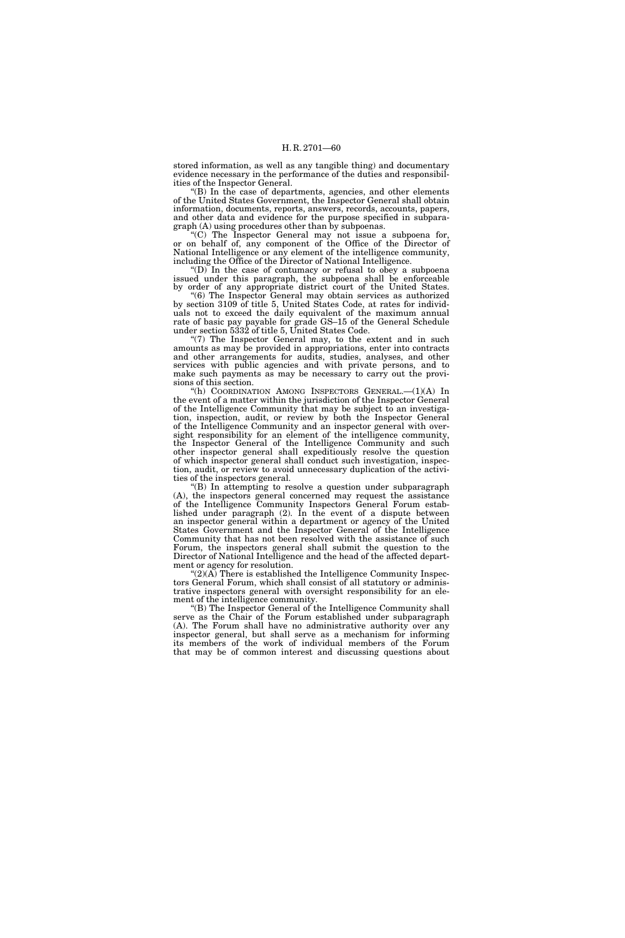stored information, as well as any tangible thing) and documentary evidence necessary in the performance of the duties and responsibilities of the Inspector General.

 $E(B)$  In the case of departments, agencies, and other elements of the United States Government, the Inspector General shall obtain information, documents, reports, answers, records, accounts, papers, and other data and evidence for the purpose specified in subparagraph (A) using procedures other than by subpoenas.

''(C) The Inspector General may not issue a subpoena for, or on behalf of, any component of the Office of the Director of National Intelligence or any element of the intelligence community, including the Office of the Director of National Intelligence.

''(D) In the case of contumacy or refusal to obey a subpoena issued under this paragraph, the subpoena shall be enforceable by order of any appropriate district court of the United States.

"(6) The Inspector General may obtain services as authorized by section 3109 of title 5, United States Code, at rates for individuals not to exceed the daily equivalent of the maximum annual rate of basic pay payable for grade GS–15 of the General Schedule under section 5332 of title 5, United States Code.

"(7) The Inspector General may, to the extent and in such amounts as may be provided in appropriations, enter into contracts and other arrangements for audits, studies, analyses, and other services with public agencies and with private persons, and to make such payments as may be necessary to carry out the provisions of this section.

''(h) COORDINATION AMONG INSPECTORS GENERAL.—(1)(A) In the event of a matter within the jurisdiction of the Inspector General of the Intelligence Community that may be subject to an investigation, inspection, audit, or review by both the Inspector General of the Intelligence Community and an inspector general with oversight responsibility for an element of the intelligence community, the Inspector General of the Intelligence Community and such other inspector general shall expeditiously resolve the question of which inspector general shall conduct such investigation, inspection, audit, or review to avoid unnecessary duplication of the activities of the inspectors general.

''(B) In attempting to resolve a question under subparagraph (A), the inspectors general concerned may request the assistance of the Intelligence Community Inspectors General Forum established under paragraph (2). In the event of a dispute between an inspector general within a department or agency of the United States Government and the Inspector General of the Intelligence Community that has not been resolved with the assistance of such Forum, the inspectors general shall submit the question to the Director of National Intelligence and the head of the affected department or agency for resolution.

 $\mathcal{L}(2)(\overline{A})$  There is established the Intelligence Community Inspectors General Forum, which shall consist of all statutory or administrative inspectors general with oversight responsibility for an element of the intelligence community.

''(B) The Inspector General of the Intelligence Community shall serve as the Chair of the Forum established under subparagraph (A). The Forum shall have no administrative authority over any inspector general, but shall serve as a mechanism for informing its members of the work of individual members of the Forum that may be of common interest and discussing questions about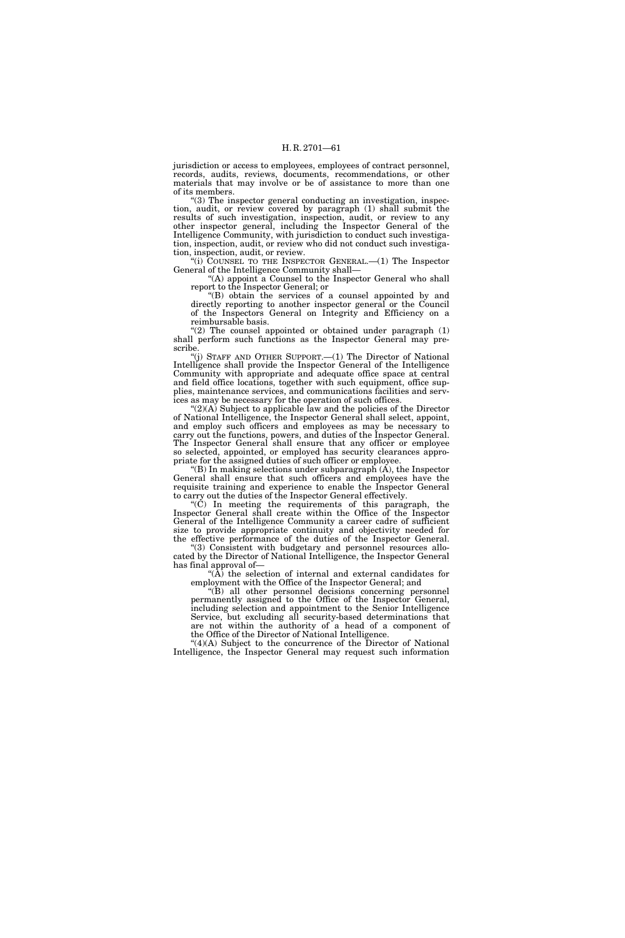jurisdiction or access to employees, employees of contract personnel, records, audits, reviews, documents, recommendations, or other materials that may involve or be of assistance to more than one of its members.

''(3) The inspector general conducting an investigation, inspection, audit, or review covered by paragraph (1) shall submit the results of such investigation, inspection, audit, or review to any other inspector general, including the Inspector General of the Intelligence Community, with jurisdiction to conduct such investigation, inspection, audit, or review who did not conduct such investigation, inspection, audit, or review.

''(i) COUNSEL TO THE INSPECTOR GENERAL.—(1) The Inspector General of the Intelligence Community shall—

"(A) appoint a Counsel to the Inspector General who shall report to the Inspector General; or

''(B) obtain the services of a counsel appointed by and directly reporting to another inspector general or the Council of the Inspectors General on Integrity and Efficiency on a reimbursable basis.

" $(2)$  The counsel appointed or obtained under paragraph  $(1)$ shall perform such functions as the Inspector General may prescribe.

''(j) STAFF AND OTHER SUPPORT.—(1) The Director of National Intelligence shall provide the Inspector General of the Intelligence Community with appropriate and adequate office space at central and field office locations, together with such equipment, office supplies, maintenance services, and communications facilities and services as may be necessary for the operation of such offices.

" $(2)(A)$  Subject to applicable law and the policies of the Director of National Intelligence, the Inspector General shall select, appoint, and employ such officers and employees as may be necessary to carry out the functions, powers, and duties of the Inspector General. The Inspector General shall ensure that any officer or employee so selected, appointed, or employed has security clearances appropriate for the assigned duties of such officer or employee.

 $($ B) In making selections under subparagraph  $(A)$ , the Inspector General shall ensure that such officers and employees have the requisite training and experience to enable the Inspector General to carry out the duties of the Inspector General effectively.

''(C) In meeting the requirements of this paragraph, the Inspector General shall create within the Office of the Inspector General of the Intelligence Community a career cadre of sufficient size to provide appropriate continuity and objectivity needed for the effective performance of the duties of the Inspector General.

(3) Consistent with budgetary and personnel resources allocated by the Director of National Intelligence, the Inspector General has final approval of—

 $\sqrt{\hat{A}}$  the selection of internal and external candidates for employment with the Office of the Inspector General; and

''(B) all other personnel decisions concerning personnel permanently assigned to the Office of the Inspector General, including selection and appointment to the Senior Intelligence Service, but excluding all security-based determinations that are not within the authority of a head of a component of the Office of the Director of National Intelligence.

" $(4)(A)$  Subject to the concurrence of the Director of National Intelligence, the Inspector General may request such information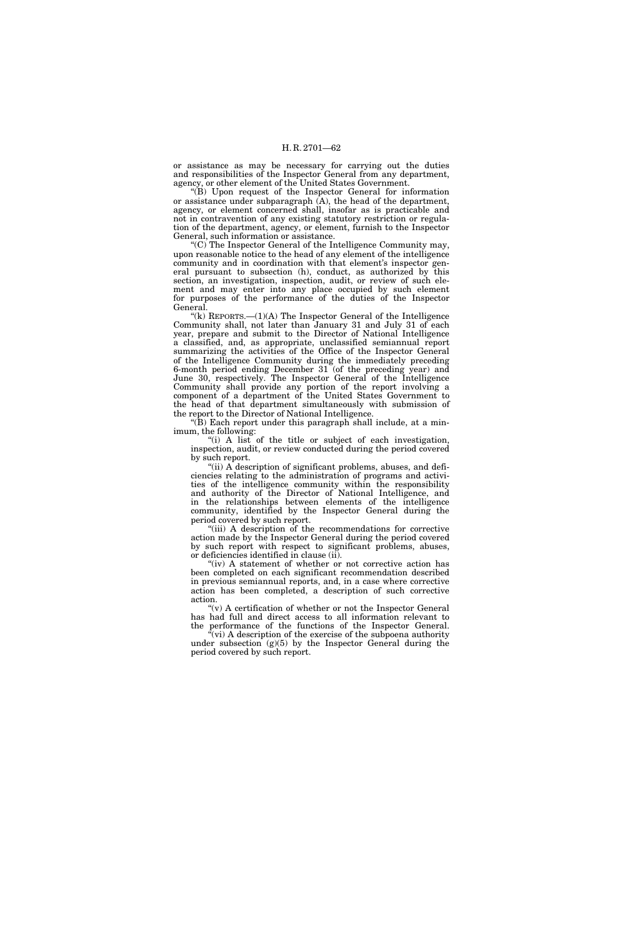or assistance as may be necessary for carrying out the duties and responsibilities of the Inspector General from any department, agency, or other element of the United States Government.

 $\mathcal{F}(B)$  Upon request of the Inspector General for information or assistance under subparagraph (A), the head of the department, agency, or element concerned shall, insofar as is practicable and not in contravention of any existing statutory restriction or regulation of the department, agency, or element, furnish to the Inspector General, such information or assistance.

 $\rm^{\prime\prime}(C)$  The Inspector General of the Intelligence Community may, upon reasonable notice to the head of any element of the intelligence community and in coordination with that element's inspector general pursuant to subsection (h), conduct, as authorized by this section, an investigation, inspection, audit, or review of such element and may enter into any place occupied by such element for purposes of the performance of the duties of the Inspector General.

"(k) REPORTS. $-(1)(A)$  The Inspector General of the Intelligence Community shall, not later than January 31 and July 31 of each year, prepare and submit to the Director of National Intelligence a classified, and, as appropriate, unclassified semiannual report summarizing the activities of the Office of the Inspector General of the Intelligence Community during the immediately preceding 6-month period ending December 31 (of the preceding year) and June 30, respectively. The Inspector General of the Intelligence Community shall provide any portion of the report involving a component of a department of the United States Government to the head of that department simultaneously with submission of the report to the Director of National Intelligence.

 $f(\hat{B})$  Each report under this paragraph shall include, at a minimum, the following:

''(i) A list of the title or subject of each investigation, inspection, audit, or review conducted during the period covered by such report.

" $(ii)$  A description of significant problems, abuses, and deficiencies relating to the administration of programs and activities of the intelligence community within the responsibility and authority of the Director of National Intelligence, and in the relationships between elements of the intelligence community, identified by the Inspector General during the period covered by such report.

"(iii) A description of the recommendations for corrective action made by the Inspector General during the period covered by such report with respect to significant problems, abuses, or deficiencies identified in clause (ii).

"(iv) A statement of whether or not corrective action has been completed on each significant recommendation described in previous semiannual reports, and, in a case where corrective action has been completed, a description of such corrective action.

 $(y)$  A certification of whether or not the Inspector General has had full and direct access to all information relevant to the performance of the functions of the Inspector General.

 $(vi)$  A description of the exercise of the subpoena authority under subsection  $(g)(5)$  by the Inspector General during the period covered by such report.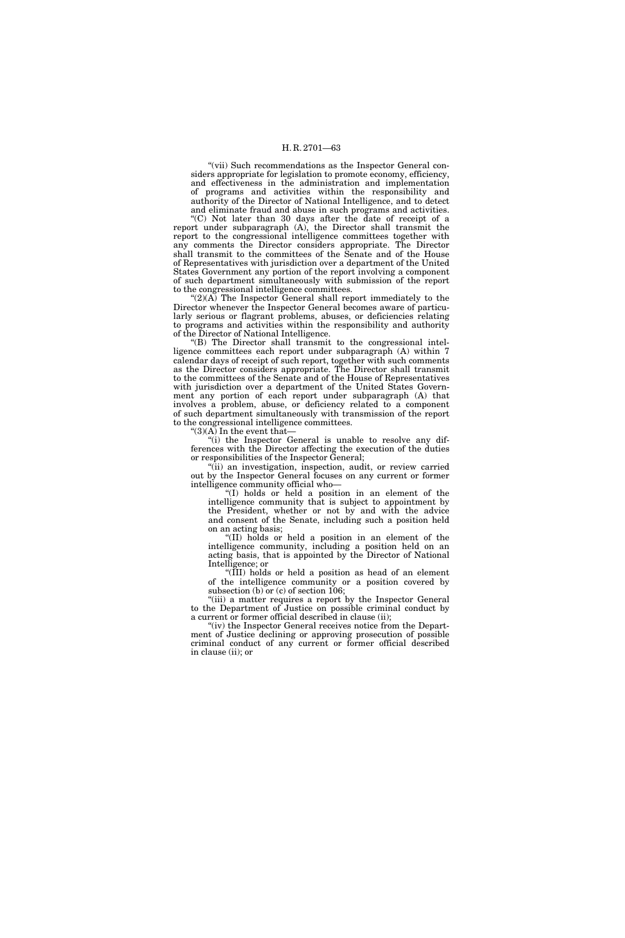"(vii) Such recommendations as the Inspector General considers appropriate for legislation to promote economy, efficiency, and effectiveness in the administration and implementation of programs and activities within the responsibility and authority of the Director of National Intelligence, and to detect and eliminate fraud and abuse in such programs and activities.

''(C) Not later than 30 days after the date of receipt of a report under subparagraph (A), the Director shall transmit the report to the congressional intelligence committees together with any comments the Director considers appropriate. The Director shall transmit to the committees of the Senate and of the House of Representatives with jurisdiction over a department of the United States Government any portion of the report involving a component of such department simultaneously with submission of the report to the congressional intelligence committees.

 $^{\circ}(2)$ (A) The Inspector General shall report immediately to the Director whenever the Inspector General becomes aware of particularly serious or flagrant problems, abuses, or deficiencies relating to programs and activities within the responsibility and authority of the Director of National Intelligence.

''(B) The Director shall transmit to the congressional intelligence committees each report under subparagraph (A) within 7 calendar days of receipt of such report, together with such comments as the Director considers appropriate. The Director shall transmit to the committees of the Senate and of the House of Representatives with jurisdiction over a department of the United States Government any portion of each report under subparagraph (A) that involves a problem, abuse, or deficiency related to a component of such department simultaneously with transmission of the report to the congressional intelligence committees.

 $^{\prime\prime}\mathrm{(3)}\mathrm{(A)}$  In the event that–

''(i) the Inspector General is unable to resolve any differences with the Director affecting the execution of the duties or responsibilities of the Inspector General;

"(ii) an investigation, inspection, audit, or review carried out by the Inspector General focuses on any current or former intelligence community official who—

''(I) holds or held a position in an element of the intelligence community that is subject to appointment by the President, whether or not by and with the advice and consent of the Senate, including such a position held on an acting basis;

''(II) holds or held a position in an element of the intelligence community, including a position held on an acting basis, that is appointed by the Director of National Intelligence; or

''(III) holds or held a position as head of an element of the intelligence community or a position covered by subsection (b) or (c) of section 106;

"(iii) a matter requires a report by the Inspector General to the Department of Justice on possible criminal conduct by a current or former official described in clause (ii);

"(iv) the Inspector General receives notice from the Department of Justice declining or approving prosecution of possible criminal conduct of any current or former official described in clause (ii); or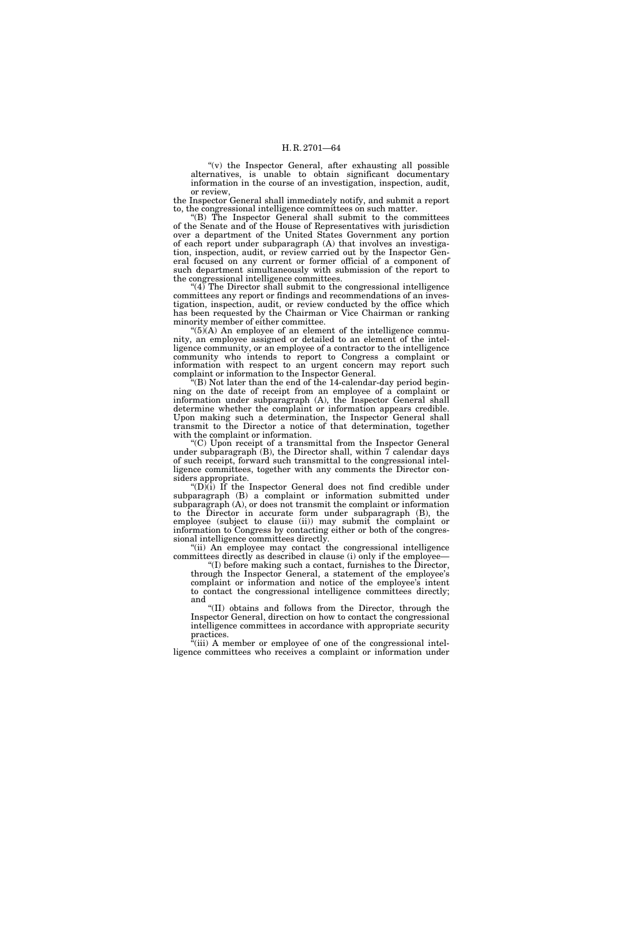"(v) the Inspector General, after exhausting all possible alternatives, is unable to obtain significant documentary information in the course of an investigation, inspection, audit, or review,

the Inspector General shall immediately notify, and submit a report to, the congressional intelligence committees on such matter.

''(B) The Inspector General shall submit to the committees of the Senate and of the House of Representatives with jurisdiction over a department of the United States Government any portion of each report under subparagraph (A) that involves an investigation, inspection, audit, or review carried out by the Inspector General focused on any current or former official of a component of such department simultaneously with submission of the report to the congressional intelligence committees.

 $(4)$ <sup>The Director shall submit to the congressional intelligence</sup> committees any report or findings and recommendations of an investigation, inspection, audit, or review conducted by the office which has been requested by the Chairman or Vice Chairman or ranking minority member of either committee.

" $(5)$  $(A)$  An employee of an element of the intelligence community, an employee assigned or detailed to an element of the intelligence community, or an employee of a contractor to the intelligence community who intends to report to Congress a complaint or information with respect to an urgent concern may report such complaint or information to the Inspector General.

 $f(B)$  Not later than the end of the 14-calendar-day period beginning on the date of receipt from an employee of a complaint or information under subparagraph (A), the Inspector General shall determine whether the complaint or information appears credible. Upon making such a determination, the Inspector General shall transmit to the Director a notice of that determination, together with the complaint or information.

 $(C)$  Upon receipt of a transmittal from the Inspector General under subparagraph  $(B)$ , the Director shall, within  $\overline{T}$  calendar days of such receipt, forward such transmittal to the congressional intelligence committees, together with any comments the Director considers appropriate.

" $(D)$  $(i)$  If the Inspector General does not find credible under subparagraph (B) a complaint or information submitted under subparagraph (A), or does not transmit the complaint or information to the Director in accurate form under subparagraph (B), the employee (subject to clause (ii)) may submit the complaint or information to Congress by contacting either or both of the congressional intelligence committees directly.

''(ii) An employee may contact the congressional intelligence committees directly as described in clause (i) only if the employee—

''(I) before making such a contact, furnishes to the Director, through the Inspector General, a statement of the employee's complaint or information and notice of the employee's intent to contact the congressional intelligence committees directly; and

''(II) obtains and follows from the Director, through the Inspector General, direction on how to contact the congressional intelligence committees in accordance with appropriate security practices.

(iii) A member or employee of one of the congressional intelligence committees who receives a complaint or information under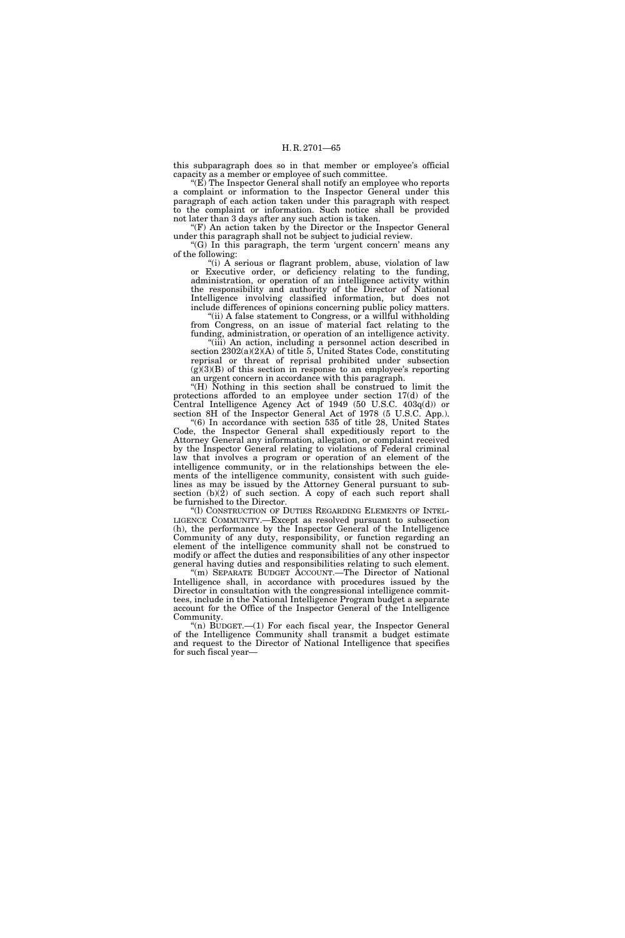this subparagraph does so in that member or employee's official capacity as a member or employee of such committee.

" $(E)$  The Inspector General shall notify an employee who reports a complaint or information to the Inspector General under this paragraph of each action taken under this paragraph with respect to the complaint or information. Such notice shall be provided not later than 3 days after any such action is taken.

''(F) An action taken by the Director or the Inspector General under this paragraph shall not be subject to judicial review.

"(G) In this paragraph, the term 'urgent concern' means any of the following:

"(i) A serious or flagrant problem, abuse, violation of law or Executive order, or deficiency relating to the funding, administration, or operation of an intelligence activity within the responsibility and authority of the Director of National Intelligence involving classified information, but does not include differences of opinions concerning public policy matters.

"(ii) A false statement to Congress, or a willful withholding from Congress, on an issue of material fact relating to the funding, administration, or operation of an intelligence activity.

''(iii) An action, including a personnel action described in section 2302(a)(2)(A) of title 5, United States Code, constituting reprisal or threat of reprisal prohibited under subsection  $(g)(3)(B)$  of this section in response to an employee's reporting an urgent concern in accordance with this paragraph.

''(H) Nothing in this section shall be construed to limit the protections afforded to an employee under section 17(d) of the Central Intelligence Agency Act of 1949 (50 U.S.C. 403q(d)) or section 8H of the Inspector General Act of 1978 (5 U.S.C. App.).

''(6) In accordance with section 535 of title 28, United States Code, the Inspector General shall expeditiously report to the Attorney General any information, allegation, or complaint received by the Inspector General relating to violations of Federal criminal law that involves a program or operation of an element of the intelligence community, or in the relationships between the elements of the intelligence community, consistent with such guidelines as may be issued by the Attorney General pursuant to subsection  $(b)(2)$  of such section. A copy of each such report shall be furnished to the Director.

''(l) CONSTRUCTION OF DUTIES REGARDING ELEMENTS OF INTEL-LIGENCE COMMUNITY.—Except as resolved pursuant to subsection (h), the performance by the Inspector General of the Intelligence Community of any duty, responsibility, or function regarding an element of the intelligence community shall not be construed to modify or affect the duties and responsibilities of any other inspector general having duties and responsibilities relating to such element.

"(m) SEPARATE BUDGET ACCOUNT.—The Director of National Intelligence shall, in accordance with procedures issued by the Director in consultation with the congressional intelligence committees, include in the National Intelligence Program budget a separate account for the Office of the Inspector General of the Intelligence Community.

''(n) BUDGET.—(1) For each fiscal year, the Inspector General of the Intelligence Community shall transmit a budget estimate and request to the Director of National Intelligence that specifies for such fiscal year—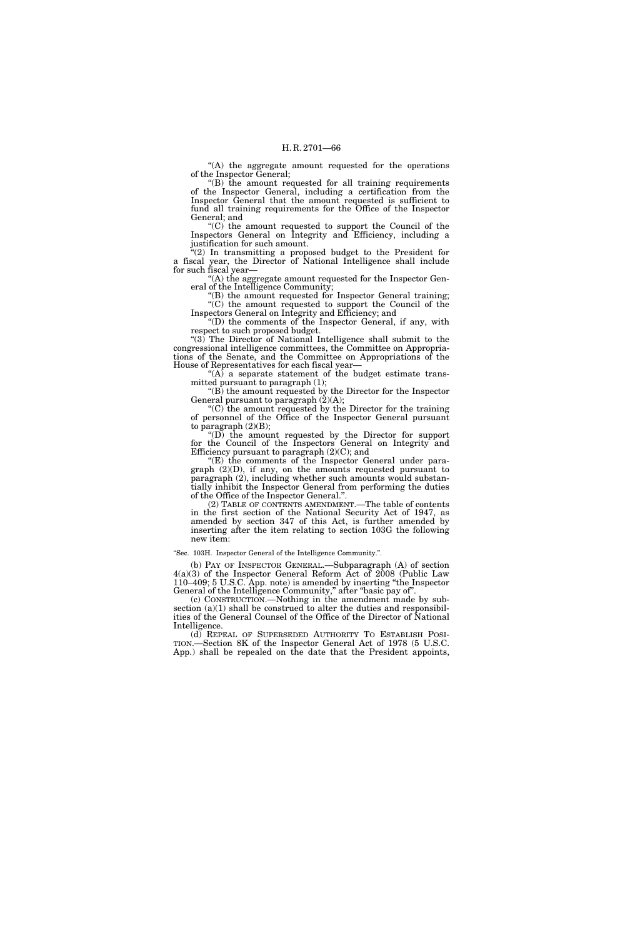''(A) the aggregate amount requested for the operations of the Inspector General;

 $f(B)$  the amount requested for all training requirements of the Inspector General, including a certification from the Inspector General that the amount requested is sufficient to fund all training requirements for the Office of the Inspector General; and

''(C) the amount requested to support the Council of the Inspectors General on Integrity and Efficiency, including a justification for such amount.

''(2) In transmitting a proposed budget to the President for a fiscal year, the Director of National Intelligence shall include for such fiscal year—

''(A) the aggregate amount requested for the Inspector General of the Intelligence Community;

"(B) the amount requested for Inspector General training; ''(C) the amount requested to support the Council of the Inspectors General on Integrity and Efficiency; and

''(D) the comments of the Inspector General, if any, with respect to such proposed budget.

"(3) The Director of National Intelligence shall submit to the congressional intelligence committees, the Committee on Appropriations of the Senate, and the Committee on Appropriations of the House of Representatives for each fiscal year—

" $(A)$  a separate statement of the budget estimate transmitted pursuant to paragraph (1);

 $\mathrm{``(B)}$  the amount requested by the Director for the Inspector General pursuant to paragraph  $(2)(A)$ ;

''(C) the amount requested by the Director for the training of personnel of the Office of the Inspector General pursuant to paragraph  $(2)(B)$ ;

''(D) the amount requested by the Director for support for the Council of the Inspectors General on Integrity and Efficiency pursuant to paragraph (2)(C); and

''(E) the comments of the Inspector General under paragraph (2)(D), if any, on the amounts requested pursuant to paragraph (2), including whether such amounts would substantially inhibit the Inspector General from performing the duties of the Office of the Inspector General.''.

(2) TABLE OF CONTENTS AMENDMENT.—The table of contents in the first section of the National Security Act of 1947, as amended by section 347 of this Act, is further amended by inserting after the item relating to section 103G the following new item:

''Sec. 103H. Inspector General of the Intelligence Community.''.

(b) PAY OF INSPECTOR GENERAL.—Subparagraph (A) of section 4(a)(3) of the Inspector General Reform Act of 2008 (Public Law 110–409; 5 U.S.C. App. note) is amended by inserting ''the Inspector General of the Intelligence Community," after "basic pay of".

(c) CONSTRUCTION.—Nothing in the amendment made by subsection  $(a)(1)$  shall be construed to alter the duties and responsibilities of the General Counsel of the Office of the Director of National Intelligence.

(d) REPEAL OF SUPERSEDED AUTHORITY TO ESTABLISH POSI-TION.—Section 8K of the Inspector General Act of 1978 (5 U.S.C. App.) shall be repealed on the date that the President appoints,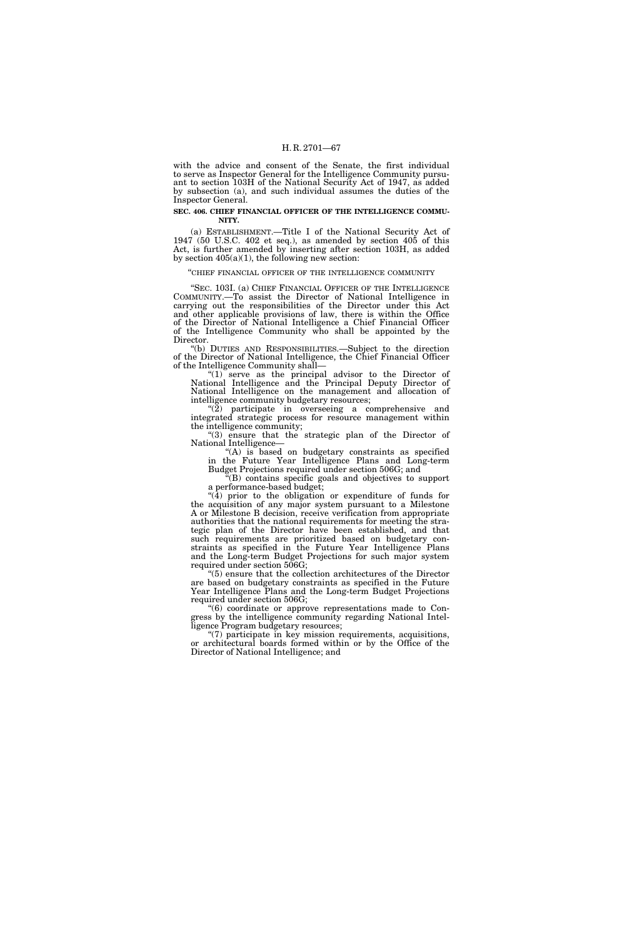with the advice and consent of the Senate, the first individual to serve as Inspector General for the Intelligence Community pursuant to section 103H of the National Security Act of 1947, as added by subsection (a), and such individual assumes the duties of the Inspector General.

## **SEC. 406. CHIEF FINANCIAL OFFICER OF THE INTELLIGENCE COMMU-NITY.**

(a) ESTABLISHMENT.—Title I of the National Security Act of 1947 (50 U.S.C. 402 et seq.), as amended by section 405 of this Act, is further amended by inserting after section 103H, as added by section  $405(a)(1)$ , the following new section:

#### ''CHIEF FINANCIAL OFFICER OF THE INTELLIGENCE COMMUNITY

"SEC. 103I. (a) CHIEF FINANCIAL OFFICER OF THE INTELLIGENCE COMMUNITY.—To assist the Director of National Intelligence in carrying out the responsibilities of the Director under this Act and other applicable provisions of law, there is within the Office of the Director of National Intelligence a Chief Financial Officer of the Intelligence Community who shall be appointed by the Director.

''(b) DUTIES AND RESPONSIBILITIES.—Subject to the direction of the Director of National Intelligence, the Chief Financial Officer of the Intelligence Community shall—

" $(1)$  serve as the principal advisor to the Director of National Intelligence and the Principal Deputy Director of National Intelligence on the management and allocation of intelligence community budgetary resources;

 $\sqrt{\tilde{2}}$  participate in overseeing a comprehensive and integrated strategic process for resource management within the intelligence community;

''(3) ensure that the strategic plan of the Director of National Intelligence—

"(A) is based on budgetary constraints as specified in the Future Year Intelligence Plans and Long-term Budget Projections required under section 506G; and

 $E<sup>2</sup>(B)$  contains specific goals and objectives to support a performance-based budget;

''(4) prior to the obligation or expenditure of funds for the acquisition of any major system pursuant to a Milestone A or Milestone B decision, receive verification from appropriate authorities that the national requirements for meeting the strategic plan of the Director have been established, and that such requirements are prioritized based on budgetary constraints as specified in the Future Year Intelligence Plans and the Long-term Budget Projections for such major system required under section 506G;

''(5) ensure that the collection architectures of the Director are based on budgetary constraints as specified in the Future Year Intelligence Plans and the Long-term Budget Projections required under section 506G;

''(6) coordinate or approve representations made to Congress by the intelligence community regarding National Intelligence Program budgetary resources;

''(7) participate in key mission requirements, acquisitions, or architectural boards formed within or by the Office of the Director of National Intelligence; and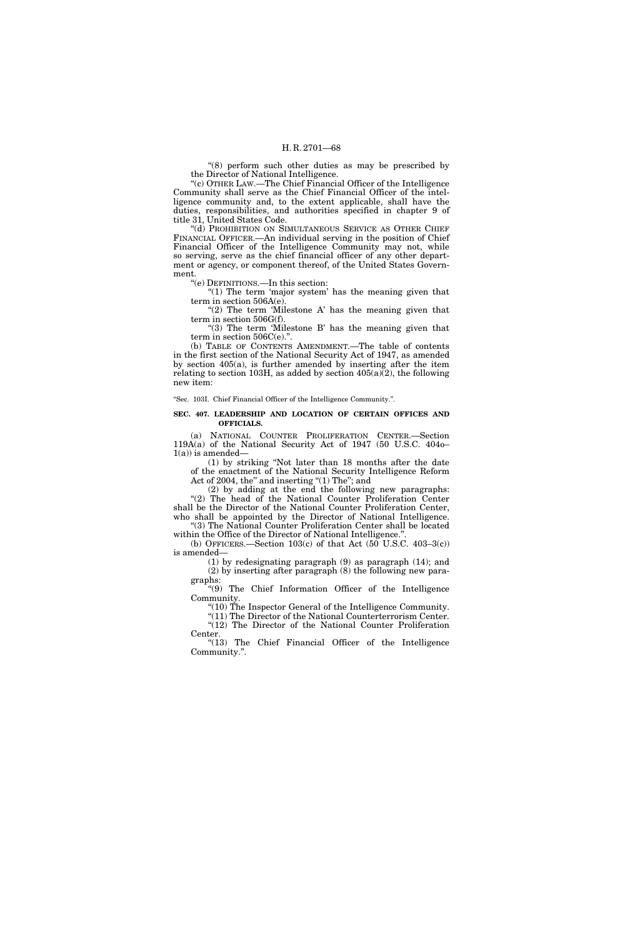''(8) perform such other duties as may be prescribed by the Director of National Intelligence.

''(c) OTHER LAW.—The Chief Financial Officer of the Intelligence Community shall serve as the Chief Financial Officer of the intelligence community and, to the extent applicable, shall have the duties, responsibilities, and authorities specified in chapter 9 of title 31, United States Code.

''(d) PROHIBITION ON SIMULTANEOUS SERVICE AS OTHER CHIEF FINANCIAL OFFICER.—An individual serving in the position of Chief Financial Officer of the Intelligence Community may not, while so serving, serve as the chief financial officer of any other department or agency, or component thereof, of the United States Government.

''(e) DEFINITIONS.—In this section:

" $(1)$  The term 'major system' has the meaning given that term in section 506A(e).

"(2) The term 'Milestone A' has the meaning given that term in section 506G(f).

" $(3)$  The term 'Milestone B' has the meaning given that term in section  $506C(e)$ .".

(b) TABLE OF CONTENTS AMENDMENT.—The table of contents in the first section of the National Security Act of 1947, as amended by section 405(a), is further amended by inserting after the item relating to section 103H, as added by section  $405(a)(2)$ , the following new item:

''Sec. 103I. Chief Financial Officer of the Intelligence Community.''.

### **SEC. 407. LEADERSHIP AND LOCATION OF CERTAIN OFFICES AND OFFICIALS.**

(a) NATIONAL COUNTER PROLIFERATION CENTER.—Section 119A(a) of the National Security Act of 1947 (50 U.S.C. 404o–  $1(a)$ ) is amended—

(1) by striking ''Not later than 18 months after the date of the enactment of the National Security Intelligence Reform Act of 2004, the" and inserting "(1) The"; and

(2) by adding at the end the following new paragraphs: ''(2) The head of the National Counter Proliferation Center shall be the Director of the National Counter Proliferation Center, who shall be appointed by the Director of National Intelligence. ''(3) The National Counter Proliferation Center shall be located

within the Office of the Director of National Intelligence." (b) OFFICERS.—Section 103(c) of that Act  $(50$  U.S.C. 403-3(c))

is amended— (1) by redesignating paragraph (9) as paragraph (14); and

(2) by inserting after paragraph (8) the following new paragraphs:

''(9) The Chief Information Officer of the Intelligence Community.

''(10) The Inspector General of the Intelligence Community.

 $"(11)$  The Director of the National Counterterrorism Center.  $\sqrt[4]{(12)}$  The Director of the National Counter Proliferation

Center. "(13) The Chief Financial Officer of the Intelligence Community.''.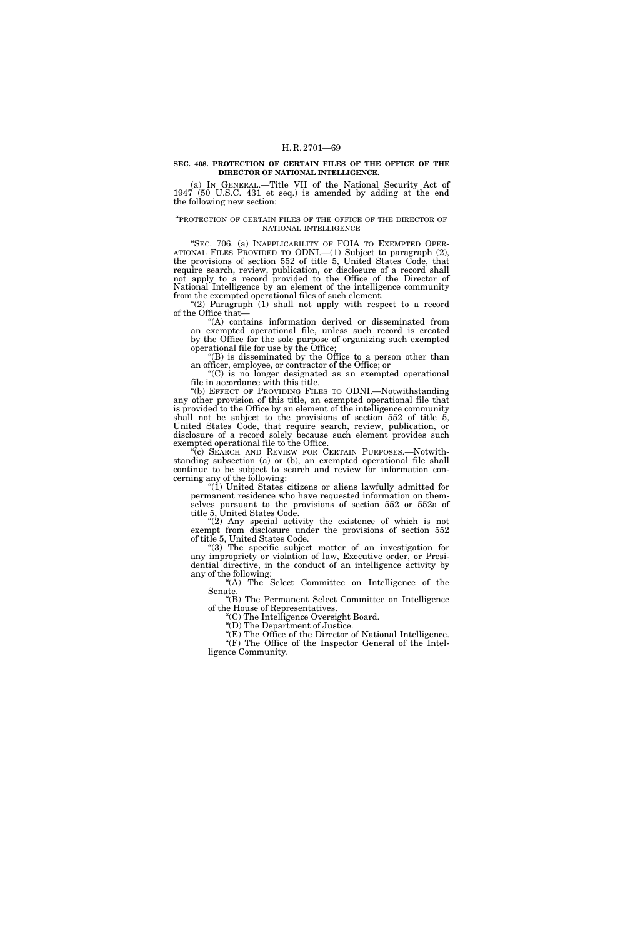#### **SEC. 408. PROTECTION OF CERTAIN FILES OF THE OFFICE OF THE DIRECTOR OF NATIONAL INTELLIGENCE.**

(a) IN GENERAL.—Title VII of the National Security Act of 1947 (50 U.S.C. 431 et seq.) is amended by adding at the end the following new section:

### ''PROTECTION OF CERTAIN FILES OF THE OFFICE OF THE DIRECTOR OF NATIONAL INTELLIGENCE

"SEC. 706. (a) INAPPLICABILITY OF FOIA TO EXEMPTED OPER-ATIONAL FILES PROVIDED TO ODNI.—(1) Subject to paragraph (2), the provisions of section 552 of title 5, United States Code, that require search, review, publication, or disclosure of a record shall not apply to a record provided to the Office of the Director of National Intelligence by an element of the intelligence community from the exempted operational files of such element.

"(2) Paragraph  $(1)$  shall not apply with respect to a record of the Office that—

''(A) contains information derived or disseminated from an exempted operational file, unless such record is created by the Office for the sole purpose of organizing such exempted operational file for use by the Office;

''(B) is disseminated by the Office to a person other than an officer, employee, or contractor of the Office; or

''(C) is no longer designated as an exempted operational file in accordance with this title.

''(b) EFFECT OF PROVIDING FILES TO ODNI.—Notwithstanding any other provision of this title, an exempted operational file that is provided to the Office by an element of the intelligence community shall not be subject to the provisions of section  $552$  of title  $5$ , United States Code, that require search, review, publication, or disclosure of a record solely because such element provides such exempted operational file to the Office.

(c) SEARCH AND REVIEW FOR CERTAIN PURPOSES.—Notwithstanding subsection (a) or (b), an exempted operational file shall continue to be subject to search and review for information concerning any of the following:

" $(1)$  United States citizens or aliens lawfully admitted for permanent residence who have requested information on themselves pursuant to the provisions of section 552 or 552a of title 5, United States Code.

"(2) Any special activity the existence of which is not exempt from disclosure under the provisions of section 552 of title 5, United States Code.

''(3) The specific subject matter of an investigation for any impropriety or violation of law, Executive order, or Presidential directive, in the conduct of an intelligence activity by any of the following:

''(A) The Select Committee on Intelligence of the Senate.

''(B) The Permanent Select Committee on Intelligence of the House of Representatives.

''(C) The Intelligence Oversight Board.

''(D) The Department of Justice.

''(E) The Office of the Director of National Intelligence. ''(F) The Office of the Inspector General of the Intelligence Community.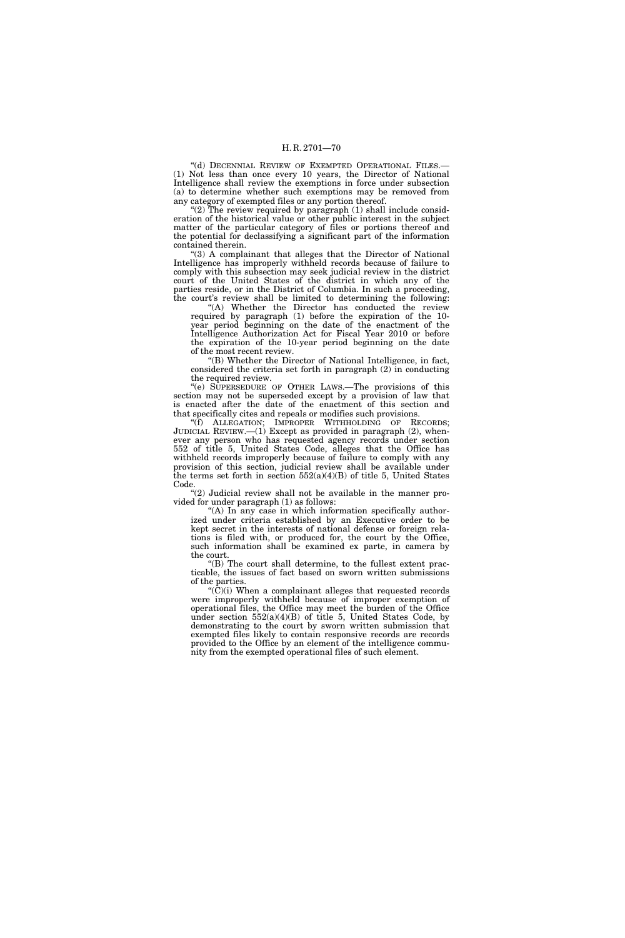''(d) DECENNIAL REVIEW OF EXEMPTED OPERATIONAL FILES.— (1) Not less than once every 10 years, the Director of National Intelligence shall review the exemptions in force under subsection (a) to determine whether such exemptions may be removed from any category of exempted files or any portion thereof.

"(2) The review required by paragraph (1) shall include consideration of the historical value or other public interest in the subject matter of the particular category of files or portions thereof and the potential for declassifying a significant part of the information contained therein.

 $(3)$  A complainant that alleges that the Director of National Intelligence has improperly withheld records because of failure to comply with this subsection may seek judicial review in the district court of the United States of the district in which any of the parties reside, or in the District of Columbia. In such a proceeding, the court's review shall be limited to determining the following:

"(A) Whether the Director has conducted the review required by paragraph (1) before the expiration of the 10 year period beginning on the date of the enactment of the Intelligence Authorization Act for Fiscal Year 2010 or before the expiration of the 10-year period beginning on the date of the most recent review.

''(B) Whether the Director of National Intelligence, in fact, considered the criteria set forth in paragraph (2) in conducting the required review.

''(e) SUPERSEDURE OF OTHER LAWS.—The provisions of this section may not be superseded except by a provision of law that is enacted after the date of the enactment of this section and that specifically cites and repeals or modifies such provisions.

"(f) ALLEGATION; IMPROPER WITHHOLDING OF RECORDS; JUDICIAL REVIEW.—(1) Except as provided in paragraph (2), whenever any person who has requested agency records under section 552 of title 5, United States Code, alleges that the Office has withheld records improperly because of failure to comply with any provision of this section, judicial review shall be available under the terms set forth in section  $552(a)(4)(B)$  of title 5, United States Code.

''(2) Judicial review shall not be available in the manner provided for under paragraph (1) as follows:

"(A) In any case in which information specifically authorized under criteria established by an Executive order to be kept secret in the interests of national defense or foreign relations is filed with, or produced for, the court by the Office, such information shall be examined ex parte, in camera by the court.

''(B) The court shall determine, to the fullest extent practicable, the issues of fact based on sworn written submissions of the parties.

" $(C)(i)$  When a complainant alleges that requested records were improperly withheld because of improper exemption of operational files, the Office may meet the burden of the Office under section  $552(a)(4)(B)$  of title 5, United States Code, by demonstrating to the court by sworn written submission that exempted files likely to contain responsive records are records provided to the Office by an element of the intelligence community from the exempted operational files of such element.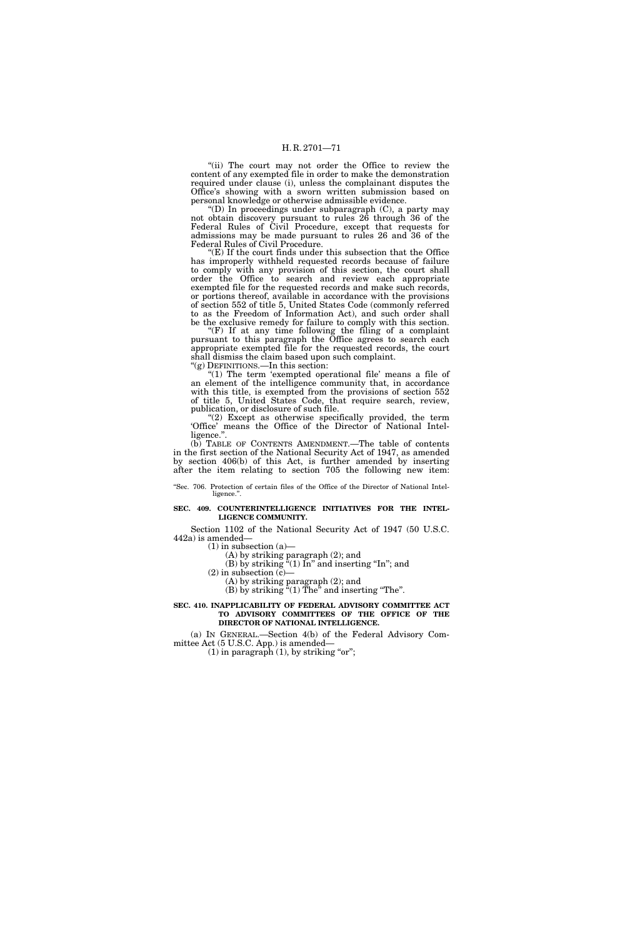"(ii) The court may not order the Office to review the content of any exempted file in order to make the demonstration required under clause (i), unless the complainant disputes the Office's showing with a sworn written submission based on personal knowledge or otherwise admissible evidence.

''(D) In proceedings under subparagraph (C), a party may not obtain discovery pursuant to rules 26 through 36 of the Federal Rules of Civil Procedure, except that requests for admissions may be made pursuant to rules 26 and 36 of the Federal Rules of Civil Procedure.

 $E(E)$  If the court finds under this subsection that the Office has improperly withheld requested records because of failure to comply with any provision of this section, the court shall order the Office to search and review each appropriate exempted file for the requested records and make such records, or portions thereof, available in accordance with the provisions of section 552 of title 5, United States Code (commonly referred to as the Freedom of Information Act), and such order shall be the exclusive remedy for failure to comply with this section.

" $(F)$  If at any time following the filing of a complaint pursuant to this paragraph the Office agrees to search each appropriate exempted file for the requested records, the court shall dismiss the claim based upon such complaint. ''(g) DEFINITIONS.—In this section:

"(1) The term 'exempted operational file' means a file of an element of the intelligence community that, in accordance with this title, is exempted from the provisions of section 552 of title 5, United States Code, that require search, review, publication, or disclosure of such file.

''(2) Except as otherwise specifically provided, the term 'Office' means the Office of the Director of National Intelligence.".

(b) TABLE OF CONTENTS AMENDMENT.—The table of contents in the first section of the National Security Act of 1947, as amended by section 406(b) of this Act, is further amended by inserting after the item relating to section 705 the following new item:

''Sec. 706. Protection of certain files of the Office of the Director of National Intelligence."

## **SEC. 409. COUNTERINTELLIGENCE INITIATIVES FOR THE INTEL-LIGENCE COMMUNITY.**

Section 1102 of the National Security Act of 1947 (50 U.S.C. 442a) is amended—

 $(1)$  in subsection  $(a)$ —

(A) by striking paragraph (2); and

(B) by striking  $(1)$  In" and inserting "In"; and

 $(2)$  in subsection  $(c)$ —

(A) by striking paragraph (2); and (B) by striking  $(1)$  The<sup>"</sup> and inserting "The".

### **SEC. 410. INAPPLICABILITY OF FEDERAL ADVISORY COMMITTEE ACT TO ADVISORY COMMITTEES OF THE OFFICE OF THE DIRECTOR OF NATIONAL INTELLIGENCE.**

(a) IN GENERAL.—Section 4(b) of the Federal Advisory Committee Act (5 U.S.C. App.) is amended—

 $(1)$  in paragraph  $(1)$ , by striking "or";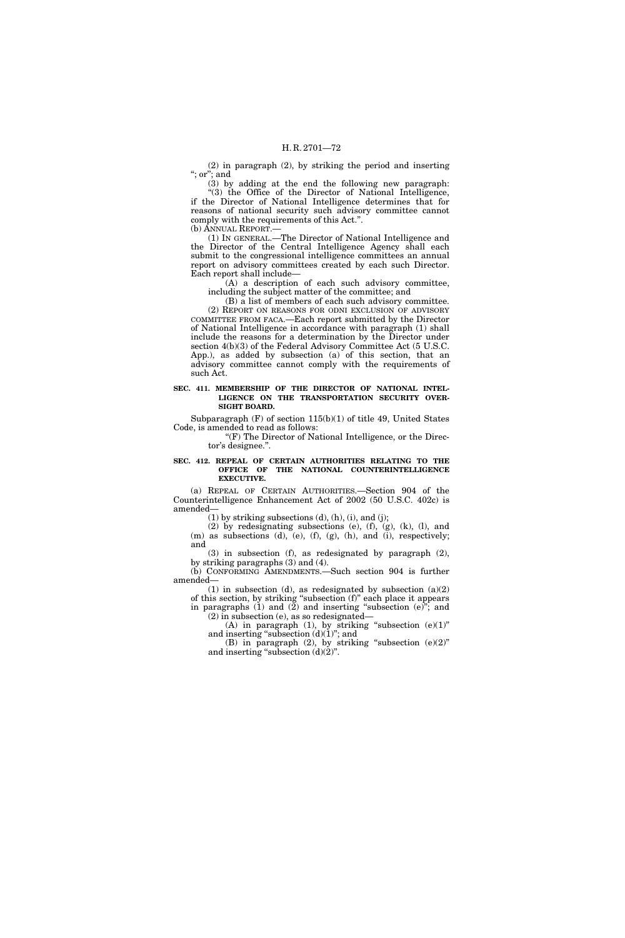(2) in paragraph (2), by striking the period and inserting ''; or''; and

(3) by adding at the end the following new paragraph: ''(3) the Office of the Director of National Intelligence, if the Director of National Intelligence determines that for reasons of national security such advisory committee cannot comply with the requirements of this Act.''. (b) ANNUAL REPORT.—

(1) IN GENERAL.—The Director of National Intelligence and the Director of the Central Intelligence Agency shall each submit to the congressional intelligence committees an annual report on advisory committees created by each such Director. Each report shall include—

(A) a description of each such advisory committee, including the subject matter of the committee; and

(B) a list of members of each such advisory committee. (2) REPORT ON REASONS FOR ODNI EXCLUSION OF ADVISORY COMMITTEE FROM FACA.—Each report submitted by the Director of National Intelligence in accordance with paragraph (1) shall include the reasons for a determination by the Director under section 4(b)(3) of the Federal Advisory Committee Act (5 U.S.C. App.), as added by subsection (a) of this section, that an advisory committee cannot comply with the requirements of such Act.

## **SEC. 411. MEMBERSHIP OF THE DIRECTOR OF NATIONAL INTEL-LIGENCE ON THE TRANSPORTATION SECURITY OVER-SIGHT BOARD.**

Subparagraph  $(F)$  of section  $115(b)(1)$  of title 49, United States Code, is amended to read as follows:

"(F) The Director of National Intelligence, or the Director's designee.''.

## **SEC. 412. REPEAL OF CERTAIN AUTHORITIES RELATING TO THE OFFICE OF THE NATIONAL COUNTERINTELLIGENCE EXECUTIVE.**

(a) REPEAL OF CERTAIN AUTHORITIES.—Section 904 of the Counterintelligence Enhancement Act of 2002 (50 U.S.C. 402c) is amended—

 $(1)$  by striking subsections  $(d)$ ,  $(h)$ ,  $(i)$ , and  $(j)$ ;

(2) by redesignating subsections (e), (f), (g), (k), (l), and (m) as subsections (d), (e), (f), (g), (h), and (i), respectively; and

(3) in subsection (f), as redesignated by paragraph (2), by striking paragraphs (3) and (4).

(b) CONFORMING AMENDMENTS.—Such section 904 is further amended—

(1) in subsection (d), as redesignated by subsection (a)(2) of this section, by striking ''subsection (f)'' each place it appears in paragraphs (1) and (2) and inserting ''subsection (e)''; and

(2) in subsection (e), as so redesignated— (A) in paragraph (1), by striking "subsection  $(e)(1)$ "

and inserting "subsection  $(d)(1)$ "; and

(B) in paragraph  $(2)$ , by striking "subsection  $(e)(2)$ " and inserting "subsection  $(d)(2)$ ".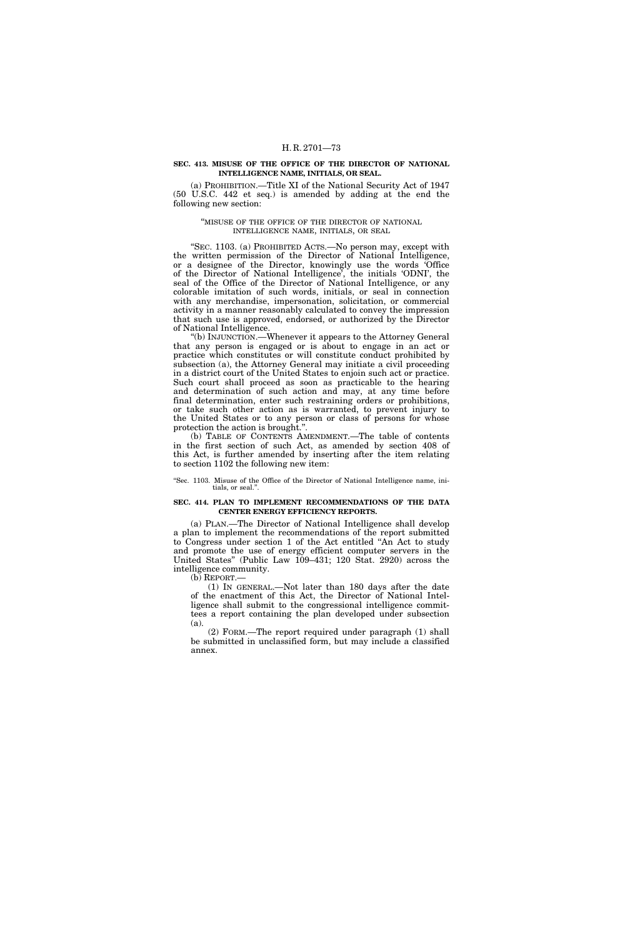### **SEC. 413. MISUSE OF THE OFFICE OF THE DIRECTOR OF NATIONAL INTELLIGENCE NAME, INITIALS, OR SEAL.**

(a) PROHIBITION.—Title XI of the National Security Act of 1947 (50 U.S.C. 442 et seq.) is amended by adding at the end the following new section:

### ''MISUSE OF THE OFFICE OF THE DIRECTOR OF NATIONAL INTELLIGENCE NAME, INITIALS, OR SEAL

''SEC. 1103. (a) PROHIBITED ACTS.—No person may, except with the written permission of the Director of National Intelligence, or a designee of the Director, knowingly use the words 'Office of the Director of National Intelligence', the initials 'ODNI', the seal of the Office of the Director of National Intelligence, or any colorable imitation of such words, initials, or seal in connection with any merchandise, impersonation, solicitation, or commercial activity in a manner reasonably calculated to convey the impression that such use is approved, endorsed, or authorized by the Director of National Intelligence.

''(b) INJUNCTION.—Whenever it appears to the Attorney General that any person is engaged or is about to engage in an act or practice which constitutes or will constitute conduct prohibited by subsection (a), the Attorney General may initiate a civil proceeding in a district court of the United States to enjoin such act or practice. Such court shall proceed as soon as practicable to the hearing and determination of such action and may, at any time before final determination, enter such restraining orders or prohibitions, or take such other action as is warranted, to prevent injury to the United States or to any person or class of persons for whose protection the action is brought.''.

(b) TABLE OF CONTENTS AMENDMENT.—The table of contents in the first section of such Act, as amended by section 408 of this Act, is further amended by inserting after the item relating to section 1102 the following new item:

''Sec. 1103. Misuse of the Office of the Director of National Intelligence name, initials, or seal.''.

### **SEC. 414. PLAN TO IMPLEMENT RECOMMENDATIONS OF THE DATA CENTER ENERGY EFFICIENCY REPORTS.**

(a) PLAN.—The Director of National Intelligence shall develop a plan to implement the recommendations of the report submitted to Congress under section 1 of the Act entitled ''An Act to study and promote the use of energy efficient computer servers in the United States'' (Public Law 109–431; 120 Stat. 2920) across the intelligence community.

(b) REPORT.—

(1) IN GENERAL.—Not later than 180 days after the date of the enactment of this Act, the Director of National Intelligence shall submit to the congressional intelligence committees a report containing the plan developed under subsection (a).

(2) FORM.—The report required under paragraph (1) shall be submitted in unclassified form, but may include a classified annex.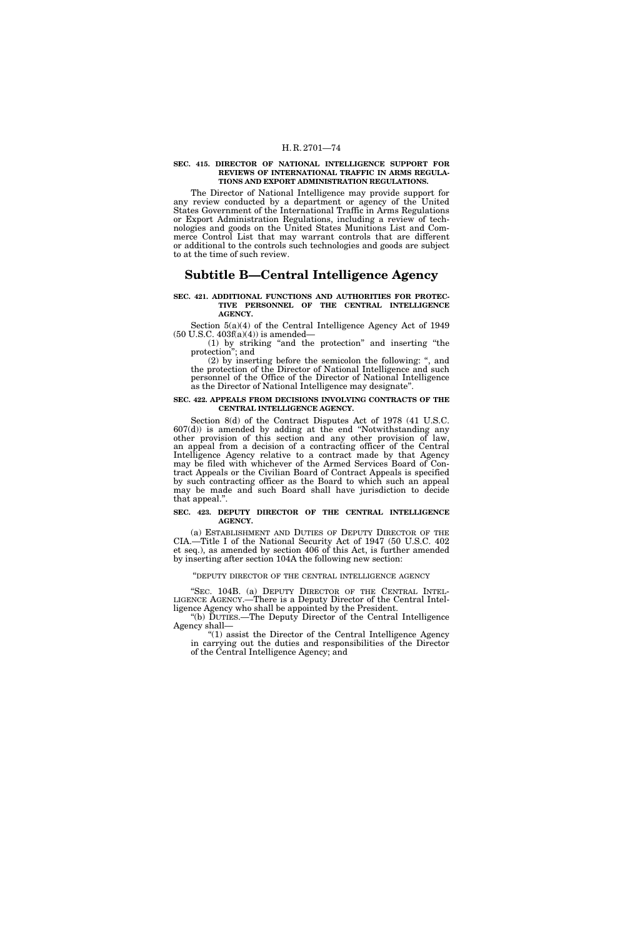### **SEC. 415. DIRECTOR OF NATIONAL INTELLIGENCE SUPPORT FOR REVIEWS OF INTERNATIONAL TRAFFIC IN ARMS REGULA-TIONS AND EXPORT ADMINISTRATION REGULATIONS.**

The Director of National Intelligence may provide support for any review conducted by a department or agency of the United States Government of the International Traffic in Arms Regulations or Export Administration Regulations, including a review of technologies and goods on the United States Munitions List and Commerce Control List that may warrant controls that are different or additional to the controls such technologies and goods are subject to at the time of such review.

## **Subtitle B—Central Intelligence Agency**

#### **SEC. 421. ADDITIONAL FUNCTIONS AND AUTHORITIES FOR PROTEC-TIVE PERSONNEL OF THE CENTRAL INTELLIGENCE AGENCY.**

Section 5(a)(4) of the Central Intelligence Agency Act of 1949 (50 U.S.C. 403f(a)(4)) is amended—

(1) by striking ''and the protection'' and inserting ''the protection''; and

(2) by inserting before the semicolon the following: '', and the protection of the Director of National Intelligence and such personnel of the Office of the Director of National Intelligence as the Director of National Intelligence may designate''.

### **SEC. 422. APPEALS FROM DECISIONS INVOLVING CONTRACTS OF THE CENTRAL INTELLIGENCE AGENCY.**

Section 8(d) of the Contract Disputes Act of 1978 (41 U.S.C.  $607(d)$  is amended by adding at the end "Notwithstanding any other provision of this section and any other provision of law, an appeal from a decision of a contracting officer of the Central Intelligence Agency relative to a contract made by that Agency may be filed with whichever of the Armed Services Board of Contract Appeals or the Civilian Board of Contract Appeals is specified by such contracting officer as the Board to which such an appeal may be made and such Board shall have jurisdiction to decide that appeal.''.

## **SEC. 423. DEPUTY DIRECTOR OF THE CENTRAL INTELLIGENCE AGENCY.**

(a) ESTABLISHMENT AND DUTIES OF DEPUTY DIRECTOR OF THE CIA.—Title I of the National Security Act of 1947 (50 U.S.C. 402 et seq.), as amended by section 406 of this Act, is further amended by inserting after section 104A the following new section:

### ''DEPUTY DIRECTOR OF THE CENTRAL INTELLIGENCE AGENCY

"SEC. 104B. (a) DEPUTY DIRECTOR OF THE CENTRAL INTEL-LIGENCE AGENCY.—There is a Deputy Director of the Central Intelligence Agency who shall be appointed by the President.

''(b) DUTIES.—The Deputy Director of the Central Intelligence Agency shall—

" $(1)$  assist the Director of the Central Intelligence Agency in carrying out the duties and responsibilities of the Director of the Central Intelligence Agency; and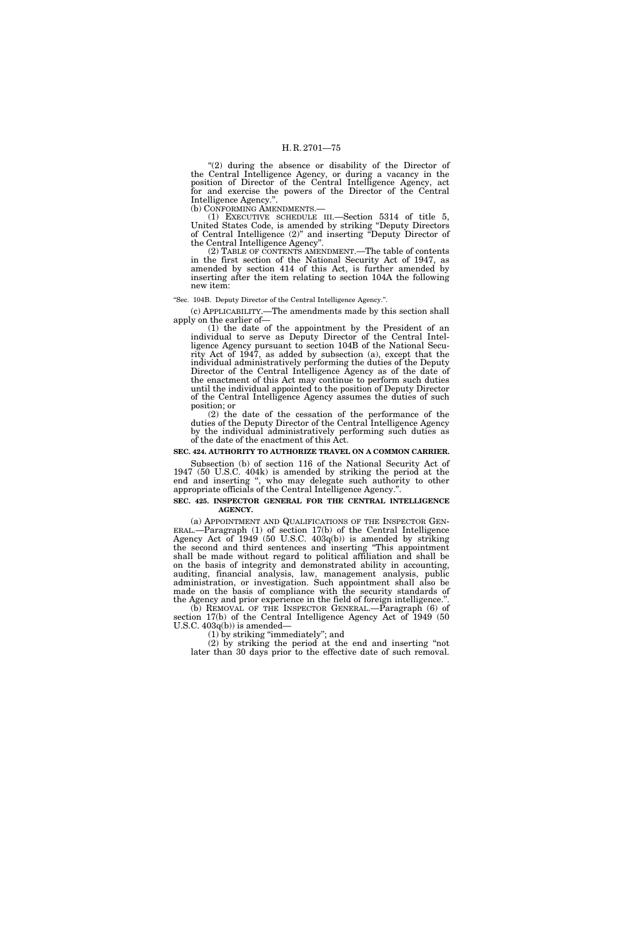"(2) during the absence or disability of the Director of the Central Intelligence Agency, or during a vacancy in the position of Director of the Central Intelligence Agency, act for and exercise the powers of the Director of the Central Intelligence Agency.".<br>(b) CONFORMING AMENDMENTS.-

(b) CONFORMING AMENDMENTS.— (1) EXECUTIVE SCHEDULE III.—Section 5314 of title 5, United States Code, is amended by striking ''Deputy Directors of Central Intelligence (2)'' and inserting ''Deputy Director of the Central Intelligence Agency''.

(2) TABLE OF CONTENTS AMENDMENT.—The table of contents in the first section of the National Security Act of 1947, as amended by section 414 of this Act, is further amended by inserting after the item relating to section 104A the following new item:

### ''Sec. 104B. Deputy Director of the Central Intelligence Agency.''.

(c) APPLICABILITY.—The amendments made by this section shall apply on the earlier of—

(1) the date of the appointment by the President of an individual to serve as Deputy Director of the Central Intelligence Agency pursuant to section 104B of the National Security Act of 1947, as added by subsection (a), except that the individual administratively performing the duties of the Deputy Director of the Central Intelligence Agency as of the date of the enactment of this Act may continue to perform such duties until the individual appointed to the position of Deputy Director of the Central Intelligence Agency assumes the duties of such position; or

(2) the date of the cessation of the performance of the duties of the Deputy Director of the Central Intelligence Agency by the individual administratively performing such duties as of the date of the enactment of this Act.

### **SEC. 424. AUTHORITY TO AUTHORIZE TRAVEL ON A COMMON CARRIER.**

Subsection (b) of section 116 of the National Security Act of 1947 (50 U.S.C. 404k) is amended by striking the period at the end and inserting '', who may delegate such authority to other appropriate officials of the Central Intelligence Agency.''.

## **SEC. 425. INSPECTOR GENERAL FOR THE CENTRAL INTELLIGENCE AGENCY.**

(a) APPOINTMENT AND QUALIFICATIONS OF THE INSPECTOR GEN-ERAL.—Paragraph (1) of section 17(b) of the Central Intelligence Agency Act of 1949 (50 U.S.C. 403q(b)) is amended by striking the second and third sentences and inserting ''This appointment shall be made without regard to political affiliation and shall be on the basis of integrity and demonstrated ability in accounting, auditing, financial analysis, law, management analysis, public administration, or investigation. Such appointment shall also be made on the basis of compliance with the security standards of the Agency and prior experience in the field of foreign intelligence.''.

(b) REMOVAL OF THE INSPECTOR GENERAL.—Paragraph (6) of section 17(b) of the Central Intelligence Agency Act of 1949 (50 U.S.C. 403q(b)) is amended—

(1) by striking ''immediately''; and

(2) by striking the period at the end and inserting ''not later than 30 days prior to the effective date of such removal.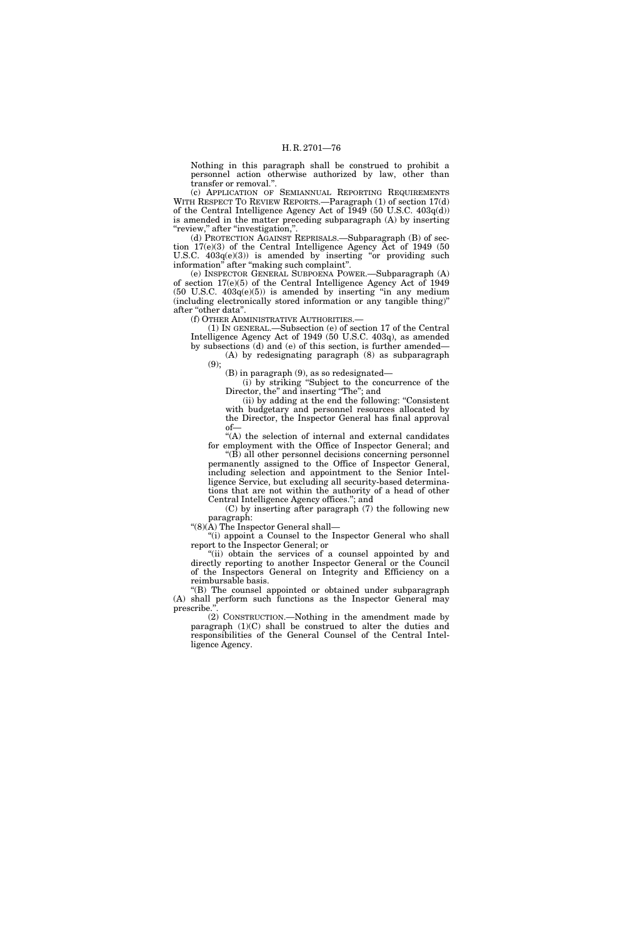Nothing in this paragraph shall be construed to prohibit a personnel action otherwise authorized by law, other than transfer or removal.''.

(c) APPLICATION OF SEMIANNUAL REPORTING REQUIREMENTS WITH RESPECT TO REVIEW REPORTS.—Paragraph (1) of section 17(d) of the Central Intelligence Agency Act of  $1949(50 \text{ U.S.C. } 403q(d))$ is amended in the matter preceding subparagraph (A) by inserting "review," after "investigation,"

(d) PROTECTION AGAINST REPRISALS.—Subparagraph (B) of section 17(e)(3) of the Central Intelligence Agency Act of 1949 (50 U.S.C.  $403q(e)(3)$  is amended by inserting "or providing such information'' after ''making such complaint''.

(e) INSPECTOR GENERAL SUBPOENA POWER.—Subparagraph (A) of section 17(e)(5) of the Central Intelligence Agency Act of 1949  $(50 \text{ U.S.C. } 403q(e)(5))$  is amended by inserting "in any medium (including electronically stored information or any tangible thing)'' after "other data".

(f) OTHER ADMINISTRATIVE AUTHORITIES.—

(1) IN GENERAL.—Subsection (e) of section 17 of the Central Intelligence Agency Act of 1949 (50 U.S.C. 403q), as amended by subsections (d) and (e) of this section, is further amended—

(A) by redesignating paragraph (8) as subparagraph (9);

(B) in paragraph (9), as so redesignated—

(i) by striking ''Subject to the concurrence of the Director, the" and inserting "The"; and

(ii) by adding at the end the following: ''Consistent with budgetary and personnel resources allocated by the Director, the Inspector General has final approval of—

"(A) the selection of internal and external candidates for employment with the Office of Inspector General; and

 $\mathrm{``(B)}$  all other personnel decisions concerning personnel permanently assigned to the Office of Inspector General, including selection and appointment to the Senior Intelligence Service, but excluding all security-based determinations that are not within the authority of a head of other Central Intelligence Agency offices.''; and

(C) by inserting after paragraph (7) the following new paragraph:

" $(8)(\overline{A})$  The Inspector General shall—

"(i) appoint a Counsel to the Inspector General who shall report to the Inspector General; or

"(ii) obtain the services of a counsel appointed by and directly reporting to another Inspector General or the Council of the Inspectors General on Integrity and Efficiency on a reimbursable basis.

''(B) The counsel appointed or obtained under subparagraph (A) shall perform such functions as the Inspector General may prescribe.'

(2) CONSTRUCTION.—Nothing in the amendment made by paragraph (1)(C) shall be construed to alter the duties and responsibilities of the General Counsel of the Central Intelligence Agency.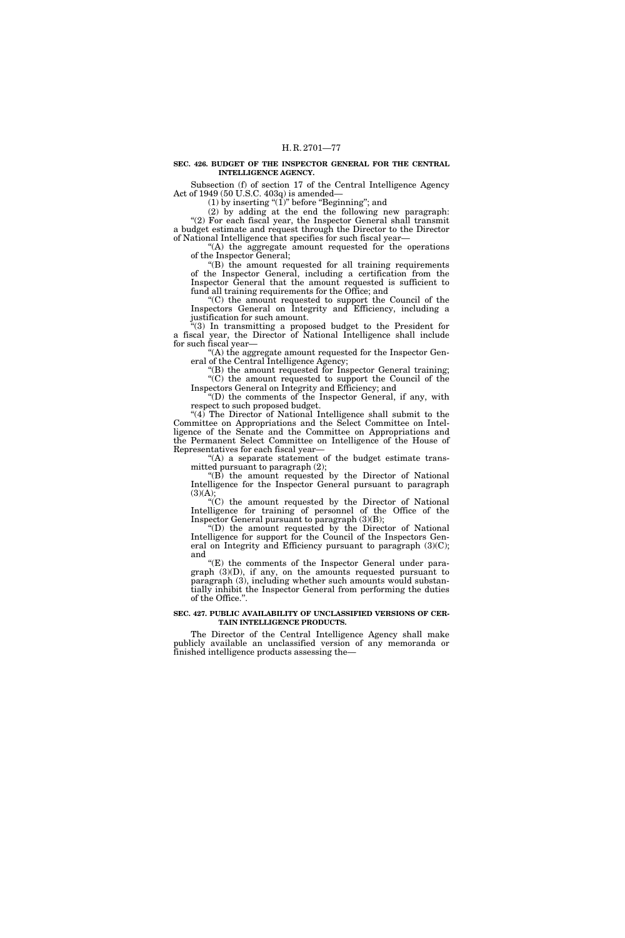### **SEC. 426. BUDGET OF THE INSPECTOR GENERAL FOR THE CENTRAL INTELLIGENCE AGENCY.**

Subsection (f) of section 17 of the Central Intelligence Agency Act of 1949 (50 U.S.C. 403q) is amended—

 $(1)$  by inserting " $(1)$ " before "Beginning"; and

(2) by adding at the end the following new paragraph: "(2) For each fiscal year, the Inspector General shall transmit a budget estimate and request through the Director to the Director of National Intelligence that specifies for such fiscal year—

''(A) the aggregate amount requested for the operations of the Inspector General;

"(B) the amount requested for all training requirements of the Inspector General, including a certification from the Inspector General that the amount requested is sufficient to fund all training requirements for the Office; and

''(C) the amount requested to support the Council of the Inspectors General on Integrity and Efficiency, including a justification for such amount.

''(3) In transmitting a proposed budget to the President for a fiscal year, the Director of National Intelligence shall include for such fiscal year—

''(A) the aggregate amount requested for the Inspector General of the Central Intelligence Agency;

''(B) the amount requested for Inspector General training; ''(C) the amount requested to support the Council of the

Inspectors General on Integrity and Efficiency; and ''(D) the comments of the Inspector General, if any, with respect to such proposed budget.

" $(4)$  The Director of National Intelligence shall submit to the Committee on Appropriations and the Select Committee on Intelligence of the Senate and the Committee on Appropriations and the Permanent Select Committee on Intelligence of the House of Representatives for each fiscal year—

"(A) a separate statement of the budget estimate transmitted pursuant to paragraph (2);

''(B) the amount requested by the Director of National Intelligence for the Inspector General pursuant to paragraph  $(3)(A);$ 

''(C) the amount requested by the Director of National Intelligence for training of personnel of the Office of the Inspector General pursuant to paragraph (3)(B);

''(D) the amount requested by the Director of National Intelligence for support for the Council of the Inspectors General on Integrity and Efficiency pursuant to paragraph (3)(C); and

 $E(E)$  the comments of the Inspector General under paragraph (3)(D), if any, on the amounts requested pursuant to paragraph (3), including whether such amounts would substantially inhibit the Inspector General from performing the duties of the Office.''.

## **SEC. 427. PUBLIC AVAILABILITY OF UNCLASSIFIED VERSIONS OF CER-TAIN INTELLIGENCE PRODUCTS.**

The Director of the Central Intelligence Agency shall make publicly available an unclassified version of any memoranda or finished intelligence products assessing the—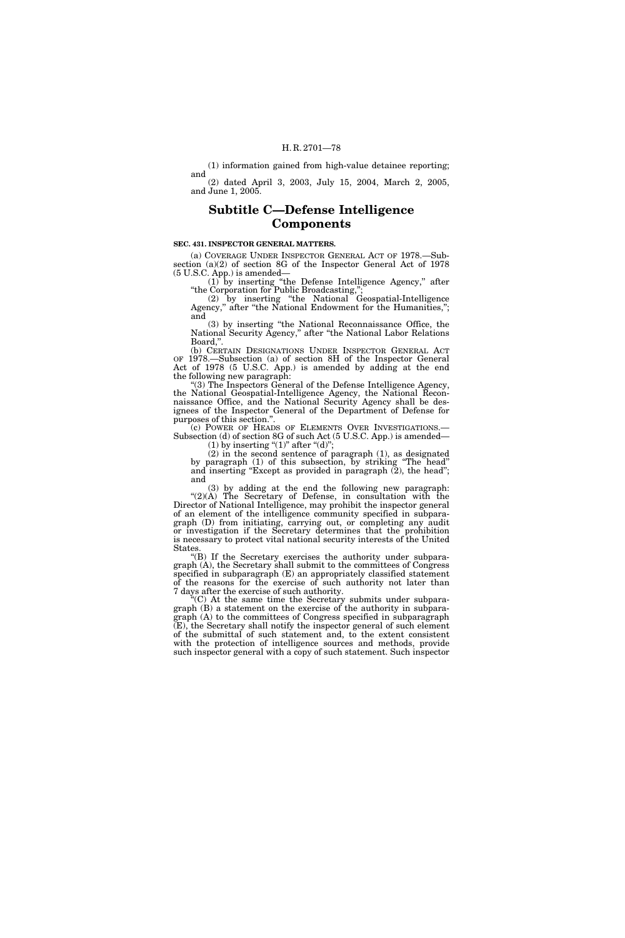## (1) information gained from high-value detainee reporting;

and (2) dated April 3, 2003, July 15, 2004, March 2, 2005, and June 1, 2005.

# **Subtitle C—Defense Intelligence Components**

### **SEC. 431. INSPECTOR GENERAL MATTERS.**

(a) COVERAGE UNDER INSPECTOR GENERAL ACT OF 1978.—Subsection (a)(2) of section 8G of the Inspector General Act of 1978 (5 U.S.C. App.) is amended—

(1) by inserting ''the Defense Intelligence Agency,'' after ''the Corporation for Public Broadcasting,'';

(2) by inserting ''the National Geospatial-Intelligence Agency," after "the National Endowment for the Humanities,"; and

(3) by inserting ''the National Reconnaissance Office, the National Security Agency,'' after ''the National Labor Relations Board,''.

(b) CERTAIN DESIGNATIONS UNDER INSPECTOR GENERAL ACT OF 1978.—Subsection (a) of section 8H of the Inspector General Act of 1978 (5 U.S.C. App.) is amended by adding at the end the following new paragraph:

''(3) The Inspectors General of the Defense Intelligence Agency, the National Geospatial-Intelligence Agency, the National Reconnaissance Office, and the National Security Agency shall be designees of the Inspector General of the Department of Defense for purposes of this section.".<br>
(c) POWER OF HEADS OF ELEMENTS OVER INVESTIGATIONS.

Subsection (d) of section 8G of such Act (5 U.S.C. App.) is amended— (1) by inserting " $(1)$ " after " $(d)$ ";

(2) in the second sentence of paragraph (1), as designated by paragraph (1) of this subsection, by striking ''The head'' and inserting "Except as provided in paragraph (2), the head"; and

(3) by adding at the end the following new paragraph: " $(2)(A)$  The Secretary of Defense, in consultation with the Director of National Intelligence, may prohibit the inspector general of an element of the intelligence community specified in subparagraph (D) from initiating, carrying out, or completing any audit or investigation if the Secretary determines that the prohibition is necessary to protect vital national security interests of the United **States** 

''(B) If the Secretary exercises the authority under subparagraph (A), the Secretary shall submit to the committees of Congress specified in subparagraph (E) an appropriately classified statement of the reasons for the exercise of such authority not later than 7 days after the exercise of such authority.

''(C) At the same time the Secretary submits under subparagraph (B) a statement on the exercise of the authority in subparagraph (A) to the committees of Congress specified in subparagraph (E), the Secretary shall notify the inspector general of such element of the submittal of such statement and, to the extent consistent with the protection of intelligence sources and methods, provide such inspector general with a copy of such statement. Such inspector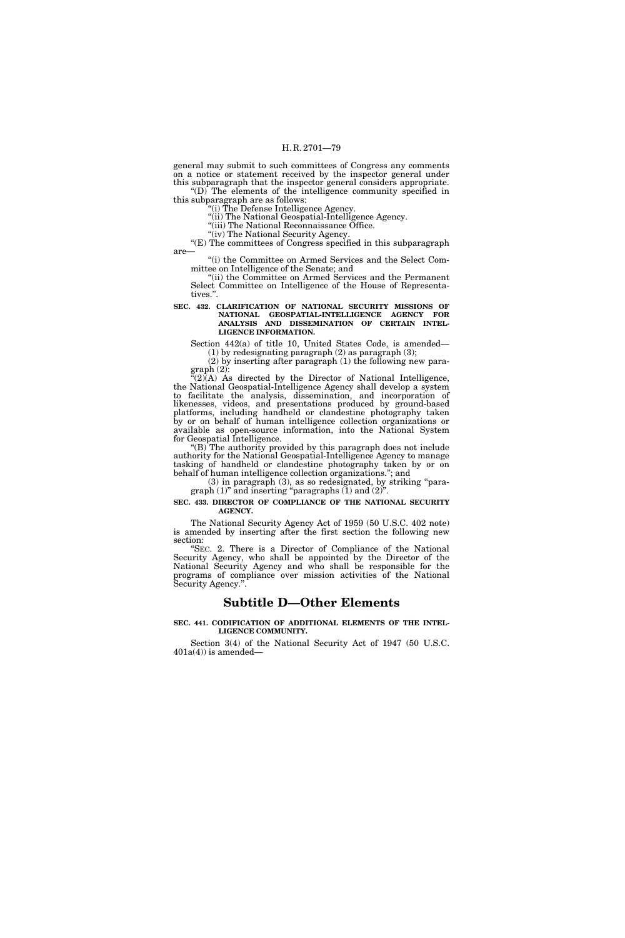general may submit to such committees of Congress any comments on a notice or statement received by the inspector general under this subparagraph that the inspector general considers appropriate.

 $\mathrm{``(D)}$  The elements of the intelligence community specified in this subparagraph are as follows:

''(i) The Defense Intelligence Agency.

"(ii) The National Geospatial-Intelligence Agency. "(iii) The National Reconnaissance Office.

"(iv) The National Security Agency.

''(E) The committees of Congress specified in this subparagraph are—

''(i) the Committee on Armed Services and the Select Committee on Intelligence of the Senate; and

"(ii) the Committee on Armed Services and the Permanent Select Committee on Intelligence of the House of Representatives.''.

**SEC. 432. CLARIFICATION OF NATIONAL SECURITY MISSIONS OF NATIONAL GEOSPATIAL-INTELLIGENCE AGENCY FOR ANALYSIS AND DISSEMINATION OF CERTAIN INTEL-LIGENCE INFORMATION.** 

Section 442(a) of title 10, United States Code, is amended—

(1) by redesignating paragraph (2) as paragraph (3); (2) by inserting after paragraph (1) the following new para-

graph (2):

 $C(2)$ (A) As directed by the Director of National Intelligence, the National Geospatial-Intelligence Agency shall develop a system to facilitate the analysis, dissemination, and incorporation of likenesses, videos, and presentations produced by ground-based platforms, including handheld or clandestine photography taken by or on behalf of human intelligence collection organizations or available as open-source information, into the National System for Geospatial Intelligence.

" $(B)$ <sup>\*</sup>The authority provided by this paragraph does not include authority for the National Geospatial-Intelligence Agency to manage tasking of handheld or clandestine photography taken by or on behalf of human intelligence collection organizations.''; and

(3) in paragraph (3), as so redesignated, by striking ''paragraph  $(1)$ " and inserting "paragraphs  $(1)$  and  $(2)$ ".

**SEC. 433. DIRECTOR OF COMPLIANCE OF THE NATIONAL SECURITY AGENCY.** 

The National Security Agency Act of 1959 (50 U.S.C. 402 note) is amended by inserting after the first section the following new section:

"SEC. 2. There is a Director of Compliance of the National Security Agency, who shall be appointed by the Director of the National Security Agency and who shall be responsible for the programs of compliance over mission activities of the National Security Agency.''.

## **Subtitle D—Other Elements**

### **SEC. 441. CODIFICATION OF ADDITIONAL ELEMENTS OF THE INTEL-LIGENCE COMMUNITY.**

Section 3(4) of the National Security Act of 1947 (50 U.S.C.  $401a(4)$ ) is amended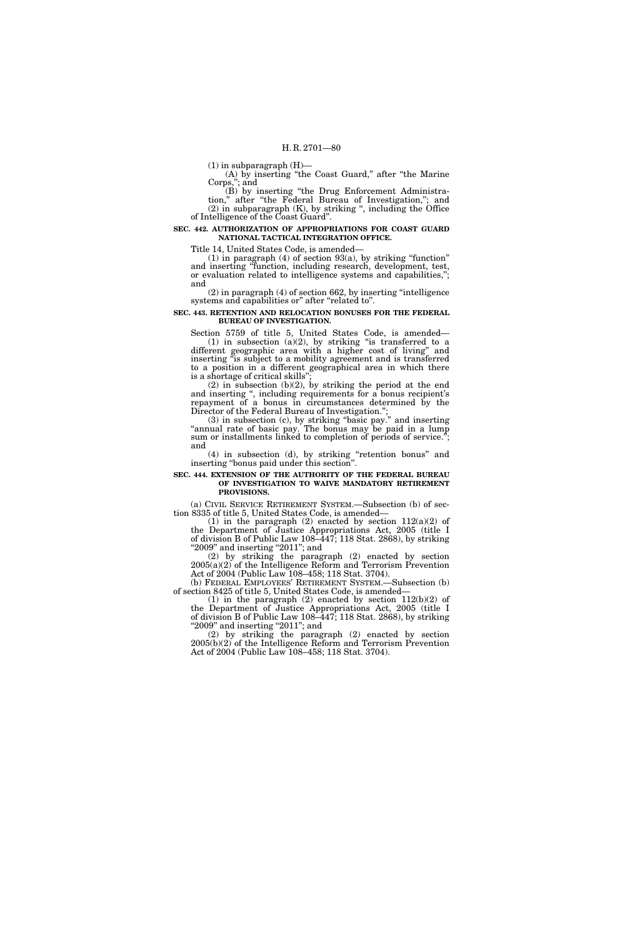$(1)$  in subparagraph  $(H)$ —

(A) by inserting ''the Coast Guard,'' after ''the Marine Corps,''; and

(B) by inserting ''the Drug Enforcement Administration,'' after ''the Federal Bureau of Investigation,''; and (2) in subparagraph (K), by striking '', including the Office of Intelligence of the Coast Guard''.

**SEC. 442. AUTHORIZATION OF APPROPRIATIONS FOR COAST GUARD NATIONAL TACTICAL INTEGRATION OFFICE.** 

Title 14, United States Code, is amended—

 $(1)$  in paragraph  $(4)$  of section  $93(a)$ , by striking "function" and inserting ''function, including research, development, test, or evaluation related to intelligence systems and capabilities,''; and

(2) in paragraph (4) of section 662, by inserting ''intelligence systems and capabilities or" after "related to".

**SEC. 443. RETENTION AND RELOCATION BONUSES FOR THE FEDERAL BUREAU OF INVESTIGATION.** 

Section 5759 of title 5, United States Code, is amended—  $(1)$  in subsection  $(a)(2)$ , by striking "is transferred to a different geographic area with a higher cost of living'' and inserting ''is subject to a mobility agreement and is transferred to a position in a different geographical area in which there is a shortage of critical skills"

(2) in subsection (b)(2), by striking the period at the end and inserting ", including requirements for a bonus recipient's repayment of a bonus in circumstances determined by the Director of the Federal Bureau of Investigation.'';

(3) in subsection (c), by striking ''basic pay.'' and inserting ''annual rate of basic pay. The bonus may be paid in a lump sum or installments linked to completion of periods of service."; and

(4) in subsection (d), by striking ''retention bonus'' and inserting "bonus paid under this section".

## **SEC. 444. EXTENSION OF THE AUTHORITY OF THE FEDERAL BUREAU OF INVESTIGATION TO WAIVE MANDATORY RETIREMENT PROVISIONS.**

(a) CIVIL SERVICE RETIREMENT SYSTEM.—Subsection (b) of section 8335 of title 5, United States Code, is amended—

(1) in the paragraph (2) enacted by section  $112(a)(2)$  of the Department of Justice Appropriations Act, 2005 (title I of division B of Public Law 108–447; 118 Stat. 2868), by striking "2009" and inserting "2011"; and

(2) by striking the paragraph (2) enacted by section 2005(a)(2) of the Intelligence Reform and Terrorism Prevention Act of 2004 (Public Law 108–458; 118 Stat. 3704).

(b) FEDERAL EMPLOYEES' RETIREMENT SYSTEM.—Subsection (b) of section 8425 of title 5, United States Code, is amended—

(1) in the paragraph (2) enacted by section 112(b)(2) of the Department of Justice Appropriations Act, 2005 (title I of division B of Public Law 108–447; 118 Stat. 2868), by striking "2009" and inserting "2011"; and

(2) by striking the paragraph (2) enacted by section 2005(b)(2) of the Intelligence Reform and Terrorism Prevention Act of 2004 (Public Law 108–458; 118 Stat. 3704).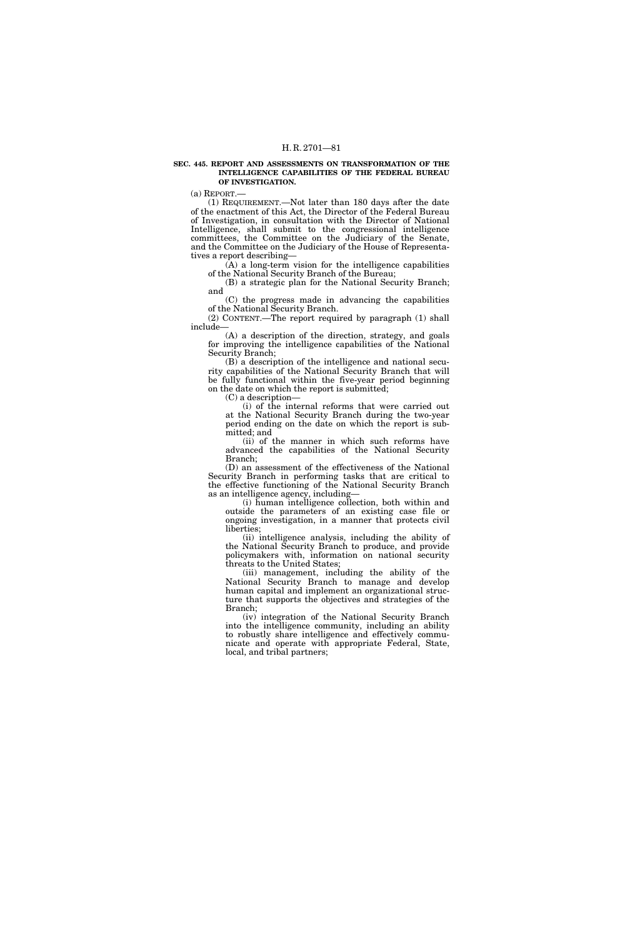### **SEC. 445. REPORT AND ASSESSMENTS ON TRANSFORMATION OF THE INTELLIGENCE CAPABILITIES OF THE FEDERAL BUREAU OF INVESTIGATION.**

(a) REPORT.—

(1) REQUIREMENT.—Not later than 180 days after the date of the enactment of this Act, the Director of the Federal Bureau of Investigation, in consultation with the Director of National Intelligence, shall submit to the congressional intelligence committees, the Committee on the Judiciary of the Senate, and the Committee on the Judiciary of the House of Representatives a report describing—

(A) a long-term vision for the intelligence capabilities of the National Security Branch of the Bureau;

(B) a strategic plan for the National Security Branch; and

(C) the progress made in advancing the capabilities of the National Security Branch.

(2) CONTENT.—The report required by paragraph (1) shall include—

(A) a description of the direction, strategy, and goals for improving the intelligence capabilities of the National Security Branch;

(B) a description of the intelligence and national security capabilities of the National Security Branch that will be fully functional within the five-year period beginning on the date on which the report is submitted;

(C) a description—

(i) of the internal reforms that were carried out at the National Security Branch during the two-year period ending on the date on which the report is submitted; and

(ii) of the manner in which such reforms have advanced the capabilities of the National Security Branch;

(D) an assessment of the effectiveness of the National Security Branch in performing tasks that are critical to the effective functioning of the National Security Branch as an intelligence agency, including—

(i) human intelligence collection, both within and outside the parameters of an existing case file or ongoing investigation, in a manner that protects civil liberties;

(ii) intelligence analysis, including the ability of the National Security Branch to produce, and provide policymakers with, information on national security threats to the United States;

(iii) management, including the ability of the National Security Branch to manage and develop human capital and implement an organizational structure that supports the objectives and strategies of the Branch;

(iv) integration of the National Security Branch into the intelligence community, including an ability to robustly share intelligence and effectively communicate and operate with appropriate Federal, State, local, and tribal partners;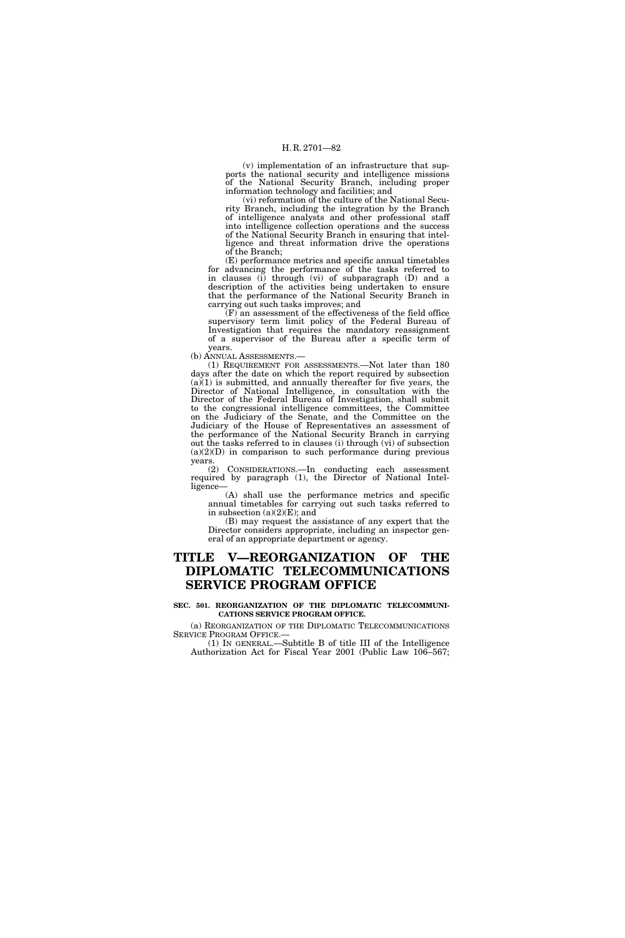(v) implementation of an infrastructure that supports the national security and intelligence missions of the National Security Branch, including proper information technology and facilities; and

(vi) reformation of the culture of the National Security Branch, including the integration by the Branch of intelligence analysts and other professional staff into intelligence collection operations and the success of the National Security Branch in ensuring that intelligence and threat information drive the operations of the Branch;

(E) performance metrics and specific annual timetables for advancing the performance of the tasks referred to in clauses (i) through (vi) of subparagraph (D) and a description of the activities being undertaken to ensure that the performance of the National Security Branch in carrying out such tasks improves; and

(F) an assessment of the effectiveness of the field office supervisory term limit policy of the Federal Bureau of Investigation that requires the mandatory reassignment of a supervisor of the Bureau after a specific term of years.

(b) ANNUAL ASSESSMENTS.—

(1) REQUIREMENT FOR ASSESSMENTS.—Not later than 180 days after the date on which the report required by subsection  $(a)(1)$  is submitted, and annually thereafter for five years, the Director of National Intelligence, in consultation with the Director of the Federal Bureau of Investigation, shall submit to the congressional intelligence committees, the Committee on the Judiciary of the Senate, and the Committee on the Judiciary of the House of Representatives an assessment of the performance of the National Security Branch in carrying out the tasks referred to in clauses (i) through (vi) of subsection  $(a)(2)(D)$  in comparison to such performance during previous years.

(2) CONSIDERATIONS.—In conducting each assessment required by paragraph (1), the Director of National Intelligence

(A) shall use the performance metrics and specific annual timetables for carrying out such tasks referred to in subsection  $(a)(2)(E)$ ; and

(B) may request the assistance of any expert that the Director considers appropriate, including an inspector general of an appropriate department or agency.

# **TITLE V—REORGANIZATION OF THE DIPLOMATIC TELECOMMUNICATIONS SERVICE PROGRAM OFFICE**

## **SEC. 501. REORGANIZATION OF THE DIPLOMATIC TELECOMMUNI-CATIONS SERVICE PROGRAM OFFICE.**

(a) REORGANIZATION OF THE DIPLOMATIC TELECOMMUNICATIONS SERVICE PROGRAM OFFICE.—

(1) IN GENERAL.—Subtitle B of title III of the Intelligence Authorization Act for Fiscal Year 2001 (Public Law 106–567;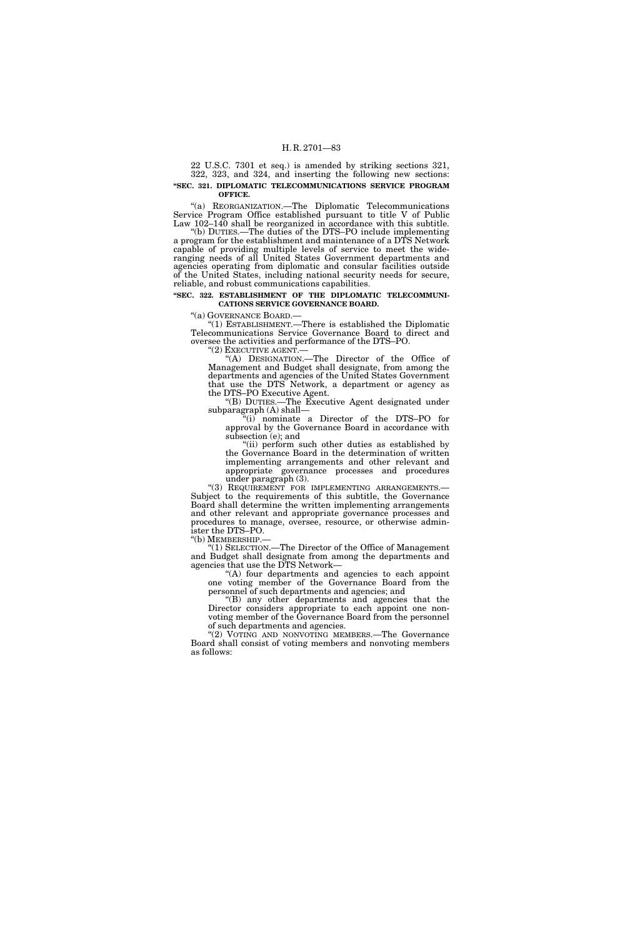22 U.S.C. 7301 et seq.) is amended by striking sections 321, 322, 323, and 324, and inserting the following new sections: **''SEC. 321. DIPLOMATIC TELECOMMUNICATIONS SERVICE PROGRAM OFFICE.** 

''(a) REORGANIZATION.—The Diplomatic Telecommunications Service Program Office established pursuant to title V of Public Law 102–140 shall be reorganized in accordance with this subtitle.

''(b) DUTIES.—The duties of the DTS–PO include implementing a program for the establishment and maintenance of a DTS Network capable of providing multiple levels of service to meet the wideranging needs of all United States Government departments and agencies operating from diplomatic and consular facilities outside of the United States, including national security needs for secure, reliable, and robust communications capabilities.

## "SEC. 322. ESTABLISHMENT OF THE DIPLOMATIC TELECOMMUNI-**CATIONS SERVICE GOVERNANCE BOARD.**

''(a) GOVERNANCE BOARD.— ''(1) ESTABLISHMENT.—There is established the Diplomatic Telecommunications Service Governance Board to direct and % oversee the activities and performance of the DTS–PO. "(2) EXECUTIVE AGENT.—

'(A) DESIGNATION.— The Director of the Office of Management and Budget shall designate, from among the departments and agencies of the United States Government that use the DTS Network, a department or agency as the DTS–PO Executive Agent.

''(B) DUTIES.—The Executive Agent designated under subparagraph (A) shall—

''(i) nominate a Director of the DTS–PO for approval by the Governance Board in accordance with subsection (e); and

"(ii) perform such other duties as established by the Governance Board in the determination of written implementing arrangements and other relevant and appropriate governance processes and procedures under paragraph (3).<br>
"(3) REQUIREMENT FOR IMPLEMENTING ARRANGEMENTS.

Subject to the requirements of this subtitle, the Governance Board shall determine the written implementing arrangements and other relevant and appropriate governance processes and procedures to manage, oversee, resource, or otherwise administer the DTS–PO.<br>"(b) MEMBERSHIP.–

"(1) SELECTION.—The Director of the Office of Management and Budget shall designate from among the departments and agencies that use the DTS Network—

 $(A)$  four departments and agencies to each appoint one voting member of the Governance Board from the personnel of such departments and agencies; and

''(B) any other departments and agencies that the Director considers appropriate to each appoint one nonvoting member of the Governance Board from the personnel of such departments and agencies.

"(2) VOTING AND NONVOTING MEMBERS.—The Governance Board shall consist of voting members and nonvoting members as follows: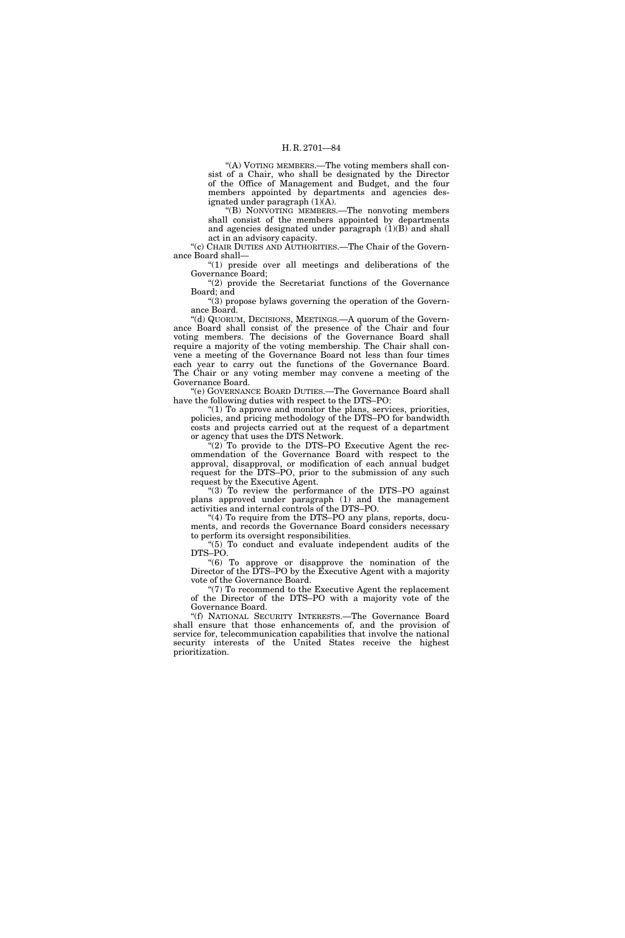"(A) VOTING MEMBERS.—The voting members shall consist of a Chair, who shall be designated by the Director of the Office of Management and Budget, and the four members appointed by departments and agencies designated under paragraph  $(1)(A)$ .

''(B) NONVOTING MEMBERS.—The nonvoting members shall consist of the members appointed by departments and agencies designated under paragraph (1)(B) and shall act in an advisory capacity.

"(c) CHAIR DUTIES AND AUTHORITIES.—The Chair of the Governance Board shall—

"(1) preside over all meetings and deliberations of the Governance Board;

" $(2)$  provide the Secretariat functions of the Governance Board; and

''(3) propose bylaws governing the operation of the Governance Board.

''(d) QUORUM, DECISIONS, MEETINGS.—A quorum of the Governance Board shall consist of the presence of the Chair and four voting members. The decisions of the Governance Board shall require a majority of the voting membership. The Chair shall convene a meeting of the Governance Board not less than four times each year to carry out the functions of the Governance Board. The Chair or any voting member may convene a meeting of the Governance Board.

''(e) GOVERNANCE BOARD DUTIES.—The Governance Board shall have the following duties with respect to the DTS–PO:

" $(1)$  To approve and monitor the plans, services, priorities, policies, and pricing methodology of the DTS–PO for bandwidth costs and projects carried out at the request of a department or agency that uses the DTS Network.

 $(2)$  To provide to the DTS–PO Executive Agent the recommendation of the Governance Board with respect to the approval, disapproval, or modification of each annual budget request for the DTS–PO, prior to the submission of any such request by the Executive Agent.

''(3) To review the performance of the DTS–PO against plans approved under paragraph (1) and the management activities and internal controls of the DTS–PO.

"(4) To require from the DTS–PO any plans, reports, documents, and records the Governance Board considers necessary to perform its oversight responsibilities.

"(5) To conduct and evaluate independent audits of the DTS–PO.

''(6) To approve or disapprove the nomination of the Director of the DTS–PO by the Executive Agent with a majority vote of the Governance Board.

"(7) To recommend to the Executive Agent the replacement of the Director of the DTS–PO with a majority vote of the Governance Board.

''(f) NATIONAL SECURITY INTERESTS.—The Governance Board shall ensure that those enhancements of, and the provision of service for, telecommunication capabilities that involve the national security interests of the United States receive the highest prioritization.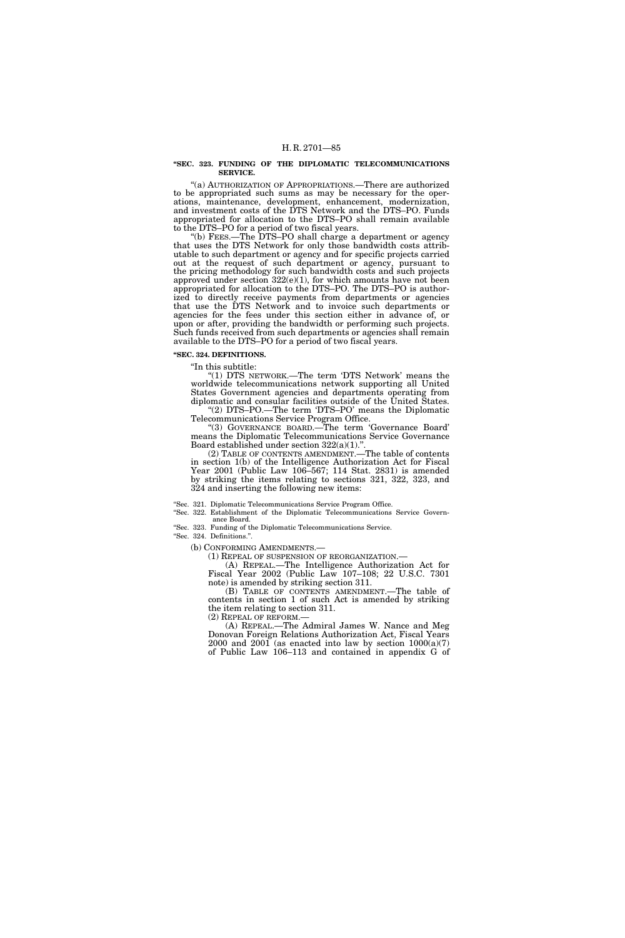#### **''SEC. 323. FUNDING OF THE DIPLOMATIC TELECOMMUNICATIONS SERVICE.**

''(a) AUTHORIZATION OF APPROPRIATIONS.—There are authorized to be appropriated such sums as may be necessary for the operations, maintenance, development, enhancement, modernization, and investment costs of the DTS Network and the DTS–PO. Funds appropriated for allocation to the DTS–PO shall remain available to the DTS–PO for a period of two fiscal years.

''(b) FEES.—The DTS–PO shall charge a department or agency that uses the DTS Network for only those bandwidth costs attributable to such department or agency and for specific projects carried out at the request of such department or agency, pursuant to the pricing methodology for such bandwidth costs and such projects approved under section  $322(e)(1)$ , for which amounts have not been appropriated for allocation to the DTS–PO. The DTS–PO is authorized to directly receive payments from departments or agencies that use the DTS Network and to invoice such departments or agencies for the fees under this section either in advance of, or upon or after, providing the bandwidth or performing such projects. Such funds received from such departments or agencies shall remain available to the DTS–PO for a period of two fiscal years.

**''SEC. 324. DEFINITIONS.** 

''In this subtitle:

''(1) DTS NETWORK.—The term 'DTS Network' means the worldwide telecommunications network supporting all United States Government agencies and departments operating from diplomatic and consular facilities outside of the United States. ''(2) DTS–PO.—The term 'DTS–PO' means the Diplomatic Telecommunications Service Program Office.

''(3) GOVERNANCE BOARD.—The term 'Governance Board' means the Diplomatic Telecommunications Service Governance Board established under section  $322(a)(1)$ ."

(2) TABLE OF CONTENTS AMENDMENT.—The table of contents in section 1(b) of the Intelligence Authorization Act for Fiscal Year 2001 (Public Law 106–567; 114 Stat. 2831) is amended by striking the items relating to sections 321, 322, 323, and 324 and inserting the following new items:

''Sec. 321. Diplomatic Telecommunications Service Program Office.

''Sec. 322. Establishment of the Diplomatic Telecommunications Service Governance Board.

''Sec. 323. Funding of the Diplomatic Telecommunications Service.

''Sec. 324. Definitions.''.

(b) CONFORMING AMENDMENTS.—

(1) REPEAL OF SUSPENSION OF REORGANIZATION.—

(A) REPEAL.—The Intelligence Authorization Act for Fiscal Year 2002 (Public Law 107–108; 22 U.S.C. 7301 note) is amended by striking section 311.

(B) TABLE OF CONTENTS AMENDMENT.—The table of contents in section 1 of such Act is amended by striking the item relating to section 311. (2) REPEAL OF REFORM.—

(A) REPEAL.—The Admiral James W. Nance and Meg Donovan Foreign Relations Authorization Act, Fiscal Years 2000 and 2001 (as enacted into law by section  $1000(a)(7)$ of Public Law 106–113 and contained in appendix G of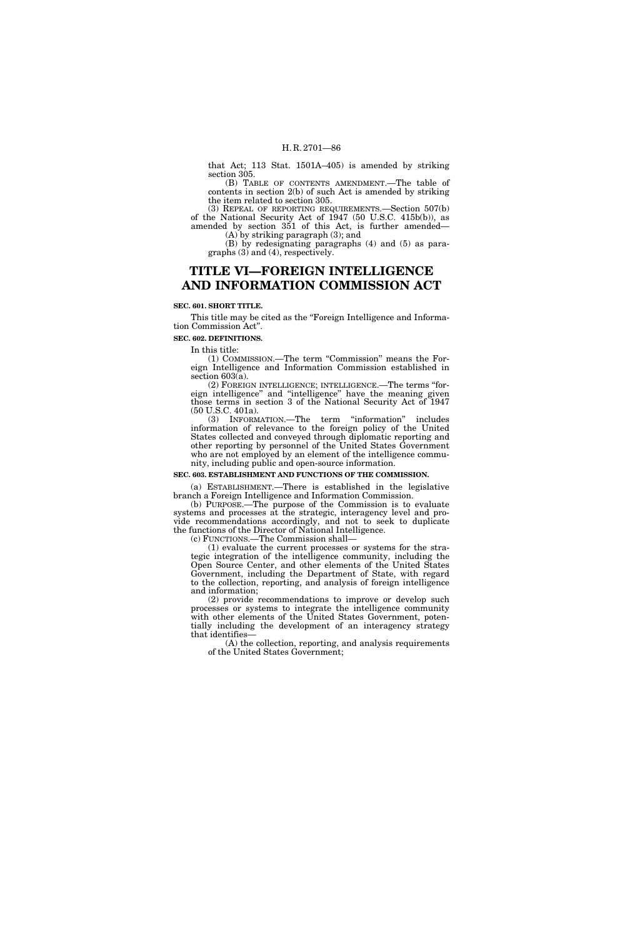that Act; 113 Stat. 1501A–405) is amended by striking section 305.

(B) TABLE OF CONTENTS AMENDMENT.—The table of contents in section 2(b) of such Act is amended by striking the item related to section 305.

(3) REPEAL OF REPORTING REQUIREMENTS.—Section 507(b) of the National Security Act of 1947 (50 U.S.C. 415b(b)), as amended by section 351 of this Act, is further amended— (A) by striking paragraph (3); and

(B) by redesignating paragraphs (4) and (5) as para-

graphs (3) and (4), respectively.

# **TITLE VI—FOREIGN INTELLIGENCE AND INFORMATION COMMISSION ACT**

### **SEC. 601. SHORT TITLE.**

This title may be cited as the "Foreign Intelligence and Information Commission Act''.

**SEC. 602. DEFINITIONS.** 

In this title:

(1) COMMISSION.—The term ''Commission'' means the Foreign Intelligence and Information Commission established in section 603(a).

(2) FOREIGN INTELLIGENCE; INTELLIGENCE.—The terms ''foreign intelligence'' and ''intelligence'' have the meaning given those terms in section 3 of the National Security Act of 1947 (50 U.S.C. 401a).

(3) INFORMATION.—The term ''information'' includes information of relevance to the foreign policy of the United States collected and conveyed through diplomatic reporting and other reporting by personnel of the United States Government who are not employed by an element of the intelligence community, including public and open-source information.

### **SEC. 603. ESTABLISHMENT AND FUNCTIONS OF THE COMMISSION.**

(a) ESTABLISHMENT.—There is established in the legislative branch a Foreign Intelligence and Information Commission.

(b) PURPOSE.—The purpose of the Commission is to evaluate systems and processes at the strategic, interagency level and provide recommendations accordingly, and not to seek to duplicate the functions of the Director of National Intelligence.

(c) FUNCTIONS.—The Commission shall—

(1) evaluate the current processes or systems for the strategic integration of the intelligence community, including the Open Source Center, and other elements of the United States Government, including the Department of State, with regard to the collection, reporting, and analysis of foreign intelligence and information;

(2) provide recommendations to improve or develop such processes or systems to integrate the intelligence community with other elements of the United States Government, potentially including the development of an interagency strategy that identifies—

(A) the collection, reporting, and analysis requirements of the United States Government;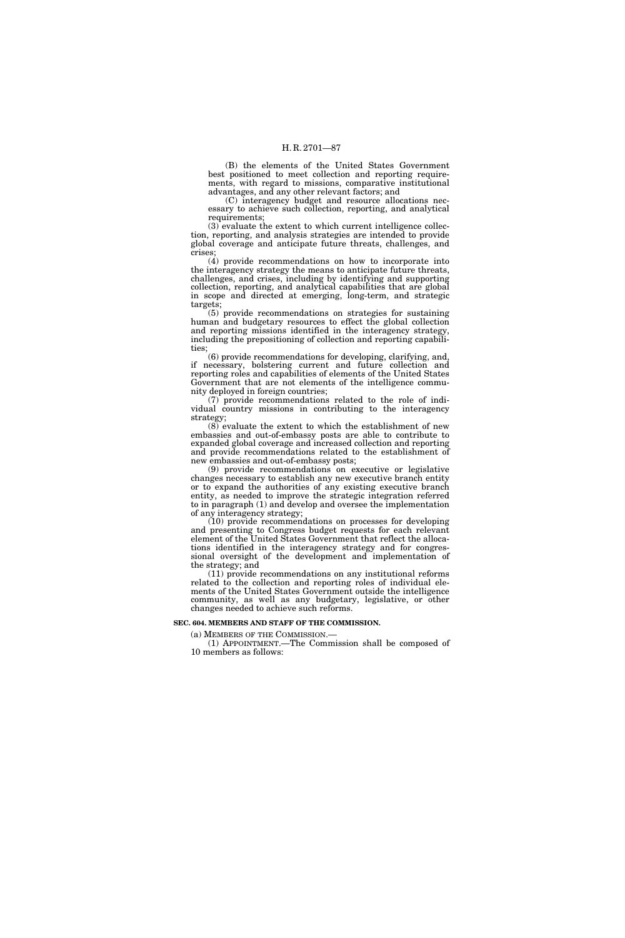(B) the elements of the United States Government best positioned to meet collection and reporting requirements, with regard to missions, comparative institutional advantages, and any other relevant factors; and

(C) interagency budget and resource allocations necessary to achieve such collection, reporting, and analytical requirements;

(3) evaluate the extent to which current intelligence collection, reporting, and analysis strategies are intended to provide global coverage and anticipate future threats, challenges, and crises;

(4) provide recommendations on how to incorporate into the interagency strategy the means to anticipate future threats, challenges, and crises, including by identifying and supporting collection, reporting, and analytical capabilities that are global in scope and directed at emerging, long-term, and strategic targets;

(5) provide recommendations on strategies for sustaining human and budgetary resources to effect the global collection and reporting missions identified in the interagency strategy, including the prepositioning of collection and reporting capabilities;

(6) provide recommendations for developing, clarifying, and, if necessary, bolstering current and future collection and reporting roles and capabilities of elements of the United States Government that are not elements of the intelligence community deployed in foreign countries;

(7) provide recommendations related to the role of individual country missions in contributing to the interagency strategy;

(8) evaluate the extent to which the establishment of new embassies and out-of-embassy posts are able to contribute to expanded global coverage and increased collection and reporting and provide recommendations related to the establishment of new embassies and out-of-embassy posts;

(9) provide recommendations on executive or legislative changes necessary to establish any new executive branch entity or to expand the authorities of any existing executive branch entity, as needed to improve the strategic integration referred to in paragraph (1) and develop and oversee the implementation of any interagency strategy;

(10) provide recommendations on processes for developing and presenting to Congress budget requests for each relevant element of the United States Government that reflect the allocations identified in the interagency strategy and for congressional oversight of the development and implementation of the strategy; and

(11) provide recommendations on any institutional reforms related to the collection and reporting roles of individual elements of the United States Government outside the intelligence community, as well as any budgetary, legislative, or other changes needed to achieve such reforms.

### **SEC. 604. MEMBERS AND STAFF OF THE COMMISSION.**

(a) MEMBERS OF THE COMMISSION.— (1) APPOINTMENT.—The Commission shall be composed of 10 members as follows: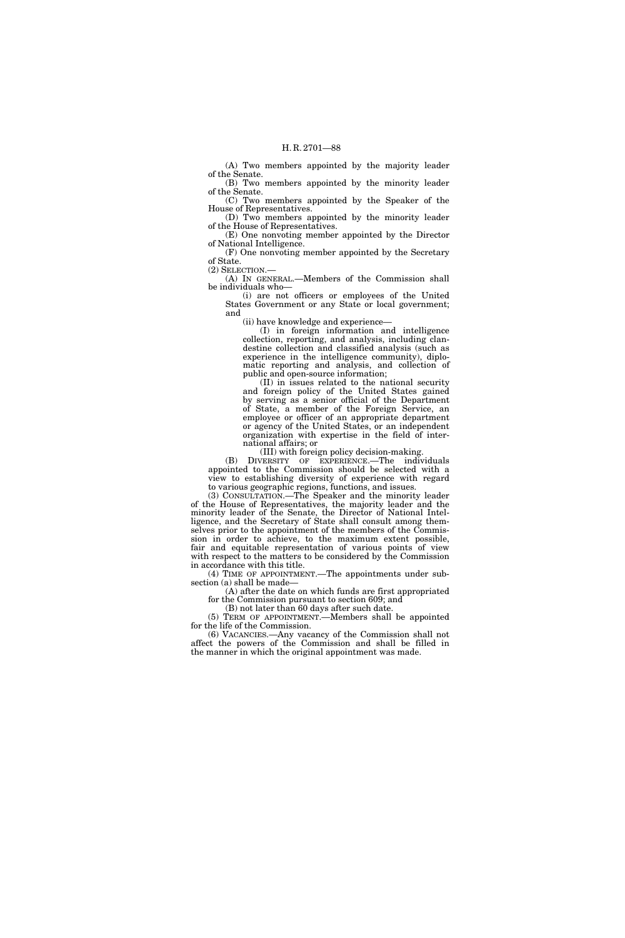(A) Two members appointed by the majority leader of the Senate.

(B) Two members appointed by the minority leader of the Senate. (C) Two members appointed by the Speaker of the

House of Representatives. (D) Two members appointed by the minority leader

of the House of Representatives. (E) One nonvoting member appointed by the Director

of National Intelligence. (F) One nonvoting member appointed by the Secretary of State.

(2) SELECTION.—

(A) IN GENERAL.—Members of the Commission shall be individuals who—

(i) are not officers or employees of the United States Government or any State or local government; and

(ii) have knowledge and experience—

(I) in foreign information and intelligence collection, reporting, and analysis, including clandestine collection and classified analysis (such as experience in the intelligence community), diplomatic reporting and analysis, and collection of public and open-source information;

(II) in issues related to the national security and foreign policy of the United States gained by serving as a senior official of the Department of State, a member of the Foreign Service, an employee or officer of an appropriate department or agency of the United States, or an independent organization with expertise in the field of international affairs; or

(III) with foreign policy decision-making.

(B) DIVERSITY OF EXPERIENCE.—The individuals appointed to the Commission should be selected with a view to establishing diversity of experience with regard to various geographic regions, functions, and issues.

(3) CONSULTATION.—The Speaker and the minority leader of the House of Representatives, the majority leader and the minority leader of the Senate, the Director of National Intelligence, and the Secretary of State shall consult among themselves prior to the appointment of the members of the Commission in order to achieve, to the maximum extent possible, fair and equitable representation of various points of view with respect to the matters to be considered by the Commission in accordance with this title.

(4) TIME OF APPOINTMENT.—The appointments under subsection (a) shall be made—

(A) after the date on which funds are first appropriated for the Commission pursuant to section 609; and

(B) not later than 60 days after such date.

(5) TERM OF APPOINTMENT.—Members shall be appointed for the life of the Commission.

(6) VACANCIES.—Any vacancy of the Commission shall not affect the powers of the Commission and shall be filled in the manner in which the original appointment was made.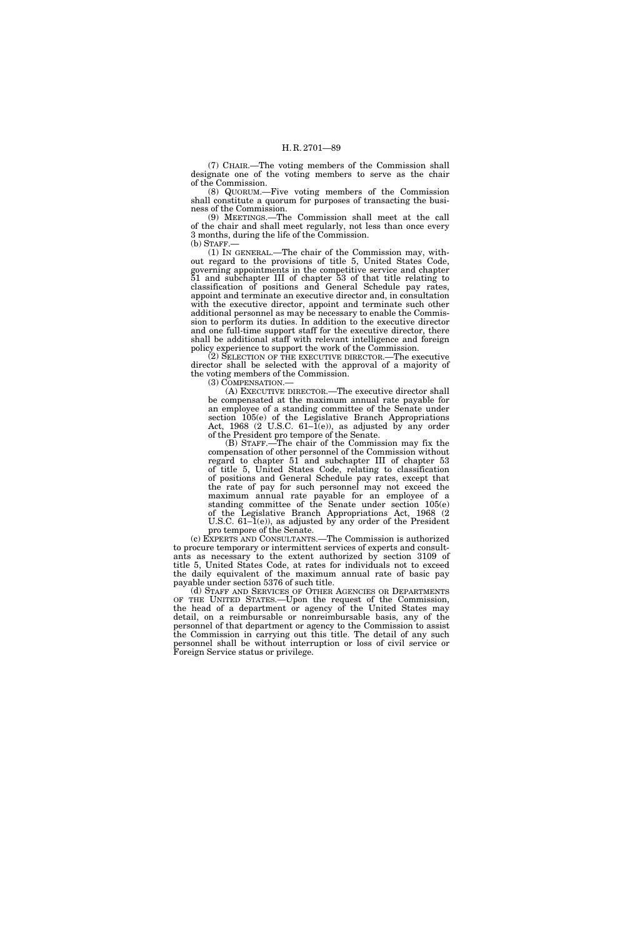(7) CHAIR.—The voting members of the Commission shall designate one of the voting members to serve as the chair of the Commission.

(8) QUORUM.—Five voting members of the Commission shall constitute a quorum for purposes of transacting the business of the Commission.

(9) MEETINGS.—The Commission shall meet at the call of the chair and shall meet regularly, not less than once every 3 months, during the life of the Commission.

(b) STAFF.— (1) IN GENERAL.—The chair of the Commission may, without regard to the provisions of title 5, United States Code, governing appointments in the competitive service and chapter 51 and subchapter III of chapter 53 of that title relating to classification of positions and General Schedule pay rates, appoint and terminate an executive director and, in consultation with the executive director, appoint and terminate such other additional personnel as may be necessary to enable the Commission to perform its duties. In addition to the executive director and one full-time support staff for the executive director, there shall be additional staff with relevant intelligence and foreign policy experience to support the work of the Commission.

(2) SELECTION OF THE EXECUTIVE DIRECTOR.—The executive director shall be selected with the approval of a majority of the voting members of the Commission.

(3) COMPENSATION.—

(A) EXECUTIVE DIRECTOR.—The executive director shall be compensated at the maximum annual rate payable for an employee of a standing committee of the Senate under section 105(e) of the Legislative Branch Appropriations Act, 1968 (2 U.S.C. 61-1(e)), as adjusted by any order of the President pro tempore of the Senate.

(B) STAFF.—The chair of the Commission may fix the compensation of other personnel of the Commission without regard to chapter 51 and subchapter III of chapter 53 of title 5, United States Code, relating to classification of positions and General Schedule pay rates, except that the rate of pay for such personnel may not exceed the maximum annual rate payable for an employee of a standing committee of the Senate under section 105(e) of the Legislative Branch Appropriations Act, 1968 (2 U.S.C. 61–1(e)), as adjusted by any order of the President pro tempore of the Senate.

(c) EXPERTS AND CONSULTANTS.—The Commission is authorized to procure temporary or intermittent services of experts and consultants as necessary to the extent authorized by section 3109 of title 5, United States Code, at rates for individuals not to exceed the daily equivalent of the maximum annual rate of basic pay payable under section 5376 of such title.

(d) STAFF AND SERVICES OF OTHER AGENCIES OR DEPARTMENTS OF THE UNITED STATES.—Upon the request of the Commission, the head of a department or agency of the United States may detail, on a reimbursable or nonreimbursable basis, any of the personnel of that department or agency to the Commission to assist the Commission in carrying out this title. The detail of any such personnel shall be without interruption or loss of civil service or Foreign Service status or privilege.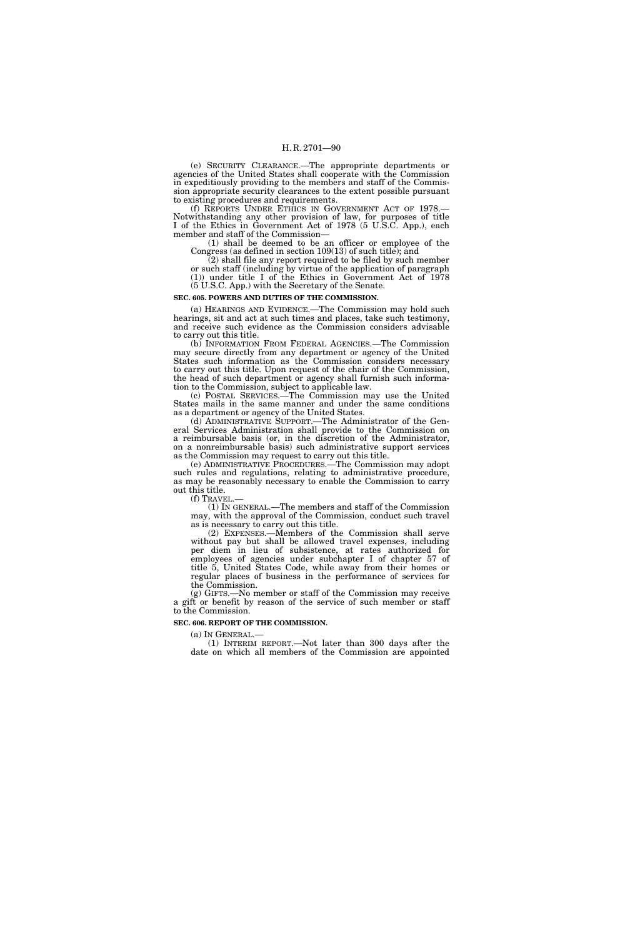(e) SECURITY CLEARANCE.—The appropriate departments or agencies of the United States shall cooperate with the Commission in expeditiously providing to the members and staff of the Commission appropriate security clearances to the extent possible pursuant to existing procedures and requirements.

(f) REPORTS UNDER ETHICS IN GOVERNMENT ACT OF 1978.— Notwithstanding any other provision of law, for purposes of title I of the Ethics in Government Act of 1978 (5 U.S.C. App.), each member and staff of the Commission—

(1) shall be deemed to be an officer or employee of the Congress (as defined in section 109(13) of such title); and

(2) shall file any report required to be filed by such member or such staff (including by virtue of the application of paragraph (1)) under title I of the Ethics in Government Act of 1978 (5 U.S.C. App.) with the Secretary of the Senate.

### **SEC. 605. POWERS AND DUTIES OF THE COMMISSION.**

(a) HEARINGS AND EVIDENCE.—The Commission may hold such hearings, sit and act at such times and places, take such testimony, and receive such evidence as the Commission considers advisable to carry out this title.

(b) INFORMATION FROM FEDERAL AGENCIES.—The Commission may secure directly from any department or agency of the United States such information as the Commission considers necessary to carry out this title. Upon request of the chair of the Commission, the head of such department or agency shall furnish such information to the Commission, subject to applicable law.

(c) POSTAL SERVICES.—The Commission may use the United States mails in the same manner and under the same conditions as a department or agency of the United States.

(d) ADMINISTRATIVE SUPPORT.—The Administrator of the General Services Administration shall provide to the Commission on a reimbursable basis (or, in the discretion of the Administrator, on a nonreimbursable basis) such administrative support services as the Commission may request to carry out this title.

(e) ADMINISTRATIVE PROCEDURES.—The Commission may adopt such rules and regulations, relating to administrative procedure, as may be reasonably necessary to enable the Commission to carry out this title.

(f) TRAVEL.— (1) IN GENERAL.—The members and staff of the Commission may, with the approval of the Commission, conduct such travel as is necessary to carry out this title.

(2) EXPENSES.—Members of the Commission shall serve without pay but shall be allowed travel expenses, including per diem in lieu of subsistence, at rates authorized for employees of agencies under subchapter I of chapter 57 of title 5, United States Code, while away from their homes or regular places of business in the performance of services for the Commission.

(g) GIFTS.—No member or staff of the Commission may receive a gift or benefit by reason of the service of such member or staff to the Commission.

### **SEC. 606. REPORT OF THE COMMISSION.**

(a) IN GENERAL.—

(1) INTERIM REPORT.—Not later than 300 days after the date on which all members of the Commission are appointed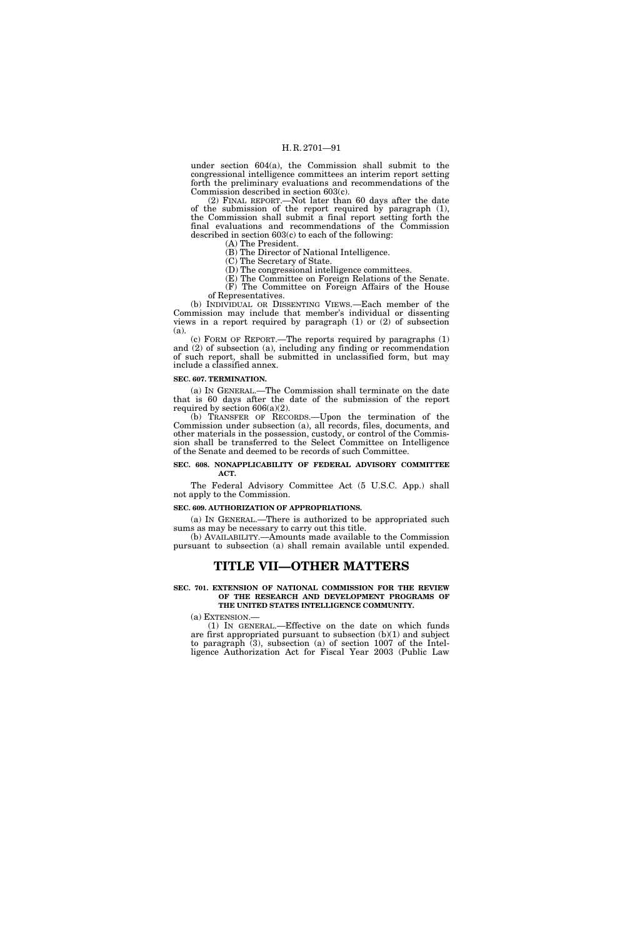under section 604(a), the Commission shall submit to the congressional intelligence committees an interim report setting forth the preliminary evaluations and recommendations of the Commission described in section 603(c).

(2) FINAL REPORT.—Not later than 60 days after the date of the submission of the report required by paragraph (1), the Commission shall submit a final report setting forth the final evaluations and recommendations of the Commission described in section 603(c) to each of the following:

(A) The President.

(B) The Director of National Intelligence. (C) The Secretary of State.

(D) The congressional intelligence committees.

(E) The Committee on Foreign Relations of the Senate.

(F) The Committee on Foreign Affairs of the House of Representatives.

(b) INDIVIDUAL OR DISSENTING VIEWS.—Each member of the Commission may include that member's individual or dissenting views in a report required by paragraph (1) or (2) of subsection (a).

(c) FORM OF REPORT.—The reports required by paragraphs (1) and (2) of subsection (a), including any finding or recommendation of such report, shall be submitted in unclassified form, but may include a classified annex.

### **SEC. 607. TERMINATION.**

(a) IN GENERAL.—The Commission shall terminate on the date that is 60 days after the date of the submission of the report required by section  $606(a)(2)$ .

(b) TRANSFER OF RECORDS.—Upon the termination of the Commission under subsection (a), all records, files, documents, and other materials in the possession, custody, or control of the Commission shall be transferred to the Select Committee on Intelligence of the Senate and deemed to be records of such Committee.

### **SEC. 608. NONAPPLICABILITY OF FEDERAL ADVISORY COMMITTEE ACT.**

The Federal Advisory Committee Act (5 U.S.C. App.) shall not apply to the Commission.

**SEC. 609. AUTHORIZATION OF APPROPRIATIONS.** 

(a) IN GENERAL.—There is authorized to be appropriated such sums as may be necessary to carry out this title.

(b) AVAILABILITY.—Amounts made available to the Commission pursuant to subsection (a) shall remain available until expended.

## **TITLE VII—OTHER MATTERS**

**SEC. 701. EXTENSION OF NATIONAL COMMISSION FOR THE REVIEW OF THE RESEARCH AND DEVELOPMENT PROGRAMS OF THE UNITED STATES INTELLIGENCE COMMUNITY.** 

(a) EXTENSION.—

(1) IN GENERAL.—Effective on the date on which funds are first appropriated pursuant to subsection (b)(1) and subject to paragraph (3), subsection (a) of section 1007 of the Intelligence Authorization Act for Fiscal Year 2003 (Public Law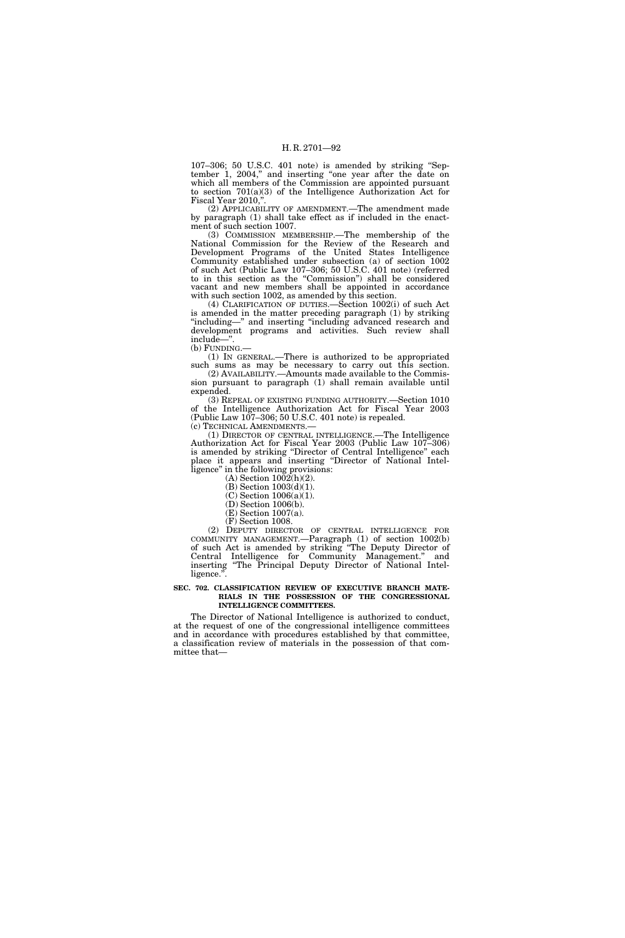107–306; 50 U.S.C. 401 note) is amended by striking ''September 1, 2004,'' and inserting ''one year after the date on which all members of the Commission are appointed pursuant to section 701(a)(3) of the Intelligence Authorization Act for Fiscal Year 2010,"

(2) APPLICABILITY OF AMENDMENT.—The amendment made by paragraph (1) shall take effect as if included in the enactment of such section 1007.

(3) COMMISSION MEMBERSHIP.—The membership of the National Commission for the Review of the Research and Development Programs of the United States Intelligence Community established under subsection (a) of section 1002 of such Act (Public Law 107–306; 50 U.S.C. 401 note) (referred to in this section as the ''Commission'') shall be considered vacant and new members shall be appointed in accordance with such section 1002, as amended by this section.

(4) CLARIFICATION OF DUTIES.—Section 1002(i) of such Act is amended in the matter preceding paragraph (1) by striking ''including—'' and inserting ''including advanced research and development programs and activities. Such review shall include—''.

(b) FUNDING.—

(1) IN GENERAL.—There is authorized to be appropriated such sums as may be necessary to carry out this section.

(2) AVAILABILITY.—Amounts made available to the Commission pursuant to paragraph (1) shall remain available until expended.

(3) REPEAL OF EXISTING FUNDING AUTHORITY.—Section 1010 of the Intelligence Authorization Act for Fiscal Year 2003 (Public Law 107-306; 50 U.S.C. 401 note) is repealed.<br>(c) TECHNICAL AMENDMENTS.—

(1) DIRECTOR OF CENTRAL INTELLIGENCE.—The Intelligence Authorization Act for Fiscal Year 2003 (Public Law 107–306) is amended by striking ''Director of Central Intelligence'' each place it appears and inserting ''Director of National Intelligence'' in the following provisions:

(A) Section 1002(h)(2).

(B) Section 1003(d)(1).

(C) Section 1006(a)(1).

(D) Section 1006(b).

(E) Section 1007(a). (F) Section 1008.

(2) DEPUTY DIRECTOR OF CENTRAL INTELLIGENCE FOR COMMUNITY MANAGEMENT.—Paragraph (1) of section 1002(b) of such Act is amended by striking ''The Deputy Director of Central Intelligence for Community Management.'' and inserting ''The Principal Deputy Director of National Intelligence.".

### **SEC. 702. CLASSIFICATION REVIEW OF EXECUTIVE BRANCH MATE-RIALS IN THE POSSESSION OF THE CONGRESSIONAL INTELLIGENCE COMMITTEES.**

The Director of National Intelligence is authorized to conduct, at the request of one of the congressional intelligence committees and in accordance with procedures established by that committee, a classification review of materials in the possession of that committee that—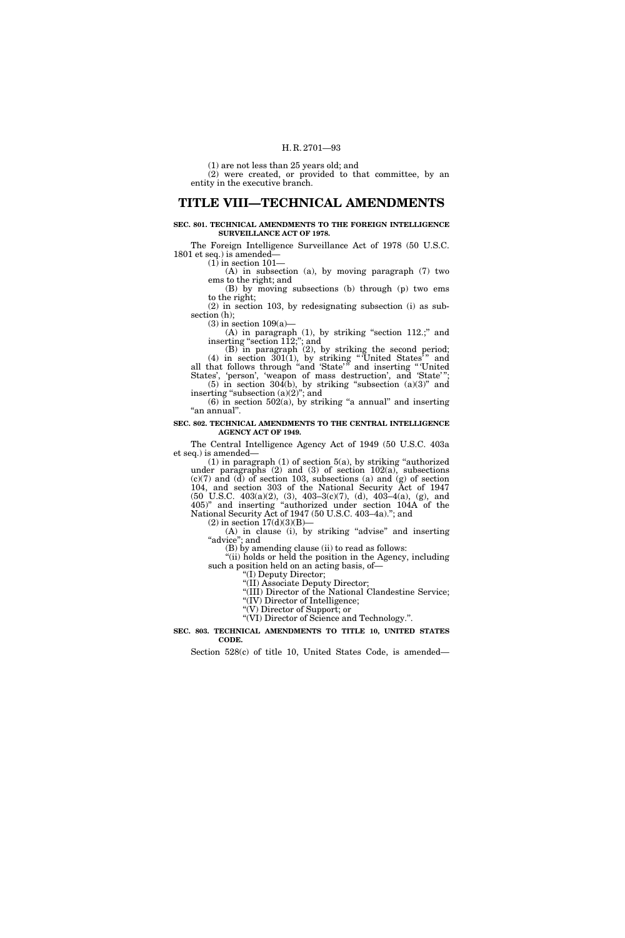(1) are not less than 25 years old; and

(2) were created, or provided to that committee, by an entity in the executive branch.

## **TITLE VIII—TECHNICAL AMENDMENTS**

**SEC. 801. TECHNICAL AMENDMENTS TO THE FOREIGN INTELLIGENCE SURVEILLANCE ACT OF 1978.** 

The Foreign Intelligence Surveillance Act of 1978 (50 U.S.C. 1801 et seq.) is amended—

 $(1)$  in section  $101-$ 

(A) in subsection (a), by moving paragraph (7) two ems to the right; and

(B) by moving subsections (b) through (p) two ems to the right;

(2) in section 103, by redesignating subsection (i) as subsection (h);

 $(3)$  in section  $109(a)$ —

(A) in paragraph (1), by striking ''section 112.;'' and inserting "section 112;"; and

(B) in paragraph (2), by striking the second period;  $(4)$  in section  $301(1)$ , by striking "United States" and all that follows through "and 'State'" and inserting "'United

States', 'person', 'weapon of mass destruction', and 'State'"; (5) in section 304(b), by striking "subsection  $(a)(3)$ " and inserting "subsection (a)(2)"; and

 $(6)$  in section 502 $(a)$ , by striking "a annual" and inserting ''an annual''.

**SEC. 802. TECHNICAL AMENDMENTS TO THE CENTRAL INTELLIGENCE AGENCY ACT OF 1949.** 

The Central Intelligence Agency Act of 1949 (50 U.S.C. 403a et seq.) is amended—

 $(1)$  in paragraph  $(1)$  of section  $5(a)$ , by striking "authorized under paragraphs  $(2)$  and  $(3)$  of section  $102(a)$ , subsections (c)(7) and (d) of section 103, subsections (a) and (g) of section 104, and section 303 of the National Security Act of 1947  $(50 \text{ U.S.C. } 403(a)(2), (3), 403-3(c)(7), (d), 403-4(a), (g), \text{ and})$ 405)'' and inserting ''authorized under section 104A of the National Security Act of 1947 (50 U.S.C. 403–4a).''; and

 $(2)$  in section  $17(d)(3)(B)$ —

(A) in clause (i), by striking ''advise'' and inserting ''advice''; and

(B) by amending clause (ii) to read as follows:

''(ii) holds or held the position in the Agency, including such a position held on an acting basis, of—

''(I) Deputy Director;

''(II) Associate Deputy Director;

''(III) Director of the National Clandestine Service; ''(IV) Director of Intelligence;

''(V) Director of Support; or

''(VI) Director of Science and Technology.''.

**SEC. 803. TECHNICAL AMENDMENTS TO TITLE 10, UNITED STATES CODE.** 

Section 528(c) of title 10, United States Code, is amended—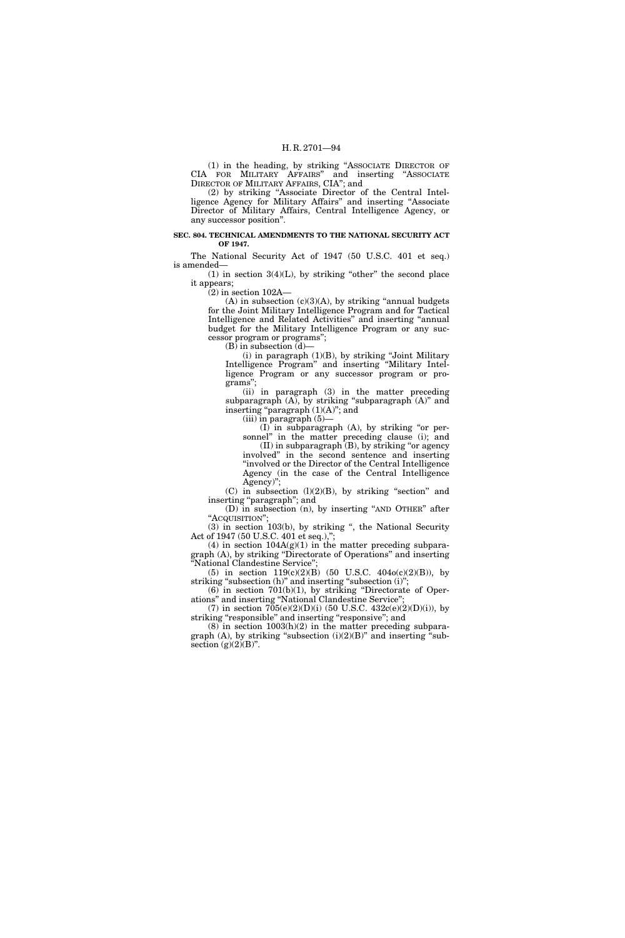(1) in the heading, by striking ''ASSOCIATE DIRECTOR OF CIA FOR MILITARY AFFAIRS'' and inserting ''ASSOCIATE DIRECTOR OF MILITARY AFFAIRS, CIA''; and

(2) by striking ''Associate Director of the Central Intelligence Agency for Military Affairs'' and inserting ''Associate Director of Military Affairs, Central Intelligence Agency, or any successor position''.

### **SEC. 804. TECHNICAL AMENDMENTS TO THE NATIONAL SECURITY ACT OF 1947.**

The National Security Act of 1947 (50 U.S.C. 401 et seq.) is amended—

 $(1)$  in section  $3(4)(L)$ , by striking "other" the second place it appears;

(2) in section 102A—

 $(A)$  in subsection  $(c)(3)(A)$ , by striking "annual budgets" for the Joint Military Intelligence Program and for Tactical Intelligence and Related Activities'' and inserting ''annual budget for the Military Intelligence Program or any successor program or programs'';

(B) in subsection (d)—

(i) in paragraph (1)(B), by striking ''Joint Military Intelligence Program'' and inserting ''Military Intelligence Program or any successor program or programs'';

(ii) in paragraph (3) in the matter preceding subparagraph  $(A)$ , by striking "subparagraph  $(A)$ " and inserting "paragraph  $(1)(A)$ "; and

 $(iii)$  in paragraph  $(5)$ –

(I) in subparagraph (A), by striking ''or personnel'' in the matter preceding clause (i); and (II) in subparagraph (B), by striking ''or agency involved'' in the second sentence and inserting ''involved or the Director of the Central Intelligence Agency (in the case of the Central Intelligence Agency)'';

 $(C)$  in subsection  $(l)(2)(B)$ , by striking "section" and inserting "paragraph"; and

(D) in subsection (n), by inserting ''AND OTHER'' after "Acquisition";

(3) in section 103(b), by striking '', the National Security Act of 1947 (50 U.S.C. 401 et seq.),'';

(4) in section  $104A(g)(1)$  in the matter preceding subparagraph (A), by striking ''Directorate of Operations'' and inserting National Clandestine Service";

(5) in section  $119(c)(2)(B)$  (50 U.S.C.  $404o(c)(2)(B)$ ), by striking "subsection (h)" and inserting "subsection (i)";

 $(6)$  in section 701(b)(1), by striking "Directorate of Operations'' and inserting ''National Clandestine Service'';

(7) in section  $705(e)(2)(D)(i)$  (50 U.S.C.  $432c(e)(2)(D)(i)$ ), by striking "responsible" and inserting "responsive"; and

 $(8)$  in section  $1003(h)(2)$  in the matter preceding subparagraph (A), by striking "subsection  $(i)(2)(B)$ " and inserting "subsection  $(g)(2)(B)$ ".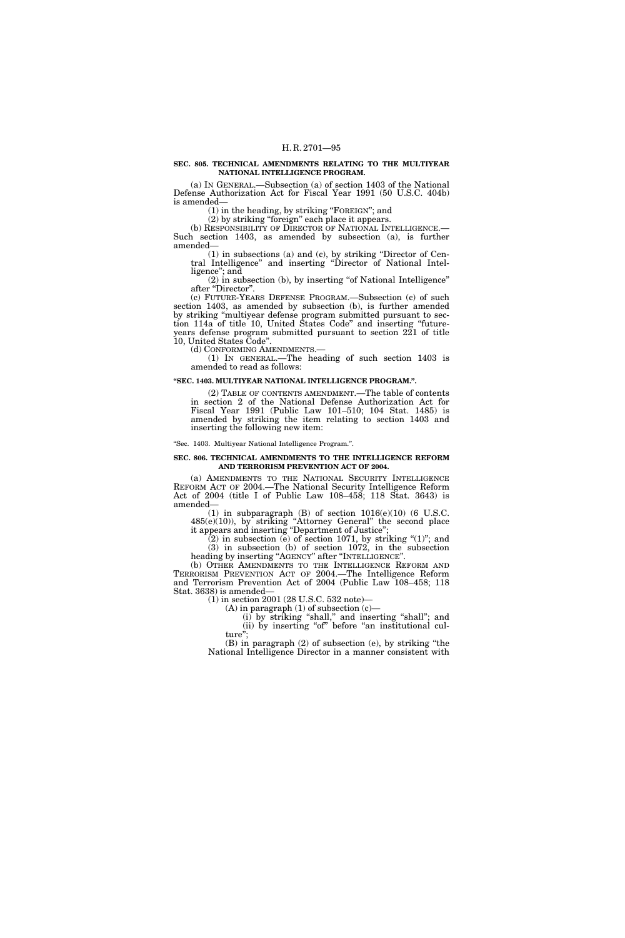### **SEC. 805. TECHNICAL AMENDMENTS RELATING TO THE MULTIYEAR NATIONAL INTELLIGENCE PROGRAM.**

(a) IN GENERAL.—Subsection (a) of section 1403 of the National Defense Authorization Act for Fiscal Year 1991 (50 U.S.C. 404b) is amended—

(1) in the heading, by striking ''FOREIGN''; and

(2) by striking ''foreign'' each place it appears.

(b) RESPONSIBILITY OF DIRECTOR OF NATIONAL INTELLIGENCE.— Such section 1403, as amended by subsection (a), is further amended—

(1) in subsections (a) and (c), by striking ''Director of Central Intelligence'' and inserting ''Director of National Intelligence''; and

(2) in subsection (b), by inserting "of National Intelligence" after "Director".

(c) FUTURE-YEARS DEFENSE PROGRAM.—Subsection (c) of such section 1403, as amended by subsection (b), is further amended by striking ''multiyear defense program submitted pursuant to section 114a of title 10, United States Code'' and inserting ''futureyears defense program submitted pursuant to section 221 of title 10, United States Code''.

(d) CONFORMING AMENDMENTS.—

(1) IN GENERAL.—The heading of such section 1403 is

amended to read as follows:

### **''SEC. 1403. MULTIYEAR NATIONAL INTELLIGENCE PROGRAM.''.**

(2) TABLE OF CONTENTS AMENDMENT.—The table of contents in section 2 of the National Defense Authorization Act for Fiscal Year 1991 (Public Law 101–510; 104 Stat. 1485) is amended by striking the item relating to section 1403 and inserting the following new item:

#### ''Sec. 1403. Multiyear National Intelligence Program.''.

#### **SEC. 806. TECHNICAL AMENDMENTS TO THE INTELLIGENCE REFORM AND TERRORISM PREVENTION ACT OF 2004.**

(a) AMENDMENTS TO THE NATIONAL SECURITY INTELLIGENCE REFORM ACT OF 2004.—The National Security Intelligence Reform Act of 2004 (title I of Public Law 108–458; 118 Stat. 3643) is amended—

(1) in subparagraph  $(B)$  of section  $1016(e)(10)$  (6 U.S.C. 485(e)(10)), by striking ''Attorney General'' the second place it appears and inserting ''Department of Justice'';

 $(2)$  in subsection  $(e)$  of section 1071, by striking " $(1)$ "; and

(3) in subsection (b) of section 1072, in the subsection heading by inserting ''AGENCY'' after ''INTELLIGENCE''.

(b) OTHER AMENDMENTS TO THE INTELLIGENCE REFORM AND TERRORISM PREVENTION ACT OF 2004.—The Intelligence Reform and Terrorism Prevention Act of 2004 (Public Law 108–458; 118 Stat. 3638) is amended—

(1) in section 2001 (28 U.S.C. 532 note)—

(A) in paragraph  $(1)$  of subsection  $(c)$ 

(i) by striking "shall," and inserting "shall"; and (ii) by inserting "of" before "an institutional culture'';

(B) in paragraph (2) of subsection (e), by striking ''the National Intelligence Director in a manner consistent with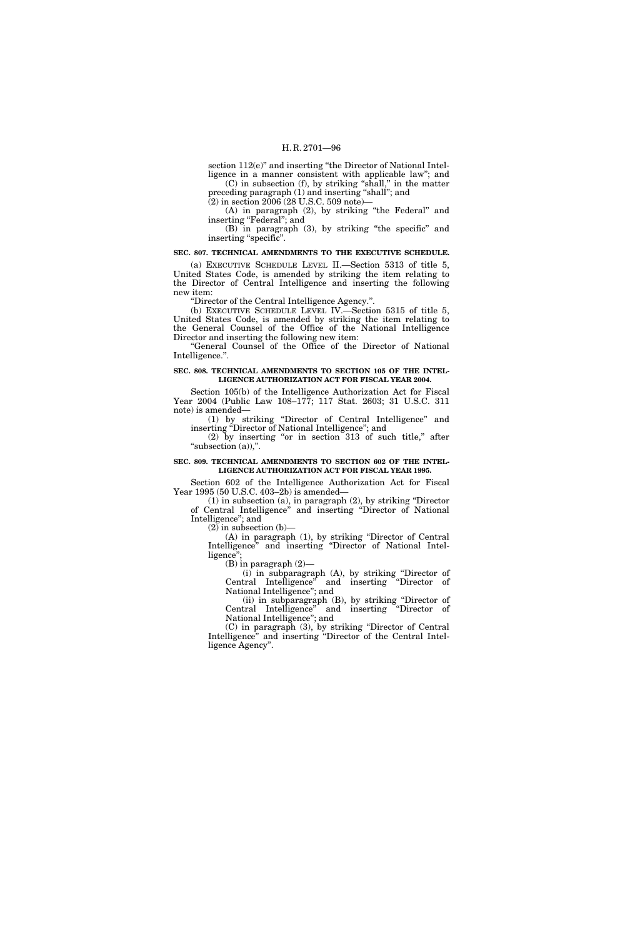section 112(e)" and inserting "the Director of National Intelligence in a manner consistent with applicable law''; and (C) in subsection (f), by striking ''shall,'' in the matter

preceding paragraph (1) and inserting ''shall''; and  $(2)$  in section  $2006(28 \text{ U.S.C. } 509 \text{ note})$ 

(A) in paragraph (2), by striking "the Federal" and

inserting "Federal"; and

(B) in paragraph (3), by striking ''the specific'' and inserting "specific".

## **SEC. 807. TECHNICAL AMENDMENTS TO THE EXECUTIVE SCHEDULE.**

(a) EXECUTIVE SCHEDULE LEVEL II.—Section 5313 of title 5, United States Code, is amended by striking the item relating to the Director of Central Intelligence and inserting the following new item:

''Director of the Central Intelligence Agency.''.

(b) EXECUTIVE SCHEDULE LEVEL IV.—Section 5315 of title 5, United States Code, is amended by striking the item relating to the General Counsel of the Office of the National Intelligence Director and inserting the following new item:

''General Counsel of the Office of the Director of National Intelligence.''.

### **SEC. 808. TECHNICAL AMENDMENTS TO SECTION 105 OF THE INTEL-LIGENCE AUTHORIZATION ACT FOR FISCAL YEAR 2004.**

Section 105(b) of the Intelligence Authorization Act for Fiscal Year 2004 (Public Law 108–177; 117 Stat. 2603; 31 U.S.C. 311 note) is amended—

(1) by striking ''Director of Central Intelligence'' and

inserting "Director of National Intelligence"; and  $(2)$  by inserting "or in section 313 of such title," after "subsection (a)),".

### **SEC. 809. TECHNICAL AMENDMENTS TO SECTION 602 OF THE INTEL-LIGENCE AUTHORIZATION ACT FOR FISCAL YEAR 1995.**

Section 602 of the Intelligence Authorization Act for Fiscal Year 1995 (50 U.S.C. 403–2b) is amended—

(1) in subsection (a), in paragraph (2), by striking ''Director of Central Intelligence'' and inserting ''Director of National Intelligence''; and

 $(2)$  in subsection  $(b)$ —

(A) in paragraph (1), by striking ''Director of Central Intelligence'' and inserting ''Director of National Intelligence'';

(B) in paragraph (2)—

(i) in subparagraph (A), by striking ''Director of Central Intelligence'' and inserting ''Director of National Intelligence''; and

(ii) in subparagraph (B), by striking ''Director of Central Intelligence'' and inserting ''Director of National Intelligence''; and

(C) in paragraph (3), by striking ''Director of Central Intelligence'' and inserting ''Director of the Central Intelligence Agency''.